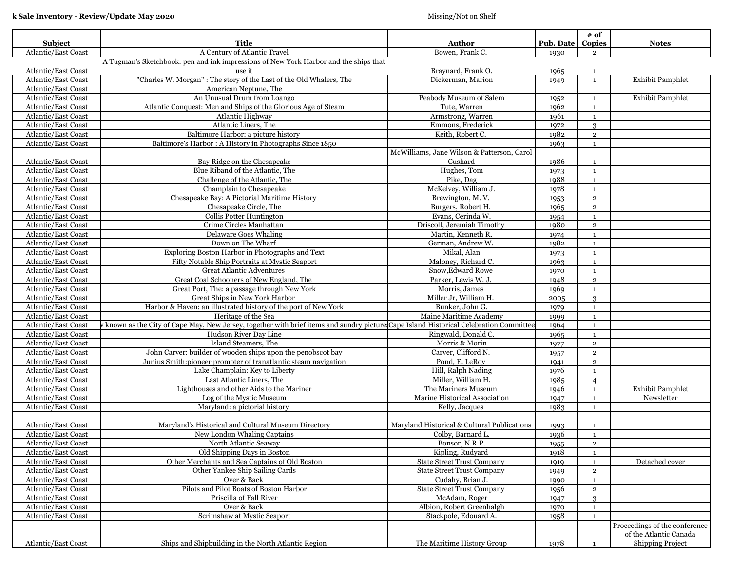| Subject             | Title                                                                                                                                  | Author                                      | <b>Pub. Date</b> | # of<br>Copies | <b>Notes</b>                  |
|---------------------|----------------------------------------------------------------------------------------------------------------------------------------|---------------------------------------------|------------------|----------------|-------------------------------|
| Atlantic/East Coast | A Century of Atlantic Travel                                                                                                           | Bowen, Frank C.                             | 1930             | $\overline{2}$ |                               |
|                     | A Tugman's Sketchbook: pen and ink impressions of New York Harbor and the ships that                                                   |                                             |                  |                |                               |
| Atlantic/East Coast | use it                                                                                                                                 | Braynard, Frank O.                          | 1965             | $\mathbf{1}$   |                               |
| Atlantic/East Coast | "Charles W. Morgan": The story of the Last of the Old Whalers, The                                                                     | Dickerman, Marion                           | 1949             | $\mathbf{1}$   | <b>Exhibit Pamphlet</b>       |
| Atlantic/East Coast | American Neptune, The                                                                                                                  |                                             |                  |                |                               |
| Atlantic/East Coast | An Unusual Drum from Loango                                                                                                            | Peabody Museum of Salem                     | 1952             | $\mathbf{1}$   | <b>Exhibit Pamphlet</b>       |
| Atlantic/East Coast | Atlantic Conquest: Men and Ships of the Glorious Age of Steam                                                                          | Tute, Warren                                | 1962             | $\mathbf{1}$   |                               |
| Atlantic/East Coast | Atlantic Highway                                                                                                                       | Armstrong, Warren                           | 1961             | $\mathbf{1}$   |                               |
| Atlantic/East Coast | Atlantic Liners, The                                                                                                                   | Emmons, Frederick                           | 1972             | $\mathcal{S}$  |                               |
| Atlantic/East Coast | Baltimore Harbor: a picture history                                                                                                    | Keith, Robert C.                            | 1982             | $\overline{2}$ |                               |
| Atlantic/East Coast | Baltimore's Harbor: A History in Photographs Since 1850                                                                                |                                             | 1963             | $\mathbf{1}$   |                               |
|                     |                                                                                                                                        | McWilliams, Jane Wilson & Patterson, Carol  |                  |                |                               |
|                     | Bay Ridge on the Chesapeake                                                                                                            | Cushard                                     | 1986             |                |                               |
| Atlantic/East Coast | Blue Riband of the Atlantic, The                                                                                                       |                                             |                  | $\mathbf{1}$   |                               |
| Atlantic/East Coast |                                                                                                                                        | Hughes, Tom                                 | 1973             | <sup>1</sup>   |                               |
| Atlantic/East Coast | Challenge of the Atlantic, The                                                                                                         | Pike, Dag                                   | 1988             | $\mathbf{1}$   |                               |
| Atlantic/East Coast | Champlain to Chesapeake                                                                                                                | McKelvey, William J.                        | 1978             | $\mathbf{1}$   |                               |
| Atlantic/East Coast | Chesapeake Bay: A Pictorial Maritime History                                                                                           | Brewington, M.V.                            | 1953             | $\overline{2}$ |                               |
| Atlantic/East Coast | Chesapeake Circle, The                                                                                                                 | Burgers, Robert H.                          | 1965             | $\mathbf 2$    |                               |
| Atlantic/East Coast | Collis Potter Huntington                                                                                                               | Evans, Cerinda W.                           | 1954             | $\mathbf{1}$   |                               |
| Atlantic/East Coast | Crime Circles Manhattan                                                                                                                | Driscoll, Jeremiah Timothy                  | 1980             | $\overline{2}$ |                               |
| Atlantic/East Coast | <b>Delaware Goes Whaling</b>                                                                                                           | Martin, Kenneth R.                          | 1974             | $\mathbf{1}$   |                               |
| Atlantic/East Coast | Down on The Wharf                                                                                                                      | German, Andrew W.                           | 1982             | $\mathbf{1}$   |                               |
| Atlantic/East Coast | Exploring Boston Harbor in Photographs and Text                                                                                        | Mikal, Alan                                 | 1973             | $\mathbf{1}$   |                               |
| Atlantic/East Coast | Fifty Notable Ship Portraits at Mystic Seaport                                                                                         | Maloney, Richard C.                         | 1963             | $\mathbf{1}$   |                               |
| Atlantic/East Coast | <b>Great Atlantic Adventures</b>                                                                                                       | Snow, Edward Rowe                           | 1970             | $\mathbf{1}$   |                               |
| Atlantic/East Coast | Great Coal Schooners of New England, The                                                                                               | Parker, Lewis W. J.                         | 1948             | $\mathbf 2$    |                               |
| Atlantic/East Coast | Great Port, The: a passage through New York                                                                                            | Morris, James                               | 1969             | $\mathbf{1}$   |                               |
| Atlantic/East Coast | Great Ships in New York Harbor                                                                                                         | Miller Jr, William H.                       | 2005             | $\mathcal{S}$  |                               |
| Atlantic/East Coast | Harbor & Haven: an illustrated history of the port of New York                                                                         | Bunker, John G.                             | 1979             | $\mathbf{1}$   |                               |
| Atlantic/East Coast | Heritage of the Sea                                                                                                                    | Maine Maritime Academy                      | 1999             | $\mathbf{1}$   |                               |
| Atlantic/East Coast | r known as the City of Cape May, New Jersey, together with brief items and sundry picture Cape Island Historical Celebration Committee |                                             | 1964             | <sup>1</sup>   |                               |
| Atlantic/East Coast | Hudson River Day Line                                                                                                                  | Ringwald, Donald C.                         | 1965             | $\mathbf{1}$   |                               |
| Atlantic/East Coast | Island Steamers, The                                                                                                                   | Morris & Morin                              | 1977             | $\mathbf 2$    |                               |
| Atlantic/East Coast | John Carver: builder of wooden ships upon the penobscot bay                                                                            | Carver, Clifford N.                         | 1957             | $\overline{2}$ |                               |
| Atlantic/East Coast | Junius Smith:pioneer promoter of tranatlantic steam navigation                                                                         | Pond, E. LeRoy                              | 1941             | $\overline{2}$ |                               |
| Atlantic/East Coast | Lake Champlain: Key to Liberty                                                                                                         | Hill, Ralph Nading                          | 1976             | $\mathbf{1}$   |                               |
| Atlantic/East Coast | Last Atlantic Liners, The                                                                                                              | Miller, William H.                          | 1985             | $\overline{4}$ |                               |
| Atlantic/East Coast | Lighthouses and other Aids to the Mariner                                                                                              | The Mariners Museum                         | 1946             | $\mathbf{1}$   | <b>Exhibit Pamphlet</b>       |
| Atlantic/East Coast | Log of the Mystic Museum                                                                                                               | Marine Historical Association               |                  | $\mathbf{1}$   | Newsletter                    |
| Atlantic/East Coast | Maryland: a pictorial history                                                                                                          | Kelly, Jacques                              | 1947<br>1983     | $\mathbf{1}$   |                               |
|                     |                                                                                                                                        |                                             |                  |                |                               |
|                     |                                                                                                                                        |                                             |                  |                |                               |
| Atlantic/East Coast | Maryland's Historical and Cultural Museum Directory                                                                                    | Maryland Historical & Cultural Publications | 1993             | $\mathbf{1}$   |                               |
| Atlantic/East Coast | New London Whaling Captains                                                                                                            | Colby, Barnard L.                           | 1936             | $\mathbf{1}$   |                               |
| Atlantic/East Coast | North Atlantic Seaway                                                                                                                  | Bonsor, N.R.P.                              | 1955             | $\overline{2}$ |                               |
| Atlantic/East Coast | Old Shipping Days in Boston                                                                                                            | Kipling, Rudyard                            | 1918             | 1              |                               |
| Atlantic/East Coast | Other Merchants and Sea Captains of Old Boston                                                                                         | <b>State Street Trust Company</b>           | 1919             | $\mathbf{1}$   | Detached cover                |
| Atlantic/East Coast | Other Yankee Ship Sailing Cards                                                                                                        | <b>State Street Trust Company</b>           | 1949             | $\,2\,$        |                               |
| Atlantic/East Coast | Over & Back                                                                                                                            | Cudahy, Brian J.                            | 1990             | $\mathbf{1}$   |                               |
| Atlantic/East Coast | Pilots and Pilot Boats of Boston Harbor                                                                                                | <b>State Street Trust Company</b>           | 1956             | $\mathbf 2$    |                               |
| Atlantic/East Coast | Priscilla of Fall River                                                                                                                | McAdam, Roger                               | 1947             | $\mathbf{R}$   |                               |
| Atlantic/East Coast | Over & Back                                                                                                                            | Albion, Robert Greenhalgh                   | 1970             | $\mathbf{1}$   |                               |
| Atlantic/East Coast | Scrimshaw at Mystic Seaport                                                                                                            | Stackpole, Edouard A.                       | 1958             | $\mathbf{1}$   |                               |
|                     |                                                                                                                                        |                                             |                  |                | Proceedings of the conference |
|                     |                                                                                                                                        |                                             |                  |                | of the Atlantic Canada        |
| Atlantic/East Coast | Ships and Shipbuilding in the North Atlantic Region                                                                                    | The Maritime History Group                  | 1978             |                | Shipping Project              |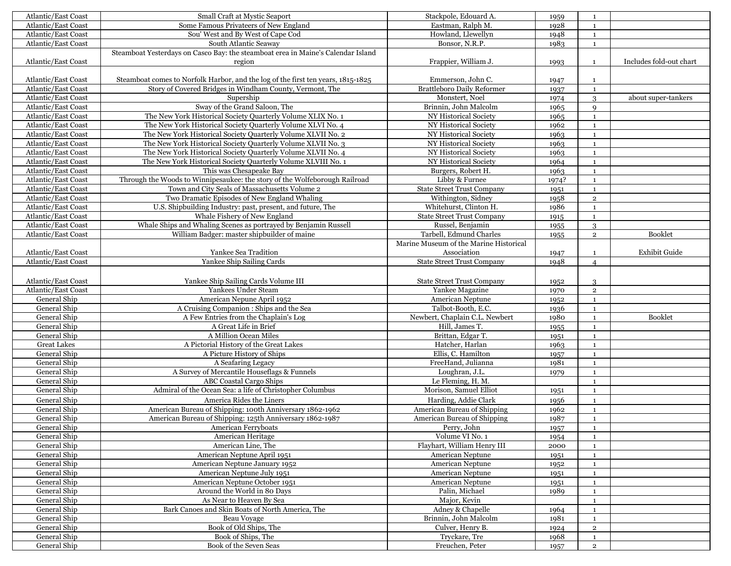| Atlantic/East Coast                        | Small Craft at Mystic Seaport                                                    | Stackpole, Edouard A.                  | 1959         | 1                            |                         |
|--------------------------------------------|----------------------------------------------------------------------------------|----------------------------------------|--------------|------------------------------|-------------------------|
| Atlantic/East Coast                        | Some Famous Privateers of New England                                            | Eastman, Ralph M.                      | 1928         | $\mathbf{1}$                 |                         |
| <b>Atlantic/East Coast</b>                 | Sou' West and By West of Cape Cod                                                | Howland, Llewellyn                     | 1948         | $\mathbf 1$                  |                         |
| Atlantic/East Coast                        | South Atlantic Seaway                                                            | Bonsor, N.R.P.                         | 1983         | $\mathbf{1}$                 |                         |
|                                            | Steamboat Yesterdays on Casco Bay: the steamboat erea in Maine's Calendar Island |                                        |              |                              |                         |
| Atlantic/East Coast                        | region                                                                           | Frappier, William J.                   | 1993         | $\mathbf{1}$                 | Includes fold-out chart |
|                                            |                                                                                  |                                        |              |                              |                         |
| Atlantic/East Coast                        | Steamboat comes to Norfolk Harbor, and the log of the first ten years, 1815-1825 | Emmerson, John C.                      | 1947         | $\mathbf{1}$                 |                         |
| Atlantic/East Coast                        | Story of Covered Bridges in Windham County, Vermont, The                         | <b>Brattleboro Daily Reformer</b>      | 1937         | $\mathbf{1}$                 |                         |
| Atlantic/East Coast                        | Supership                                                                        | Monstert, Noel                         | 1974         | 3                            | about super-tankers     |
| Atlantic/East Coast                        | Sway of the Grand Saloon, The                                                    | Brinnin, John Malcolm                  | 1965         | $\mathbf Q$                  |                         |
| Atlantic/East Coast                        | The New York Historical Society Quarterly Volume XLIX No. 1                      | NY Historical Society                  | 1965         | $\mathbf{1}$                 |                         |
| Atlantic/East Coast                        | The New York Historical Society Quarterly Volume XLVI No. 4                      | NY Historical Society                  | 1962         | $\mathbf{1}$                 |                         |
| <b>Atlantic/East Coast</b>                 | The New York Historical Society Quarterly Volume XLVII No. 2                     | NY Historical Society                  | 1963         | $\mathbf{1}$                 |                         |
| Atlantic/East Coast                        | The New York Historical Society Quarterly Volume XLVII No. 3                     | NY Historical Society                  | 1963         | $\mathbf{1}$                 |                         |
| Atlantic/East Coast                        | The New York Historical Society Quarterly Volume XLVII No. 4                     | NY Historical Society                  | 1963         | $\mathbf 1$                  |                         |
| Atlantic/East Coast                        | The New York Historical Society Quarterly Volume XLVIII No. 1                    | NY Historical Society                  | 1964         | $\mathbf{1}$                 |                         |
| Atlantic/East Coast                        | This was Chesapeake Bay                                                          | Burgers, Robert H.                     | 1963         | $\mathbf 1$                  |                         |
| Atlantic/East Coast                        | Through the Woods to Winnipesaukee: the story of the Wolfeborough Railroad       | Libby & Furnee                         | 1974?        | $\mathbf{1}$                 |                         |
| Atlantic/East Coast                        | Town and City Seals of Massachusetts Volume 2                                    | <b>State Street Trust Company</b>      | 1951         | $\mathbf{1}$                 |                         |
| Atlantic/East Coast                        | Two Dramatic Episodes of New England Whaling                                     | Withington, Sidney                     | 1958         | $\mathbf{2}$                 |                         |
| Atlantic/East Coast                        | U.S. Shipbuilding Industry: past, present, and future, The                       | Whitehurst, Clinton H.                 | 1986         | $\mathbf 1$                  |                         |
| Atlantic/East Coast                        | Whale Fishery of New England                                                     | <b>State Street Trust Company</b>      |              | $\mathbf{1}$                 |                         |
| Atlantic/East Coast                        | Whale Ships and Whaling Scenes as portrayed by Benjamin Russell                  | Russel, Benjamin                       | 1915         |                              |                         |
|                                            |                                                                                  | Tarbell, Edmund Charles                | 1955         | 3                            |                         |
| Atlantic/East Coast                        | William Badger: master shipbuilder of maine                                      | Marine Museum of the Marine Historical | 1955         | $\overline{2}$               | Booklet                 |
| Atlantic/East Coast                        | Yankee Sea Tradition                                                             | Association                            |              |                              | <b>Exhibit Guide</b>    |
| Atlantic/East Coast                        | Yankee Ship Sailing Cards                                                        | <b>State Street Trust Company</b>      | 1947         | $\mathbf{1}$                 |                         |
|                                            |                                                                                  |                                        | 1948         | $\overline{4}$               |                         |
|                                            |                                                                                  |                                        |              |                              |                         |
| Atlantic/East Coast<br>Atlantic/East Coast | Yankee Ship Sailing Cards Volume III<br>Yankees Under Steam                      | <b>State Street Trust Company</b>      | 1952         | 3                            |                         |
| General Ship                               | American Nepune April 1952                                                       | Yankee Magazine<br>American Neptune    | 1970         | $\mathbf 2$<br>$\mathbf{1}$  |                         |
| General Ship                               | A Cruising Companion: Ships and the Sea                                          | Talbot-Booth, E.C.                     | 1952         |                              |                         |
| General Ship                               | A Few Entries from the Chaplain's Log                                            | Newbert, Chaplain C.L. Newbert         | 1936<br>1980 | $\mathbf{1}$<br>$\mathbf{1}$ | Booklet                 |
| General Ship                               | A Great Life in Brief                                                            | Hill, James T.                         |              | $\mathbf{1}$                 |                         |
| General Ship                               | A Million Ocean Miles                                                            | Brittan, Edgar T.                      | 1955<br>1951 | $\mathbf{1}$                 |                         |
| <b>Great Lakes</b>                         | A Pictorial History of the Great Lakes                                           | Hatcher, Harlan                        | 1963         | $\mathbf{1}$                 |                         |
| General Ship                               | A Picture History of Ships                                                       | Ellis, C. Hamilton                     | 1957         | $\mathbf 1$                  |                         |
| General Ship                               | A Seafaring Legacy                                                               | FreeHand, Julianna                     | 1981         | $\mathbf{1}$                 |                         |
| General Ship                               | A Survey of Mercantile Houseflags & Funnels                                      | Loughran, J.L.                         | 1979         | $\mathbf{1}$                 |                         |
| General Ship                               | ABC Coastal Cargo Ships                                                          | Le Fleming, H. M.                      |              | $\mathbf{1}$                 |                         |
| General Ship                               | Admiral of the Ocean Sea: a life of Christopher Columbus                         | Morison, Samuel Elliot                 | 1951         | $\mathbf{1}$                 |                         |
| General Ship                               | America Rides the Liners                                                         | Harding, Addie Clark                   | 1956         | $\mathbf{1}$                 |                         |
| General Ship                               | American Bureau of Shipping: 100th Anniversary 1862-1962                         | American Bureau of Shipping            | 1962         | $\mathbf{1}$                 |                         |
| General Ship                               | American Bureau of Shipping: 125th Anniversary 1862-1987                         | American Bureau of Shipping            | 1987         | $\mathbf{1}$                 |                         |
| General Ship                               | American Ferryboats                                                              | Perry, John                            | 1957         | $\mathbf{1}$                 |                         |
| General Ship                               | American Heritage                                                                | Volume VI No. 1                        | 1954         | $\mathbf{1}$                 |                         |
| General Ship                               | American Line, The                                                               | Flayhart, William Henry III            | 2000         | $\mathbf{1}$                 |                         |
| General Ship                               | American Neptune April 1951                                                      | American Neptune                       | 1951         | $\mathbf{1}$                 |                         |
| General Ship                               | American Neptune January 1952                                                    | American Neptune                       | 1952         | $\mathbf{1}$                 |                         |
| General Ship                               | American Neptune July 1951                                                       | <b>American Neptune</b>                | 1951         | $\mathbf{1}$                 |                         |
| General Ship                               | American Neptune October 1951                                                    | American Neptune                       | 1951         | $\mathbf{1}$                 |                         |
| General Ship                               | Around the World in 80 Days                                                      | Palin, Michael                         | 1989         | $\mathbf{1}$                 |                         |
| General Ship                               | As Near to Heaven By Sea                                                         | Major, Kevin                           |              | $\mathbf 1$                  |                         |
| General Ship                               | Bark Canoes and Skin Boats of North America, The                                 | Adney & Chapelle                       | 1964         | $\mathbf{1}$                 |                         |
| General Ship                               | Beau Voyage                                                                      | Brinnin, John Malcolm                  | 1981         | $\mathbf{1}$                 |                         |
| General Ship                               | Book of Old Ships, The                                                           | Culver, Henry B.                       | 1924         | $\mathbf 2$                  |                         |
| General Ship                               | Book of Ships, The                                                               | Tryckare, Tre                          | 1968         | $\mathbf{1}$                 |                         |
| General Ship                               | Book of the Seven Seas                                                           | Freuchen, Peter                        | 1957         | $\overline{2}$               |                         |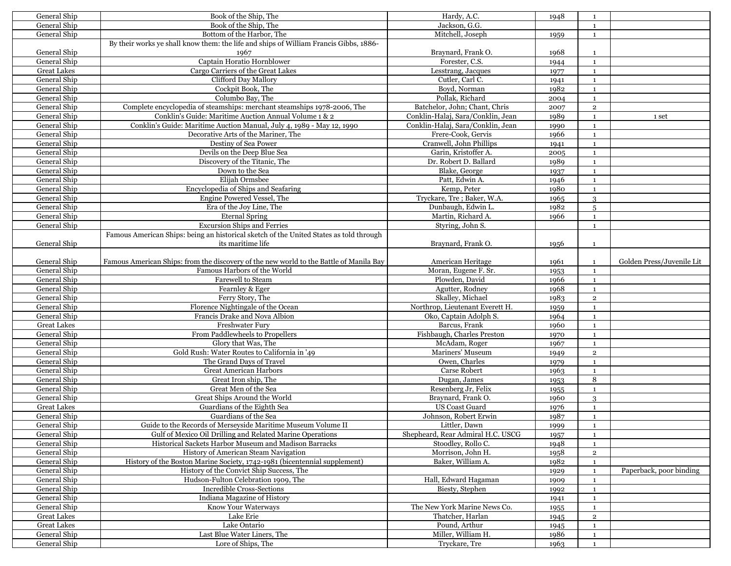| General Ship       | Book of the Ship, The                                                                                                     | Hardy, A.C.                       | 1948 | 1              |                           |
|--------------------|---------------------------------------------------------------------------------------------------------------------------|-----------------------------------|------|----------------|---------------------------|
| General Ship       | Book of the Ship, The                                                                                                     | Jackson, G.G.                     |      | $\mathbf{1}$   |                           |
| General Ship       | Bottom of the Harbor, The                                                                                                 | Mitchell, Joseph                  | 1959 | $\mathbf{1}$   |                           |
|                    | By their works ye shall know them: the life and ships of William Francis Gibbs, 1886-                                     |                                   |      |                |                           |
| General Ship       | 1967                                                                                                                      | Braynard, Frank O.                | 1968 | 1              |                           |
| General Ship       | Captain Horatio Hornblower                                                                                                | Forester, C.S.                    | 1944 | $\mathbf{1}$   |                           |
| <b>Great Lakes</b> | Cargo Carriers of the Great Lakes                                                                                         | Lesstrang, Jacques                | 1977 | $\mathbf{1}$   |                           |
| General Ship       | Clifford Day Mallory                                                                                                      | Cutler, Carl C.                   |      | $\mathbf{1}$   |                           |
| General Ship       | Cockpit Book, The                                                                                                         | Boyd, Norman                      | 1941 |                |                           |
| General Ship       | Columbo Bay, The                                                                                                          | Pollak, Richard                   | 1982 | $\mathbf{1}$   |                           |
|                    |                                                                                                                           |                                   | 2004 | $\mathbf{1}$   |                           |
| General Ship       | Complete encyclopedia of steamships: merchant steamships 1978-2006, The                                                   | Batchelor, John; Chant, Chris     | 2007 | $\mathbf 2$    |                           |
| General Ship       | Conklin's Guide: Maritime Auction Annual Volume 1 & 2                                                                     | Conklin-Halaj, Sara/Conklin, Jean | 1989 | $\mathbf{1}$   | 1 set                     |
| General Ship       | Conklin's Guide: Maritime Auction Manual, July 4, 1989 - May 12, 1990                                                     | Conklin-Halaj, Sara/Conklin, Jean | 1990 | $\mathbf{1}$   |                           |
| General Ship       | Decorative Arts of the Mariner, The                                                                                       | Frere-Cook, Gervis                | 1966 | $\mathbf{1}$   |                           |
| General Ship       | Destiny of Sea Power                                                                                                      | Cranwell, John Phillips           | 1941 | $\mathbf{1}$   |                           |
| General Ship       | Devils on the Deep Blue Sea                                                                                               | Garin, Kristoffer A.              | 2005 | $\mathbf{1}$   |                           |
| General Ship       | Discovery of the Titanic, The                                                                                             | Dr. Robert D. Ballard             | 1989 | $\mathbf{1}$   |                           |
| General Ship       | Down to the Sea                                                                                                           | Blake, George                     | 1937 | $\mathbf{1}$   |                           |
| General Ship       | Elijah Ormsbee                                                                                                            | Patt, Edwin A.                    | 1946 | $\mathbf 1$    |                           |
| General Ship       | Encyclopedia of Ships and Seafaring                                                                                       | Kemp, Peter                       | 1980 | $\mathbf{1}$   |                           |
| General Ship       | Engine Powered Vessel, The                                                                                                | Tryckare, Tre; Baker, W.A.        | 1965 | 3              |                           |
| General Ship       | Era of the Joy Line, The                                                                                                  | Dunbaugh, Edwin L.                | 1982 | 5              |                           |
| General Ship       | <b>Eternal Spring</b>                                                                                                     | Martin, Richard A.                | 1966 | $\mathbf{1}$   |                           |
| General Ship       | <b>Excursion Ships and Ferries</b>                                                                                        | Styring, John S.                  |      | $\mathbf{1}$   |                           |
|                    | Famous American Ships: being an historical sketch of the United States as told through                                    |                                   |      |                |                           |
| General Ship       | its maritime life                                                                                                         | Braynard, Frank O.                |      | $\mathbf{1}$   |                           |
|                    |                                                                                                                           |                                   | 1956 |                |                           |
|                    |                                                                                                                           |                                   |      |                |                           |
| General Ship       | Famous American Ships: from the discovery of the new world to the Battle of Manila Bay                                    | American Heritage                 | 1961 | $\mathbf{1}$   | Golden Press/Juvenile Lit |
| General Ship       | Famous Harbors of the World                                                                                               | Moran, Eugene F. Sr.              | 1953 | $\mathbf{1}$   |                           |
| General Ship       | Farewell to Steam                                                                                                         | Plowden, David                    | 1966 | $\mathbf{1}$   |                           |
| General Ship       | Fearnley & Eger                                                                                                           | Agutter, Rodney                   | 1968 | $\mathbf{1}$   |                           |
| General Ship       | Ferry Story, The                                                                                                          | Skalley, Michael                  | 1983 | $\overline{2}$ |                           |
| General Ship       | Florence Nightingale of the Ocean                                                                                         | Northrop, Lieutenant Everett H.   | 1959 | $\mathbf 1$    |                           |
| General Ship       | Francis Drake and Nova Albion                                                                                             | Oko, Captain Adolph S.            | 1964 | $\mathbf{1}$   |                           |
| <b>Great Lakes</b> | Freshwater Fury                                                                                                           | Barcus, Frank                     | 1960 | $\mathbf{1}$   |                           |
| General Ship       | From Paddlewheels to Propellers                                                                                           | Fishbaugh, Charles Preston        | 1970 | $\mathbf{1}$   |                           |
| General Ship       | Glory that Was, The                                                                                                       | McAdam, Roger                     | 1967 | $\mathbf{1}$   |                           |
| General Ship       | Gold Rush: Water Routes to California in '49                                                                              | Mariners' Museum                  | 1949 | $\overline{2}$ |                           |
| General Ship       | The Grand Days of Travel                                                                                                  | Owen, Charles                     | 1979 | $\mathbf{1}$   |                           |
| General Ship       | <b>Great American Harbors</b>                                                                                             | Carse Robert                      | 1963 | $\mathbf{1}$   |                           |
| General Ship       | Great Iron ship, The                                                                                                      | Dugan, James                      | 1953 | 8              |                           |
| General Ship       | Great Men of the Sea                                                                                                      | Resenberg Jr, Felix               | 1955 | $\mathbf{1}$   |                           |
| General Ship       | Great Ships Around the World                                                                                              | Braynard, Frank O.                | 1960 | 3              |                           |
| <b>Great Lakes</b> | Guardians of the Eighth Sea                                                                                               | <b>US Coast Guard</b>             | 1976 | $\mathbf{1}$   |                           |
| General Ship       | Guardians of the Sea                                                                                                      | Johnson, Robert Erwin             | 1987 | $\mathbf{1}$   |                           |
|                    |                                                                                                                           |                                   |      |                |                           |
| General Ship       | Guide to the Records of Merseyside Maritime Museum Volume II<br>Gulf of Mexico Oil Drilling and Related Marine Operations | Littler, Dawn                     | 1999 | $\mathbf{1}$   |                           |
| General Ship       |                                                                                                                           | Shepheard, Rear Admiral H.C. USCG | 1957 | 1              |                           |
| General Ship       | Historical Sackets Harbor Museum and Madison Barracks                                                                     | Stoodley, Rollo C.                | 1948 | $\mathbf{1}$   |                           |
| General Ship       | History of American Steam Navigation                                                                                      | Morrison, John H.                 | 1958 | $\overline{2}$ |                           |
| General Ship       | History of the Boston Marine Society, 1742-1981 (bicentennial supplement)                                                 | Baker, William A.                 | 1982 | $\mathbf{1}$   |                           |
| General Ship       | History of the Convict Ship Success, The                                                                                  |                                   | 1929 | $\mathbf{1}$   | Paperback, poor binding   |
| General Ship       | Hudson-Fulton Celebration 1909, The                                                                                       | Hall, Edward Hagaman              | 1909 | $\mathbf{1}$   |                           |
| General Ship       | <b>Incredible Cross-Sections</b>                                                                                          | Biesty, Stephen                   | 1992 | $\mathbf{1}$   |                           |
| General Ship       | Indiana Magazine of History                                                                                               |                                   | 1941 | $\mathbf{1}$   |                           |
| General Ship       | Know Your Waterways                                                                                                       | The New York Marine News Co.      | 1955 | $\mathbf{1}$   |                           |
| <b>Great Lakes</b> | Lake Erie                                                                                                                 | Thatcher, Harlan                  | 1945 | $\overline{2}$ |                           |
| <b>Great Lakes</b> | Lake Ontario                                                                                                              | Pound, Arthur                     | 1945 | $\mathbf{1}$   |                           |
| General Ship       | Last Blue Water Liners, The                                                                                               | Miller, William H.                | 1986 | $\mathbf{1}$   |                           |
| General Ship       | Lore of Ships, The                                                                                                        | Tryckare, Tre                     | 1963 | 1              |                           |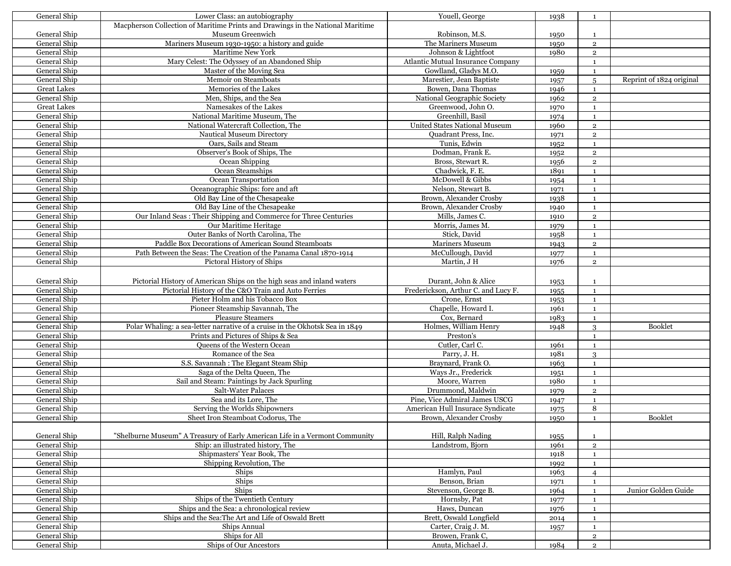| General Ship                 | Lower Class: an autobiography                                                                     | Youell, George                                | 1938         | 1                              |                          |
|------------------------------|---------------------------------------------------------------------------------------------------|-----------------------------------------------|--------------|--------------------------------|--------------------------|
|                              | Macpherson Collection of Maritime Prints and Drawings in the National Maritime                    |                                               |              |                                |                          |
| General Ship                 | Museum Greenwich                                                                                  | Robinson, M.S.                                | 1950         | $\mathbf{1}$                   |                          |
| General Ship                 | Mariners Museum 1930-1950: a history and guide                                                    | The Mariners Museum                           | 1950         | $\overline{2}$                 |                          |
| General Ship                 | <b>Maritime New York</b>                                                                          | Johnson & Lightfoot                           | 1980         | $\overline{2}$                 |                          |
| General Ship                 | Mary Celest: The Odyssey of an Abandoned Ship                                                     | Atlantic Mutual Insurance Company             |              | $\mathbf{1}$                   |                          |
| General Ship                 | Master of the Moving Sea                                                                          | Gowlland, Gladys M.O.                         | 1959         | $\mathbf{1}$                   |                          |
| General Ship                 | Memoir on Steamboats                                                                              | Marestier, Jean Baptiste                      | 1957         | $\overline{5}$                 | Reprint of 1824 original |
| <b>Great Lakes</b>           | Memories of the Lakes                                                                             | Bowen, Dana Thomas                            | 1946         | $\mathbf{1}$                   |                          |
| General Ship                 | Men, Ships, and the Sea                                                                           | National Geographic Society                   | 1962         | $\overline{2}$                 |                          |
| <b>Great Lakes</b>           | Namesakes of the Lakes                                                                            | Greenwood, John O.                            | 1970         | $\mathbf{1}$                   |                          |
| General Ship                 | National Maritime Museum, The                                                                     | Greenhill, Basil                              | 1974         | 1                              |                          |
| General Ship                 | National Watercraft Collection. The                                                               | United States National Museum                 | 1960         | $\overline{2}$                 |                          |
| General Ship                 | Nautical Museum Directory                                                                         | Quadrant Press, Inc.                          | 1971         | $\mathbf 2$                    |                          |
| General Ship                 | Oars, Sails and Steam                                                                             | Tunis, Edwin                                  | 1952         | $\mathbf{1}$                   |                          |
| General Ship                 | Observer's Book of Ships, The                                                                     | Dodman, Frank E.                              | 1952         | $\mathbf 2$                    |                          |
| General Ship                 | Ocean Shipping                                                                                    | Bross, Stewart R.                             | 1956         | $\mathbf 2$                    |                          |
| General Ship                 | Ocean Steamships                                                                                  | Chadwick, F. E.                               | 1891         | $\mathbf{1}$                   |                          |
| General Ship                 | Ocean Transportation                                                                              | McDowell & Gibbs                              |              |                                |                          |
| General Ship                 |                                                                                                   |                                               | 1954         | $\mathbf{1}$                   |                          |
| General Ship                 | Oceanographic Ships: fore and aft<br>Old Bay Line of the Chesapeake                               | Nelson, Stewart B.<br>Brown, Alexander Crosby | 1971         | $\mathbf{1}$<br>$\mathbf{1}$   |                          |
| General Ship                 | Old Bay Line of the Chesapeake                                                                    | Brown, Alexander Crosby                       | 1938         |                                |                          |
| General Ship                 | Our Inland Seas: Their Shipping and Commerce for Three Centuries                                  | Mills, James C.                               | 1940         | $\mathbf{1}$<br>$\mathbf 2$    |                          |
| General Ship                 |                                                                                                   | Morris, James M.                              | 1910         |                                |                          |
| General Ship                 | Our Maritime Heritage<br>Outer Banks of North Carolina, The                                       | Stick, David                                  | 1979<br>1958 | $\mathbf{1}$                   |                          |
| General Ship                 | Paddle Box Decorations of American Sound Steamboats                                               | Mariners Museum                               |              | $\mathbf{1}$<br>$\overline{2}$ |                          |
| General Ship                 | Path Between the Seas: The Creation of the Panama Canal 1870-1914                                 | McCullough, David                             | 1943         |                                |                          |
| General Ship                 | Pictoral History of Ships                                                                         | Martin, J H                                   | 1977         | $\mathbf{1}$<br>$\overline{2}$ |                          |
|                              |                                                                                                   |                                               | 1976         |                                |                          |
|                              |                                                                                                   |                                               |              |                                |                          |
| General Ship                 | Pictorial History of American Ships on the high seas and inland waters                            | Durant, John & Alice                          | 1953         | $\mathbf{1}$                   |                          |
| General Ship                 | Pictorial History of the C&O Train and Auto Ferries                                               | Frederickson, Arthur C. and Lucy F.           | 1955         | $\mathbf{1}$                   |                          |
| General Ship                 | Pieter Holm and his Tobacco Box                                                                   | Crone, Ernst                                  | 1953         | $\mathbf{1}$                   |                          |
| General Ship                 | Pioneer Steamship Savannah, The                                                                   | Chapelle, Howard I.                           | 1961         | $\mathbf{1}$                   |                          |
| General Ship<br>General Ship | Pleasure Steamers<br>Polar Whaling: a sea-letter narrative of a cruise in the Okhotsk Sea in 1849 | Cox, Bernard<br>Holmes, William Henry         | 1983         | $\mathbf{1}$                   | Booklet                  |
| General Ship                 |                                                                                                   | Preston's                                     | 1948         | 3                              |                          |
| General Ship                 | Prints and Pictures of Ships & Sea<br>Queens of the Western Ocean                                 | Cutler, Carl C.                               |              | $\mathbf{1}$                   |                          |
| General Ship                 | Romance of the Sea                                                                                | Parry, J. H.                                  | 1961         | $\mathbf{1}$                   |                          |
| General Ship                 | S.S. Savannah : The Elegant Steam Ship                                                            | Braynard, Frank O.                            | 1981<br>1963 | 3                              |                          |
| General Ship                 |                                                                                                   | Ways Jr., Frederick                           |              | $\mathbf{1}$                   |                          |
| General Ship                 | Saga of the Delta Queen, The<br>Sail and Steam: Paintings by Jack Spurling                        | Moore, Warren                                 | 1951<br>1980 | $\mathbf{1}$                   |                          |
| General Ship                 | Salt-Water Palaces                                                                                | Drummond, Maldwin                             |              | $\mathbf{1}$<br>$\overline{2}$ |                          |
| General Ship                 | Sea and its Lore, The                                                                             | Pine, Vice Admiral James USCG                 | 1979         | $\mathbf{1}$                   |                          |
| General Ship                 | Serving the Worlds Shipowners                                                                     | American Hull Insurace Syndicate              | 1947<br>1975 | 8                              |                          |
| General Ship                 | Sheet Iron Steamboat Codorus, The                                                                 | Brown, Alexander Crosby                       |              | 1                              | <b>Booklet</b>           |
|                              |                                                                                                   |                                               | 1950         |                                |                          |
| General Ship                 | "Shelburne Museum" A Treasury of Early American Life in a Vermont Community                       | Hill, Ralph Nading                            | 1955         | $\mathbf{1}$                   |                          |
| General Ship                 | Ship: an illustrated history, The                                                                 | Landstrom, Bjorn                              | 1961         | $\mathbf 2$                    |                          |
| General Ship                 | Shipmasters' Year Book, The                                                                       |                                               | 1918         | 1                              |                          |
| General Ship                 | Shipping Revolution, The                                                                          |                                               | 1992         | $\mathbf{1}$                   |                          |
| General Ship                 | Ships                                                                                             | Hamlyn, Paul                                  | 1963         | $\overline{4}$                 |                          |
| General Ship                 | Ships                                                                                             | Benson, Brian                                 | 1971         | 1                              |                          |
| General Ship                 | Ships                                                                                             | Stevenson, George B.                          | 1964         | $\mathbf{1}$                   | Junior Golden Guide      |
| General Ship                 | Ships of the Twentieth Century                                                                    | Hornsby, Pat                                  | 1977         | $\mathbf{1}$                   |                          |
| General Ship                 | Ships and the Sea: a chronological review                                                         | Haws, Duncan                                  | 1976         | $\mathbf{1}$                   |                          |
| General Ship                 | Ships and the Sea: The Art and Life of Oswald Brett                                               | Brett, Oswald Longfield                       | 2014         | $\mathbf{1}$                   |                          |
| General Ship                 | Ships Annual                                                                                      | Carter, Craig J. M.                           | 1957         | $\mathbf{1}$                   |                          |
| General Ship                 | Ships for All                                                                                     | Browen, Frank C,                              |              | $\overline{\mathbf{2}}$        |                          |
| General Ship                 | Ships of Our Ancestors                                                                            | Anuta, Michael J.                             | 1984         | $\overline{2}$                 |                          |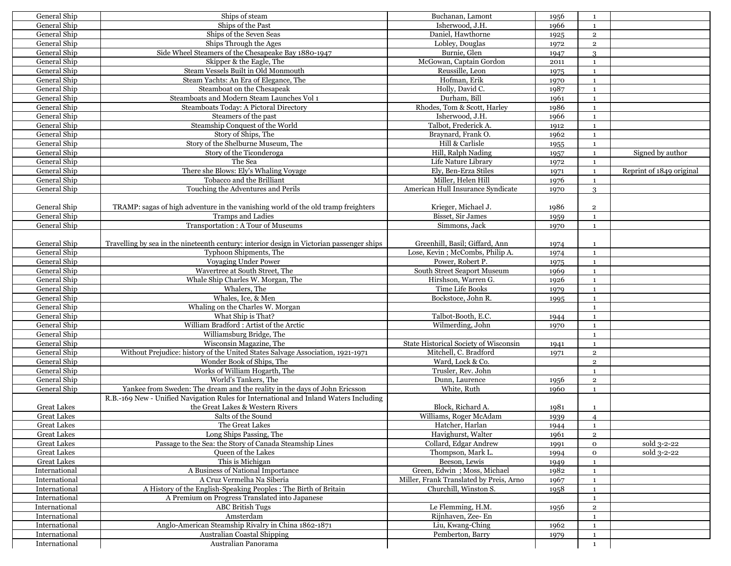| General Ship       | Ships of steam                                                                            | Buchanan, Lamont                        | 1956 | <sup>1</sup>            |                          |
|--------------------|-------------------------------------------------------------------------------------------|-----------------------------------------|------|-------------------------|--------------------------|
| General Ship       | Ships of the Past                                                                         | Isherwood, J.H.                         | 1966 | <sup>1</sup>            |                          |
| General Ship       | Ships of the Seven Seas                                                                   | Daniel, Hawthorne                       | 1925 | $\overline{2}$          |                          |
| General Ship       | Ships Through the Ages                                                                    | Lobley, Douglas                         | 1972 | $\overline{2}$          |                          |
| General Ship       | Side Wheel Steamers of the Chesapeake Bay 1880-1947                                       | Burnie, Glen                            | 1947 | $\mathcal{S}$           |                          |
| General Ship       | Skipper & the Eagle, The                                                                  | McGowan, Captain Gordon                 | 2011 | $\mathbf{1}$            |                          |
| General Ship       | Steam Vessels Built in Old Monmouth                                                       | Reussille, Leon                         |      | $\mathbf{1}$            |                          |
|                    |                                                                                           | Hofman, Erik                            | 1975 |                         |                          |
| General Ship       | Steam Yachts: An Era of Elegance, The                                                     |                                         | 1970 | $\mathbf{1}$            |                          |
| General Ship       | Steamboat on the Chesapeak                                                                | Holly, David C.                         | 1987 | <sup>1</sup>            |                          |
| General Ship       | Steamboats and Modern Steam Launches Vol 1                                                | Durham, Bill                            | 1961 | $\mathbf{1}$            |                          |
| General Ship       | Steamboats Today: A Pictoral Directory                                                    | Rhodes, Tom & Scott, Harley             | 1986 | $\mathbf{1}$            |                          |
| General Ship       | Steamers of the past                                                                      | Isherwood, J.H.                         | 1966 | $\mathbf{1}$            |                          |
| General Ship       | Steamship Conquest of the World                                                           | Talbot, Frederick A.                    | 1912 | $\mathbf{1}$            |                          |
| General Ship       | Story of Ships, The                                                                       | Braynard, Frank O.                      | 1962 | $\mathbf{1}$            |                          |
| General Ship       | Story of the Shelburne Museum, The                                                        | Hill & Carlisle                         | 1955 | $\mathbf{1}$            |                          |
| General Ship       | Story of the Ticonderoga                                                                  | Hill, Ralph Nading                      | 1957 | $\mathbf{1}$            | Signed by author         |
| General Ship       | The Sea                                                                                   | Life Nature Library                     | 1972 | $\mathbf{1}$            |                          |
| General Ship       | There she Blows: Ely's Whaling Voyage                                                     | Ely, Ben-Erza Stiles                    | 1971 | $\mathbf{1}$            | Reprint of 1849 original |
| General Ship       | Tobacco and the Brilliant                                                                 | Miller, Helen Hill                      | 1976 | $\mathbf{1}$            |                          |
| General Ship       | Touching the Adventures and Perils                                                        | American Hull Insurance Syndicate       | 1970 | 3                       |                          |
|                    |                                                                                           |                                         |      |                         |                          |
| General Ship       | TRAMP: sagas of high adventure in the vanishing world of the old tramp freighters         | Krieger, Michael J.                     | 1986 | $\overline{\mathbf{c}}$ |                          |
| General Ship       | <b>Tramps and Ladies</b>                                                                  | Bisset, Sir James                       |      | $\mathbf{1}$            |                          |
|                    |                                                                                           | Simmons, Jack                           | 1959 |                         |                          |
| General Ship       | Transportation: A Tour of Museums                                                         |                                         | 1970 | $\mathbf{1}$            |                          |
|                    |                                                                                           |                                         |      |                         |                          |
| General Ship       | Travelling by sea in the nineteenth century: interior design in Victorian passenger ships | Greenhill, Basil: Giffard, Ann          | 1974 | $\mathbf{1}$            |                          |
| General Ship       | Typhoon Shipments, The                                                                    | Lose, Kevin; McCombs, Philip A.         | 1974 | $\mathbf{1}$            |                          |
| General Ship       | Voyaging Under Power                                                                      | Power, Robert P.                        | 1975 | $\mathbf{1}$            |                          |
| General Ship       | Wavertree at South Street, The                                                            | South Street Seaport Museum             | 1969 | $\mathbf{1}$            |                          |
| General Ship       | Whale Ship Charles W. Morgan, The                                                         | Hirshson, Warren G.                     | 1926 | $\mathbf{1}$            |                          |
| General Ship       | Whalers, The                                                                              | Time Life Books                         | 1979 | <sup>1</sup>            |                          |
| General Ship       | Whales, Ice, & Men                                                                        | Bockstoce, John R.                      | 1995 | $\mathbf{1}$            |                          |
| General Ship       | Whaling on the Charles W. Morgan                                                          |                                         |      | $\mathbf{1}$            |                          |
| General Ship       | What Ship is That?                                                                        | Talbot-Booth, E.C.                      | 1944 | <sup>1</sup>            |                          |
| General Ship       | William Bradford: Artist of the Arctic                                                    | Wilmerding, John                        | 1970 | $\mathbf{1}$            |                          |
| General Ship       | Williamsburg Bridge, The                                                                  |                                         |      | $\mathbf{1}$            |                          |
| General Ship       | Wisconsin Magazine, The                                                                   | State Historical Society of Wisconsin   | 1941 | <sup>1</sup>            |                          |
| General Ship       | Without Prejudice: history of the United States Salvage Association, 1921-1971            | Mitchell, C. Bradford                   | 1971 | $\overline{2}$          |                          |
| General Ship       | Wonder Book of Ships, The                                                                 | Ward, Lock & Co.                        |      | $\,2\,$                 |                          |
| General Ship       | Works of William Hogarth, The                                                             | Trusler, Rev. John                      |      | $\mathbf{1}$            |                          |
|                    |                                                                                           |                                         |      |                         |                          |
| General Ship       | World's Tankers, The                                                                      | Dunn, Laurence                          | 1956 | $\overline{2}$          |                          |
| General Ship       | Yankee from Sweden: The dream and the reality in the days of John Ericsson                | White, Ruth                             | 1960 | <sup>1</sup>            |                          |
|                    | R.B.-169 New - Unified Navigation Rules for International and Inland Waters Including     |                                         |      |                         |                          |
| <b>Great Lakes</b> | the Great Lakes & Western Rivers                                                          | Block, Richard A.                       | 1981 | 1                       |                          |
| <b>Great Lakes</b> | Salts of the Sound                                                                        | Williams, Roger McAdam                  | 1939 | $\overline{4}$          |                          |
| <b>Great Lakes</b> | The Great Lakes                                                                           | Hatcher, Harlan                         | 1944 | $\mathbf{1}$            |                          |
| <b>Great Lakes</b> | Long Ships Passing, The                                                                   | Havighurst, Walter                      | 1961 | $\overline{2}$          |                          |
| <b>Great Lakes</b> | Passage to the Sea: the Story of Canada Steamship Lines                                   | Collard, Edgar Andrew                   | 1991 | $\mathbf{o}$            | sold 3-2-22              |
| <b>Great Lakes</b> | Queen of the Lakes                                                                        | Thompson, Mark L.                       | 1994 | $\mathbf 0$             | sold 3-2-22              |
| <b>Great Lakes</b> | This is Michigan                                                                          | Beeson, Lewis                           | 1949 | $\mathbf 1$             |                          |
| International      | A Business of National Importance                                                         | Green, Edwin; Moss, Michael             | 1982 | $\mathbf{1}$            |                          |
| International      | A Cruz Vermelha Na Siberia                                                                | Miller, Frank Translated by Preis, Arno | 1967 | $\mathbf{1}$            |                          |
| International      | A History of the English-Speaking Peoples : The Birth of Britain                          | Churchill, Winston S.                   | 1958 | $\mathbf{1}$            |                          |
| International      | A Premium on Progress Translated into Japanese                                            |                                         |      | $\mathbf 1$             |                          |
| International      | <b>ABC British Tugs</b>                                                                   | Le Flemming, H.M.                       | 1956 | $\overline{2}$          |                          |
| International      | Amsterdam                                                                                 | Rijnhaven, Zee-En                       |      | $\mathbf{1}$            |                          |
| International      | Anglo-American Steamship Rivalry in China 1862-1871                                       | Liu, Kwang-Ching                        | 1962 |                         |                          |
|                    |                                                                                           |                                         |      | $\mathbf 1$             |                          |
| International      | Australian Coastal Shipping                                                               | Pemberton, Barry                        | 1979 | $\mathbf 1$             |                          |
| International      | Australian Panorama                                                                       |                                         |      | $\mathbf{1}$            |                          |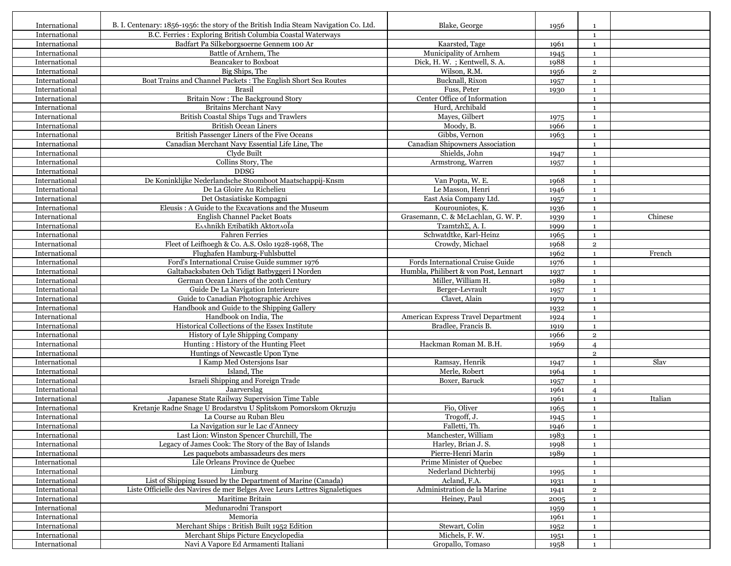| International                  | B. I. Centenary: 1856-1956: the story of the British India Steam Navigation Co. Ltd. | Blake, George                         | 1956         | 1                              |         |
|--------------------------------|--------------------------------------------------------------------------------------|---------------------------------------|--------------|--------------------------------|---------|
| International                  | B.C. Ferries: Exploring British Columbia Coastal Waterways                           |                                       |              | $\mathbf{1}$                   |         |
| International                  | Badfart Pa Silkeborgsoerne Gennem 100 Ar                                             | Kaarsted, Tage                        | 1961         | $\mathbf{1}$                   |         |
| International                  | Battle of Arnhem, The                                                                | Municipality of Arnhem                | 1945         | $\mathbf{1}$                   |         |
| International                  | Beancaker to Boxboat                                                                 | Dick, H. W. ; Kentwell, S. A.         | 1988         | $\mathbf{1}$                   |         |
| International                  | Big Ships, The                                                                       | Wilson, R.M.                          | 1956         | $\mathbf 2$                    |         |
| International                  | Boat Trains and Channel Packets : The English Short Sea Routes                       | Bucknall, Rixon                       | 1957         | $\mathbf{1}$                   |         |
| International                  | <b>Brasil</b>                                                                        | Fuss, Peter                           | 1930         | $\mathbf{1}$                   |         |
| International                  | Britain Now: The Background Story                                                    | Center Office of Information          |              | $\mathbf{1}$                   |         |
| International                  | <b>Britains Merchant Navy</b>                                                        | Hurd, Archibald                       |              | $\mathbf{1}$                   |         |
| International                  | British Coastal Ships Tugs and Trawlers                                              | Mayes, Gilbert                        | 1975         | $\mathbf{1}$                   |         |
| International                  | <b>British Ocean Liners</b>                                                          | Moody, B.                             | 1966         | $\mathbf{1}$                   |         |
| International                  | British Passenger Liners of the Five Oceans                                          | Gibbs, Vernon                         | 1963         | $\mathbf{1}$                   |         |
| International                  | Canadian Merchant Navy Essential Life Line, The                                      | Canadian Shipowners Association       |              | $\mathbf{1}$                   |         |
| International                  | Clyde Built                                                                          | Shields, John                         | 1947         | $\mathbf{1}$                   |         |
| International                  | Collins Story, The                                                                   | Armstrong, Warren                     | 1957         | $\mathbf{1}$                   |         |
| International                  | <b>DDSG</b>                                                                          |                                       |              | $\mathbf{1}$                   |         |
| International                  | De Koninklijke Nederlandsche Stoomboot Maatschappij-Knsm                             | Van Popta, W. E.                      | 1968         | $\mathbf{1}$                   |         |
| International                  | De La Gloire Au Richelieu                                                            | Le Masson, Henri                      | 1946         | $\mathbf{1}$                   |         |
| International                  | Det Ostasiatiske Kompagni                                                            | East Asia Company Ltd.                |              | $\mathbf{1}$                   |         |
| International                  | Eleusis: A Guide to the Excavations and the Museum                                   | Kourouniotes, K.                      | 1957         |                                |         |
| International                  | English Channel Packet Boats                                                         | Grasemann, C. & McLachlan, G. W. P.   | 1936         | $\mathbf{1}$<br>$\mathbf{1}$   | Chinese |
| International                  | ΕΛΛηρική Επίbatikh ΑktoπλοΪa                                                         | TzamtzhΣ, A. I.                       | 1939         | $\mathbf{1}$                   |         |
| International                  | <b>Fahren Ferries</b>                                                                | Schwatdtke, Karl-Heinz                | 1999         |                                |         |
| International                  | Fleet of Leifhoegh & Co. A.S. Oslo 1928-1968, The                                    | Crowdy, Michael                       | 1965<br>1968 | $\mathbf{1}$<br>$\overline{2}$ |         |
|                                | Flughafen Hamburg-Fuhlsbuttel                                                        |                                       |              |                                |         |
| International                  |                                                                                      |                                       | 1962         | $\mathbf{1}$                   | French  |
| International                  | Ford's International Cruise Guide summer 1976                                        | Fords International Cruise Guide      | 1976         | $\mathbf{1}$                   |         |
| International                  | Galtabacksbaten Och Tidigt Batbyggeri I Norden                                       | Humbla, Philibert & von Post, Lennart | 1937         | $\mathbf{1}$                   |         |
| International                  | German Ocean Liners of the 20th Century                                              | Miller, William H.                    | 1989         | $\mathbf{1}$                   |         |
| International<br>International | Guide De La Navigation Interieure                                                    | Berger-Levrault                       | 1957         | $\mathbf{1}$                   |         |
|                                | Guide to Canadian Photographic Archives                                              | Clavet, Alain                         | 1979         | $\mathbf{1}$                   |         |
| International                  | Handbook and Guide to the Shipping Gallery                                           |                                       | 1932         | $\mathbf{1}$                   |         |
| International                  | Handbook on India. The<br>Historical Collections of the Essex Institute              | American Express Travel Department    | 1924         | $\mathbf{1}$                   |         |
| International                  |                                                                                      | Bradlee, Francis B.                   | 1919         | $\mathbf{1}$                   |         |
| International                  | History of Lyle Shipping Company                                                     |                                       | 1966         | $\mathbf 2$                    |         |
| International                  | Hunting: History of the Hunting Fleet                                                | Hackman Roman M. B.H.                 | 1969         | $\overline{4}$                 |         |
| International                  | Huntings of Newcastle Upon Tyne                                                      |                                       |              | $\overline{2}$                 |         |
| International                  | I Kamp Med Ostersjons Isar<br>Island, The                                            | Ramsay, Henrik                        | 1947         | $\mathbf{1}$                   | Slav    |
| International                  |                                                                                      | Merle, Robert                         | 1964         | $\mathbf{1}$                   |         |
| International                  | Israeli Shipping and Foreign Trade                                                   | Boxer, Baruck                         | 1957         | $\mathbf{1}$                   |         |
| International<br>International | Jaarverslag<br>Japanese State Railway Supervision Time Table                         |                                       | 1961         | $\overline{4}$                 | Italian |
|                                |                                                                                      | Fio, Oliver                           | 1961         | $\mathbf{1}$                   |         |
| International                  | Kretanje Radne Snage U Brodarstvu U Splitskom Pomorskom Okruzju                      |                                       | 1965         | $\mathbf{1}$                   |         |
| International                  | La Course au Ruban Bleu                                                              | Trogoff, J.                           | 1945         | $\mathbf{1}$                   |         |
| International                  | La Navigation sur le Lac d'Annecy                                                    | Falletti, Th.                         | 1946         | $\mathbf 1$                    |         |
| International                  | Last Lion: Winston Spencer Churchill, The                                            | Manchester, William                   | 1983         | $\mathbf{1}$                   |         |
| International                  | Legacy of James Cook: The Story of the Bay of Islands                                | Harley, Brian J. S.                   | 1998         | $\mathbf{1}$                   |         |
| International                  | Les paquebots ambassadeurs des mers                                                  | Pierre-Henri Marin                    | 1989         | $\mathbf{1}$                   |         |
| International                  | Lile Orleans Province de Quebec                                                      | Prime Minister of Quebec              |              | $\mathbf{1}$                   |         |
| International                  | Limburg                                                                              | Nederland Dichterbij                  | 1995         | $\mathbf{1}$                   |         |
| International                  | List of Shipping Issued by the Department of Marine (Canada)                         | Acland, F.A.                          | 1931         | $\mathbf{1}$                   |         |
| International                  | Liste Officielle des Navires de mer Belges Avec Leurs Lettres Signaletiques          | Administration de la Marine           | 1941         | $\mathbf 2$                    |         |
| International                  | Maritime Britain                                                                     | Heiney, Paul                          | 2005         | $\mathbf{1}$                   |         |
| International                  | Medunarodni Transport                                                                |                                       | 1959         | $\mathbf{1}$                   |         |
| International                  | Memoria                                                                              |                                       | 1961         | $\mathbf{1}$                   |         |
| International                  | Merchant Ships : British Built 1952 Edition                                          | Stewart, Colin                        | 1952         | $\mathbf{1}$                   |         |
| International                  | Merchant Ships Picture Encyclopedia                                                  | Michels, F.W.                         | 1951         | $\mathbf{1}$                   |         |
| International                  | Navi A Vapore Ed Armamenti Italiani                                                  | Gropallo, Tomaso                      | 1958         | <sup>1</sup>                   |         |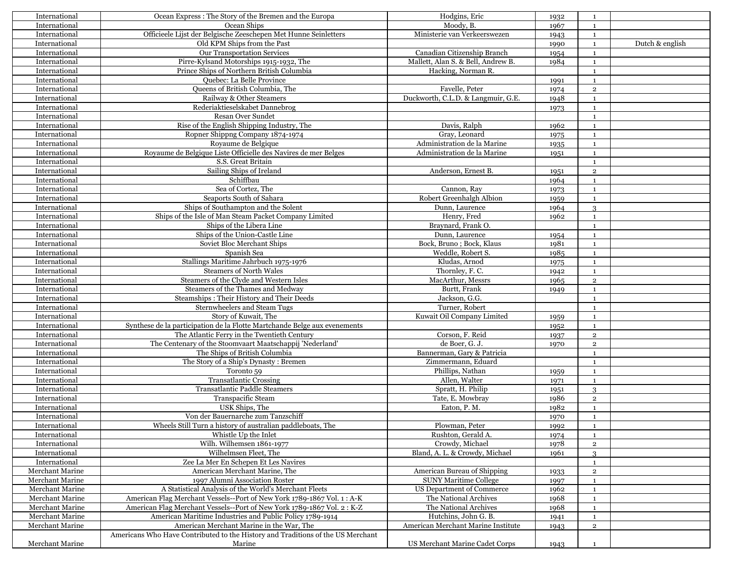| International   | Ocean Express : The Story of the Bremen and the Europa                          | Hodgins, Eric                       | 1932 | 1                            |                 |
|-----------------|---------------------------------------------------------------------------------|-------------------------------------|------|------------------------------|-----------------|
| International   | Ocean Ships                                                                     | Moody, B.                           | 1967 | $\mathbf{1}$                 |                 |
| International   | Officieele Lijst der Belgische Zeeschepen Met Hunne Seinletters                 | Ministerie van Verkeerswezen        | 1943 | $\mathbf{1}$                 |                 |
| International   | Old KPM Ships from the Past                                                     |                                     | 1990 | $\mathbf{1}$                 | Dutch & english |
| International   | Our Transportation Services                                                     | Canadian Citizenship Branch         | 1954 | $\mathbf{1}$                 |                 |
| International   | Pirre-Kylsand Motorships 1915-1932, The                                         | Mallett, Alan S. & Bell, Andrew B.  | 1984 | $\mathbf{1}$                 |                 |
| International   | Prince Ships of Northern British Columbia                                       | Hacking, Norman R.                  |      | $\blacksquare$               |                 |
| International   | Quebec: La Belle Province                                                       |                                     | 1991 | $\mathbf{1}$                 |                 |
| International   | Queens of British Columbia, The                                                 | Favelle, Peter                      | 1974 | $\overline{2}$               |                 |
| International   | Railway & Other Steamers                                                        | Duckworth, C.L.D. & Langmuir, G.E.  | 1948 | $\mathbf{1}$                 |                 |
| International   | Rederiaktieselskabet Dannebrog                                                  |                                     | 1973 | $\mathbf{1}$                 |                 |
| International   | Resan Over Sundet                                                               |                                     |      | $\mathbf{1}$                 |                 |
| International   | Rise of the English Shipping Industry, The                                      | Davis, Ralph                        | 1962 | $\mathbf{1}$                 |                 |
| International   | Ropner Shippng Company 1874-1974                                                | Gray, Leonard                       | 1975 | $\mathbf{1}$                 |                 |
| International   | Royaume de Belgique                                                             | Administration de la Marine         | 1935 | <sup>1</sup>                 |                 |
| International   | Royaume de Belgique Liste Officielle des Navires de mer Belges                  | Administration de la Marine         | 1951 | $\mathbf{1}$                 |                 |
| International   | S.S. Great Britain                                                              |                                     |      | $\mathbf{1}$                 |                 |
| International   | Sailing Ships of Ireland                                                        | Anderson, Ernest B.                 | 1951 | $\overline{2}$               |                 |
| International   | Schiffbau                                                                       |                                     | 1964 | $\mathbf{1}$                 |                 |
| International   | Sea of Cortez, The                                                              | Cannon, Ray                         | 1973 | <sup>1</sup>                 |                 |
| International   | Seaports South of Sahara                                                        | Robert Greenhalgh Albion            | 1959 | $\mathbf{1}$                 |                 |
| International   | Ships of Southampton and the Solent                                             | Dunn, Laurence                      | 1964 | 3                            |                 |
| International   | Ships of the Isle of Man Steam Packet Company Limited                           | Henry, Fred                         | 1962 | <sup>1</sup>                 |                 |
| International   | Ships of the Libera Line                                                        | Bravnard, Frank O.                  |      | $\mathbf{1}$                 |                 |
| International   | Ships of the Union-Castle Line                                                  | Dunn, Laurence                      | 1954 | $\blacksquare$               |                 |
| International   | Soviet Bloc Merchant Ships                                                      | Bock, Bruno; Bock, Klaus            | 1981 |                              |                 |
| International   | Spanish Sea                                                                     | Weddle, Robert S.                   | 1985 | -1                           |                 |
| International   | Stallings Maritime Jahrbuch 1975-1976                                           | Kludas, Arnod                       |      | $\mathbf{1}$<br>$\mathbf{1}$ |                 |
|                 | <b>Steamers of North Wales</b>                                                  |                                     | 1975 |                              |                 |
| International   | Steamers of the Clyde and Western Isles                                         | Thornley, F.C.<br>MacArthur, Messrs | 1942 | $\mathbf{1}$                 |                 |
| International   |                                                                                 |                                     | 1965 | $\overline{2}$               |                 |
| International   | Steamers of the Thames and Medway                                               | Burtt, Frank                        | 1949 | $\mathbf{1}$                 |                 |
| International   | Steamships: Their History and Their Deeds                                       | Jackson, G.G.                       |      | $\overline{1}$               |                 |
| International   | Sternwheelers and Steam Tugs                                                    | Turner, Robert                      |      | $\mathbf{1}$                 |                 |
| International   | Story of Kuwait, The                                                            | Kuwait Oil Company Limited          | 1959 | <sup>1</sup>                 |                 |
| International   | Synthese de la participation de la Flotte Martchande Belge aux evenements       |                                     | 1952 | $\mathbf{1}$                 |                 |
| International   | The Atlantic Ferry in the Twentieth Century                                     | Corson, F. Reid                     | 1937 | $\overline{2}$               |                 |
| International   | The Centenary of the Stoomvaart Maatschappij 'Nederland'                        | de Boer, G. J.                      | 1970 | $\overline{2}$               |                 |
| International   | The Ships of British Columbia                                                   | Bannerman, Gary & Patricia          |      | $\mathbf{1}$                 |                 |
| International   | The Story of a Ship's Dynasty: Bremen                                           | Zimmermann, Eduard                  |      | $\blacksquare$               |                 |
| International   | Toronto 59                                                                      | Phillips, Nathan                    | 1959 | $\mathbf{1}$                 |                 |
| International   | <b>Transatlantic Crossing</b>                                                   | Allen, Walter                       | 1971 | $\mathbf{1}$                 |                 |
| International   | Transatlantic Paddle Steamers                                                   | Spratt, H. Philip                   | 1951 | 3                            |                 |
| International   | Transpacific Steam                                                              | Tate, E. Mowbray                    | 1986 | $\overline{2}$               |                 |
| International   | USK Ships, The                                                                  | Eaton, P. M.                        | 1982 | $\mathbf{1}$                 |                 |
| International   | Von der Bauernarche zum Tanzschiff                                              |                                     | 1970 | <sup>1</sup>                 |                 |
| International   | Wheels Still Turn a history of australian paddleboats, The                      | Plowman, Peter                      | 1992 | $\mathbf 1$                  |                 |
| International   | Whistle Up the Inlet                                                            | Rushton, Gerald A.                  | 1974 | 1                            |                 |
| International   | Wilh. Wilhemsen 1861-1977                                                       | Crowdy, Michael                     | 1978 | $\overline{2}$               |                 |
| International   | Wilhelmsen Fleet, The                                                           | Bland, A. L. & Crowdy, Michael      | 1961 | $\mathcal{R}$                |                 |
| International   | Zee La Mer En Schepen Et Les Navires                                            |                                     |      | $\mathbf{1}$                 |                 |
| Merchant Marine | American Merchant Marine, The                                                   | American Bureau of Shipping         | 1933 | $\overline{2}$               |                 |
| Merchant Marine | 1997 Alumni Association Roster                                                  | <b>SUNY Maritime College</b>        | 1997 | 1                            |                 |
| Merchant Marine | A Statistical Analysis of the World's Merchant Fleets                           | US Department of Commerce           | 1962 | $\mathbf{1}$                 |                 |
| Merchant Marine | American Flag Merchant Vessels--Port of New York 1789-1867 Vol. 1: A-K          | The National Archives               | 1968 | <sup>1</sup>                 |                 |
| Merchant Marine | American Flag Merchant Vessels--Port of New York 1789-1867 Vol. 2: K-Z          | The National Archives               | 1968 | $\mathbf{1}$                 |                 |
| Merchant Marine | American Maritime Industries and Public Policy 1789-1914                        | Hutchins, John G. B.                | 1941 | $\mathbf{1}$                 |                 |
| Merchant Marine | American Merchant Marine in the War, The                                        | American Merchant Marine Institute  | 1943 | $\overline{2}$               |                 |
|                 | Americans Who Have Contributed to the History and Traditions of the US Merchant |                                     |      |                              |                 |
|                 |                                                                                 | US Merchant Marine Cadet Corps      |      |                              |                 |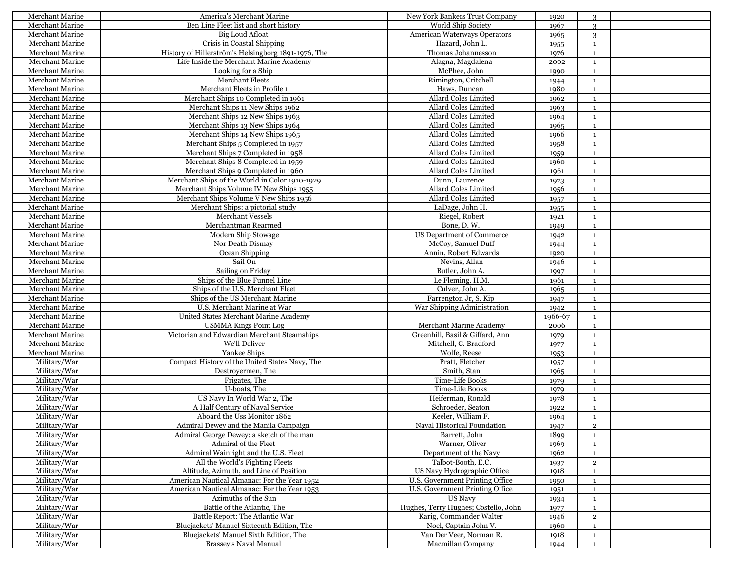| Merchant Marine        | America's Merchant Marine                           | New York Bankers Trust Company       | 1920    | 3                       |  |
|------------------------|-----------------------------------------------------|--------------------------------------|---------|-------------------------|--|
| Merchant Marine        | Ben Line Fleet list and short history               | World Ship Society                   | 1967    | 3                       |  |
| Merchant Marine        | Big Loud Afloat                                     | <b>American Waterways Operators</b>  | 1965    | 3                       |  |
| Merchant Marine        | Crisis in Coastal Shipping                          | Hazard, John L.                      | 1955    | $\mathbf{1}$            |  |
| Merchant Marine        | History of Hillerström's Helsingborg 1891-1976, The | Thomas Johannesson                   | 1976    | $\mathbf{1}$            |  |
| Merchant Marine        | Life Inside the Merchant Marine Academy             | Alagna, Magdalena                    | 2002    | $\mathbf{1}$            |  |
| Merchant Marine        | Looking for a Ship                                  | McPhee, John                         | 1990    | $\mathbf{1}$            |  |
| Merchant Marine        | Merchant Fleets                                     | Rimington, Critchell                 | 1944    | $\mathbf{1}$            |  |
| Merchant Marine        | Merchant Fleets in Profile 1                        | Haws, Duncan                         | 1980    | 1                       |  |
| Merchant Marine        | Merchant Ships 10 Completed in 1961                 | Allard Coles Limited                 | 1962    | $\mathbf{1}$            |  |
| Merchant Marine        | Merchant Ships 11 New Ships 1962                    | Allard Coles Limited                 | 1963    | $\mathbf{1}$            |  |
| Merchant Marine        | Merchant Ships 12 New Ships 1963                    | Allard Coles Limited                 | 1964    | 1                       |  |
| Merchant Marine        | Merchant Ships 13 New Ships 1964                    | Allard Coles Limited                 | 1965    | $\mathbf{1}$            |  |
| <b>Merchant Marine</b> | Merchant Ships 14 New Ships 1965                    | Allard Coles Limited                 | 1966    | $\mathbf{1}$            |  |
| Merchant Marine        | Merchant Ships 5 Completed in 1957                  | Allard Coles Limited                 | 1958    | $\mathbf{1}$            |  |
| Merchant Marine        | Merchant Ships 7 Completed in 1958                  | Allard Coles Limited                 | 1959    | $\mathbf{1}$            |  |
| Merchant Marine        | Merchant Ships 8 Completed in 1959                  | Allard Coles Limited                 | 1960    | 1                       |  |
| Merchant Marine        | Merchant Ships 9 Completed in 1960                  | Allard Coles Limited                 | 1961    | $\mathbf{1}$            |  |
| Merchant Marine        | Merchant Ships of the World in Color 1910-1929      | Dunn, Laurence                       | 1973    | $\mathbf{1}$            |  |
| Merchant Marine        | Merchant Ships Volume IV New Ships 1955             | Allard Coles Limited                 | 1956    | 1                       |  |
| Merchant Marine        | Merchant Ships Volume V New Ships 1956              | Allard Coles Limited                 | 1957    | $\mathbf{1}$            |  |
| Merchant Marine        | Merchant Ships: a pictorial study                   | LaDage, John H.                      | 1955    | $\mathbf{1}$            |  |
| Merchant Marine        | Merchant Vessels                                    | Riegel, Robert                       | 1921    | $\mathbf{1}$            |  |
| Merchant Marine        | Merchantman Rearmed                                 | Bone, D.W.                           | 1949    | <sup>1</sup>            |  |
| <b>Merchant Marine</b> | Modern Ship Stowage                                 | US Department of Commerce            | 1942    | $\mathbf{1}$            |  |
| Merchant Marine        | Nor Death Dismay                                    | McCoy, Samuel Duff                   | 1944    | $\mathbf{1}$            |  |
| <b>Merchant Marine</b> | Ocean Shipping                                      | Annin, Robert Edwards                | 1920    | $\mathbf{1}$            |  |
| Merchant Marine        | Sail On                                             | Nevins, Allan                        | 1946    | $\mathbf{1}$            |  |
| Merchant Marine        | Sailing on Friday                                   | Butler, John A.                      | 1997    | $\mathbf{1}$            |  |
| Merchant Marine        | Ships of the Blue Funnel Line                       | Le Fleming, H.M.                     | 1961    | $\mathbf{1}$            |  |
| Merchant Marine        | Ships of the U.S. Merchant Fleet                    | Culver, John A.                      | 1965    | 1                       |  |
| Merchant Marine        | Ships of the US Merchant Marine                     | Farrengton Jr, S. Kip                | 1947    | $\mathbf{1}$            |  |
| Merchant Marine        | U.S. Merchant Marine at War                         | War Shipping Administration          | 1942    | $\mathbf{1}$            |  |
| Merchant Marine        | United States Merchant Marine Academy               |                                      | 1966-67 | 1                       |  |
| Merchant Marine        | <b>USMMA Kings Point Log</b>                        | Merchant Marine Academy              | 2006    | $\mathbf{1}$            |  |
| Merchant Marine        | Victorian and Edwardian Merchant Steamships         | Greenhill, Basil & Giffard, Ann      | 1979    | $\mathbf{1}$            |  |
| Merchant Marine        | We'll Deliver                                       | Mitchell, C. Bradford                | 1977    | $\mathbf{1}$            |  |
| Merchant Marine        | Yankee Ships                                        | Wolfe, Reese                         | 1953    | $\mathbf{1}$            |  |
| Military/War           | Compact History of the United States Navy, The      | Pratt, Fletcher                      | 1957    | $\mathbf{1}$            |  |
| Military/War           | Destroyermen, The                                   | Smith, Stan                          | 1965    | $\mathbf{1}$            |  |
| Military/War           | Frigates, The                                       | Time-Life Books                      | 1979    | $\mathbf{1}$            |  |
| Military/War           | U-boats, The                                        | Time-Life Books                      | 1979    | $\mathbf{1}$            |  |
| Military/War           | US Navy In World War 2, The                         | Heiferman, Ronald                    | 1978    | $\mathbf{1}$            |  |
| Military/War           | A Half Century of Naval Service                     | Schroeder, Seaton                    | 1922    | $\mathbf{1}$            |  |
| Military/War           | Aboard the Uss Monitor 1862                         | Keeler, William F.                   | 1964    | 1                       |  |
| Military/War           | Admiral Dewey and the Manila Campaign               | Naval Historical Foundation          | 1947    | $\,2\,$                 |  |
| Military/War           | Admiral George Dewey: a sketch of the man           | Barrett, John                        | 1899    | $\mathbf{1}$            |  |
| Military/War           | Admiral of the Fleet                                | Warner, Oliver                       | 1969    | 1                       |  |
| Military/War           | Admiral Wainright and the U.S. Fleet                | Department of the Navy               | 1962    | $\mathbf{1}$            |  |
| Military/War           | All the World's Fighting Fleets                     | Talbot-Booth, E.C.                   | 1937    | $\overline{\mathbf{c}}$ |  |
| Military/War           | Altitude, Azimuth, and Line of Position             | US Navy Hydrographic Office          | 1918    | $\mathbf{1}$            |  |
| Military/War           | American Nautical Almanac: For the Year 1952        | U.S. Government Printing Office      | 1950    | $\mathbf{1}$            |  |
| Military/War           | American Nautical Almanac: For the Year 1953        | U.S. Government Printing Office      | 1951    | $\mathbf{1}$            |  |
| Military/War           | Azimuths of the Sun                                 | <b>US Navy</b>                       | 1934    | $\mathbf{1}$            |  |
| Military/War           | Battle of the Atlantic, The                         | Hughes, Terry Hughes; Costello, John | 1977    | 1                       |  |
| Military/War           | Battle Report: The Atlantic War                     | Karig, Commander Walter              | 1946    | $\overline{2}$          |  |
| Military/War           | Bluejackets' Manuel Sixteenth Edition, The          | Noel, Captain John V.                | 1960    | $\mathbf{1}$            |  |
| Military/War           | Bluejackets' Manuel Sixth Edition, The              | Van Der Veer, Norman R.              | 1918    | $\mathbf{1}$            |  |
| Military/War           | Brassey's Naval Manual                              | Macmillan Company                    | 1944    | <sup>1</sup>            |  |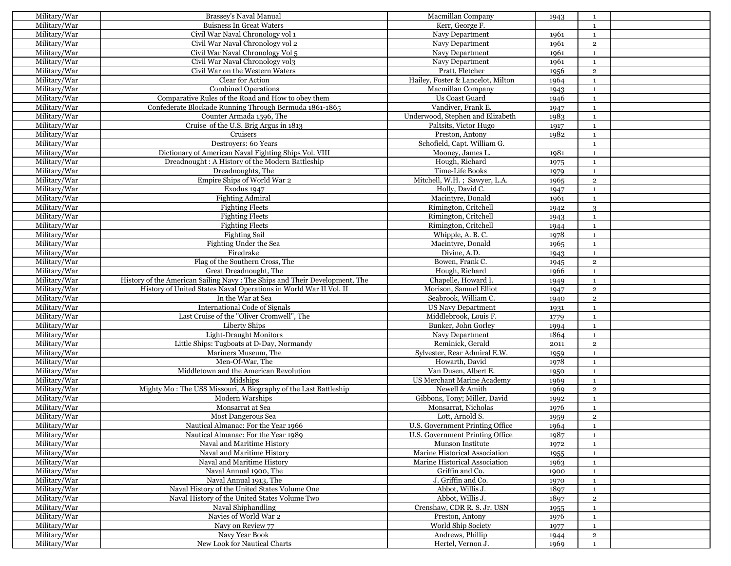| Military/War | Brassey's Naval Manual                                                     | Macmillan Company                                   | 1943         | 1              |  |
|--------------|----------------------------------------------------------------------------|-----------------------------------------------------|--------------|----------------|--|
| Military/War | <b>Buisness In Great Waters</b>                                            | Kerr, George F.                                     |              | $\mathbf{1}$   |  |
| Military/War | Civil War Naval Chronology vol 1                                           | Navy Department                                     | 1961         | $\mathbf{1}$   |  |
| Military/War | Civil War Naval Chronology vol 2                                           | Navy Department                                     | 1961         | $\overline{2}$ |  |
| Military/War | Civil War Naval Chronology Vol 5                                           | Navy Department                                     | 1961         | $\mathbf{1}$   |  |
| Military/War | Civil War Naval Chronology vol3                                            | Navy Department                                     | 1961         | $\mathbf{1}$   |  |
| Military/War | Civil War on the Western Waters                                            | Pratt, Fletcher                                     | 1956         | $\overline{2}$ |  |
| Military/War | Clear for Action                                                           | Hailey, Foster & Lancelot, Milton                   | 1964         | $\mathbf{1}$   |  |
| Military/War | <b>Combined Operations</b>                                                 | Macmillan Company                                   | 1943         | $\mathbf{1}$   |  |
| Military/War | Comparative Rules of the Road and How to obey them                         | Us Coast Guard                                      | 1946         | $\mathbf{1}$   |  |
| Military/War | Confederate Blockade Running Through Bermuda 1861-1865                     | Vandiver, Frank E.                                  | 1947         | $\mathbf{1}$   |  |
| Military/War | Counter Armada 1596, The                                                   | Underwood, Stephen and Elizabeth                    | 1983         | 1              |  |
| Military/War | Cruise of the U.S. Brig Argus in 1813                                      | Paltsits, Victor Hugo                               |              | $\mathbf{1}$   |  |
|              | Cruisers                                                                   |                                                     | 1917         |                |  |
| Military/War |                                                                            | Preston, Antony                                     | 1982         | $\mathbf{1}$   |  |
| Military/War | Destroyers: 60 Years                                                       | Schofield, Capt. William G.                         |              | 1              |  |
| Military/War | Dictionary of American Naval Fighting Ships Vol. VIII                      | Mooney, James L.                                    | 1981         | 1              |  |
| Military/War | Dreadnought: A History of the Modern Battleship                            | Hough, Richard                                      | 1975         | $\mathbf{1}$   |  |
| Military/War | Dreadnoughts, The                                                          | Time-Life Books                                     | 1979         | $\mathbf{1}$   |  |
| Military/War | Empire Ships of World War 2                                                | Mitchell, W.H.; Sawyer, L.A.                        | 1965         | $\overline{2}$ |  |
| Military/War | Exodus 1947                                                                | Holly, David C.                                     | 1947         | $\mathbf{1}$   |  |
| Military/War | <b>Fighting Admiral</b>                                                    | Macintyre, Donald                                   | 1961         | $\mathbf{1}$   |  |
| Military/War | <b>Fighting Fleets</b>                                                     | Rimington, Critchell                                | 1942         | 3              |  |
| Military/War | <b>Fighting Fleets</b>                                                     | Rimington, Critchell                                | 1943         | $\mathbf{1}$   |  |
| Military/War | <b>Fighting Fleets</b>                                                     | Rimington, Critchell                                | 1944         | $\mathbf{1}$   |  |
| Military/War | <b>Fighting Sail</b>                                                       | Whipple, A. B. C.                                   | 1978         | $\mathbf{1}$   |  |
| Military/War | Fighting Under the Sea                                                     | Macintyre, Donald                                   | 1965         | $\mathbf{1}$   |  |
| Military/War | Firedrake                                                                  | Divine, A.D.                                        | 1943         | $\mathbf{1}$   |  |
| Military/War | Flag of the Southern Cross, The                                            | Bowen, Frank C.                                     | 1945         | $\overline{2}$ |  |
| Military/War | Great Dreadnought, The                                                     | Hough, Richard                                      | 1966         | $\mathbf{1}$   |  |
| Military/War | History of the American Sailing Navy: The Ships and Their Development, The | Chapelle, Howard I.                                 | 1949         | 1              |  |
| Military/War | History of United States Naval Operations in World War II Vol. II          | Morison, Samuel Elliot                              | 1947         | $\overline{2}$ |  |
| Military/War | In the War at Sea                                                          | Seabrook, William C.                                | 1940         | $\overline{2}$ |  |
| Military/War | International Code of Signals                                              | <b>US Navy Department</b>                           | 1931         | $\mathbf{1}$   |  |
| Military/War | Last Cruise of the "Oliver Cromwell", The                                  | Middlebrook, Louis F.                               | 1779         | 1              |  |
| Military/War | Liberty Ships                                                              | Bunker, John Gorley                                 | 1994         | $\mathbf{1}$   |  |
| Military/War | <b>Light-Draught Monitors</b>                                              | Navy Department                                     | 1864         | $\mathbf{1}$   |  |
| Military/War | Little Ships: Tugboats at D-Day, Normandy                                  | Reminick, Gerald                                    | 2011         | $\overline{2}$ |  |
| Military/War | Mariners Museum, The                                                       | Sylvester, Rear Admiral E.W.                        | 1959         | $\mathbf{1}$   |  |
| Military/War | Men-Of-War, The                                                            | Howarth, David                                      | 1978         | $\mathbf{1}$   |  |
| Military/War | Middletown and the American Revolution                                     | Van Dusen, Albert E.                                |              | 1              |  |
| Military/War | Midships                                                                   | US Merchant Marine Academy                          | 1950<br>1969 | 1              |  |
| Military/War | Mighty Mo: The USS Missouri, A Biography of the Last Battleship            | Newell & Amith                                      |              |                |  |
|              |                                                                            |                                                     | 1969         | $\overline{2}$ |  |
| Military/War | Modern Warships<br>Monsarrat at Sea                                        | Gibbons, Tony; Miller, David<br>Monsarrat, Nicholas | 1992         | $\mathbf{1}$   |  |
| Military/War |                                                                            |                                                     | 1976         | $\mathbf{1}$   |  |
| Military/War | Most Dangerous Sea                                                         | Lott, Arnold S.                                     | 1959         | $\overline{2}$ |  |
| Military/War | Nautical Almanac: For the Year 1966                                        | U.S. Government Printing Office                     | 1964         | $\mathbf 1$    |  |
| Military/War | Nautical Almanac: For the Year 1989                                        | U.S. Government Printing Office                     | 1987         | 1              |  |
| Military/War | Naval and Maritime History                                                 | Munson Institute                                    | 1972         | 1              |  |
| Military/War | Naval and Maritime History                                                 | Marine Historical Association                       | 1955         | $\mathbf{1}$   |  |
| Military/War | Naval and Maritime History                                                 | Marine Historical Association                       | 1963         | $\mathbf{1}$   |  |
| Military/War | Naval Annual 1900, The                                                     | Griffin and Co.                                     | 1900         | $\mathbf{1}$   |  |
| Military/War | Naval Annual 1913, The                                                     | J. Griffin and Co.                                  | 1970         | $\mathbf{1}$   |  |
| Military/War | Naval History of the United States Volume One                              | Abbot, Willis J.                                    | 1897         | $\mathbf{1}$   |  |
| Military/War | Naval History of the United States Volume Two                              | Abbot, Willis J.                                    | 1897         | $\overline{2}$ |  |
| Military/War | Naval Shiphandling                                                         | Crenshaw, CDR R. S. Jr. USN                         | 1955         | $\mathbf{1}$   |  |
| Military/War | Navies of World War 2                                                      | Preston, Antony                                     | 1976         | $\mathbf{1}$   |  |
| Military/War | Navy on Review 77                                                          | World Ship Society                                  | 1977         | $\mathbf{1}$   |  |
| Military/War | Navy Year Book                                                             | Andrews, Phillip                                    | 1944         | $\overline{2}$ |  |
| Military/War | New Look for Nautical Charts                                               | Hertel, Vernon J.                                   | 1969         | <sup>1</sup>   |  |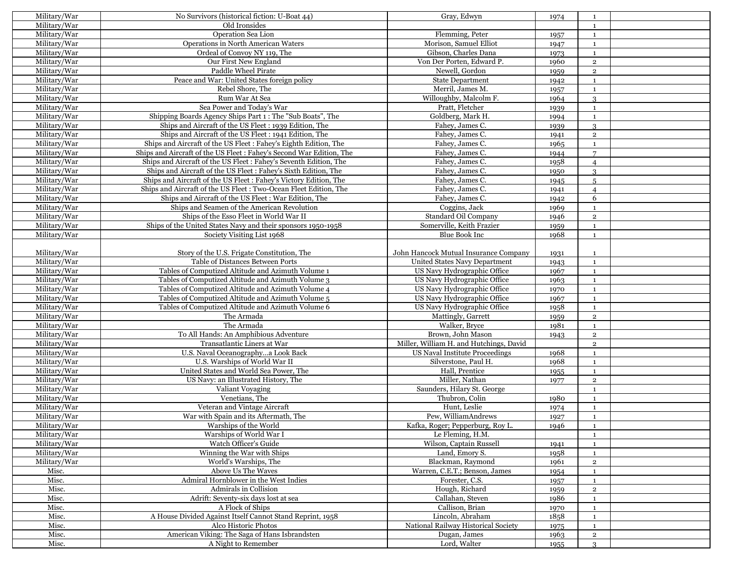| Military/War | No Survivors (historical fiction: U-Boat 44)                         | Gray, Edwyn                             | 1974 | 1              |  |
|--------------|----------------------------------------------------------------------|-----------------------------------------|------|----------------|--|
| Military/War | Old Ironsides                                                        |                                         |      | $\mathbf{1}$   |  |
| Military/War | Operation Sea Lion                                                   | Flemming, Peter                         | 1957 | $\mathbf{1}$   |  |
| Military/War | Operations in North American Waters                                  | Morison, Samuel Elliot                  | 1947 | $\mathbf{1}$   |  |
| Military/War | Ordeal of Convoy NY 119, The                                         | Gibson, Charles Dana                    | 1973 | $\mathbf{1}$   |  |
| Military/War | Our First New England                                                | Von Der Porten, Edward P.               | 1960 | $\overline{2}$ |  |
| Military/War | Paddle Wheel Pirate                                                  | Newell, Gordon                          | 1959 | $\mathbf 2$    |  |
| Military/War | Peace and War: United States foreign policy                          | <b>State Department</b>                 | 1942 | $\mathbf{1}$   |  |
| Military/War | Rebel Shore, The                                                     | Merril, James M.                        |      | $\mathbf{1}$   |  |
| Military/War | Rum War At Sea                                                       | Willoughby, Malcolm F.                  | 1957 |                |  |
|              | Sea Power and Today's War                                            |                                         | 1964 | 3              |  |
| Military/War |                                                                      | Pratt, Fletcher                         | 1939 | $\mathbf{1}$   |  |
| Military/War | Shipping Boards Agency Ships Part 1: The "Sub Boats", The            | Goldberg, Mark H.                       | 1994 | $\mathbf{1}$   |  |
| Military/War | Ships and Aircraft of the US Fleet : 1939 Edition, The               | Fahey, James C.                         | 1939 | 3              |  |
| Military/War | Ships and Aircraft of the US Fleet : 1941 Edition, The               | Fahey, James C.                         | 1941 | $\mathbf 2$    |  |
| Military/War | Ships and Aircraft of the US Fleet: Fahey's Eighth Edition, The      | Fahev, James C.                         | 1965 | 1              |  |
| Military/War | Ships and Aircraft of the US Fleet : Fahey's Second War Edition, The | Fahey, James C.                         | 1944 | $\overline{7}$ |  |
| Military/War | Ships and Aircraft of the US Fleet: Fahey's Seventh Edition, The     | Fahey, James C.                         | 1958 | $\overline{4}$ |  |
| Military/War | Ships and Aircraft of the US Fleet: Fahey's Sixth Edition, The       | Fahey, James C.                         | 1950 | 3              |  |
| Military/War | Ships and Aircraft of the US Fleet: Fahey's Victory Edition, The     | Fahey, James C.                         | 1945 | $\overline{5}$ |  |
| Military/War | Ships and Aircraft of the US Fleet: Two-Ocean Fleet Edition, The     | Fahey, James C.                         | 1941 | $\overline{4}$ |  |
| Military/War | Ships and Aircraft of the US Fleet: War Edition, The                 | Fahey, James C.                         | 1942 | 6              |  |
| Military/War | Ships and Seamen of the American Revolution                          | Coggins, Jack                           | 1969 | 1              |  |
| Military/War | Ships of the Esso Fleet in World War II                              | Standard Oil Company                    | 1946 | $\overline{2}$ |  |
| Military/War | Ships of the United States Navy and their sponsors 1950-1958         | Somerville, Keith Frazier               | 1959 | $\mathbf{1}$   |  |
| Military/War | Society Visiting List 1968                                           | Blue Book Inc                           | 1968 | $\mathbf{1}$   |  |
|              |                                                                      |                                         |      |                |  |
| Military/War | Story of the U.S. Frigate Constitution, The                          | John Hancock Mutual Insurance Company   | 1931 | $\mathbf{1}$   |  |
| Military/War | Table of Distances Between Ports                                     | United States Navy Department           | 1943 | $\mathbf{1}$   |  |
| Military/War | Tables of Computized Altitude and Azimuth Volume 1                   | US Navy Hydrographic Office             | 1967 | $\mathbf{1}$   |  |
| Military/War | Tables of Computized Altitude and Azimuth Volume 3                   | US Navy Hydrographic Office             | 1963 | $\mathbf{1}$   |  |
| Military/War | Tables of Computized Altitude and Azimuth Volume 4                   | US Navy Hydrographic Office             | 1970 | $\mathbf{1}$   |  |
| Military/War | Tables of Computized Altitude and Azimuth Volume 5                   | US Navy Hydrographic Office             | 1967 | $\mathbf{1}$   |  |
| Military/War | Tables of Computized Altitude and Azimuth Volume 6                   | US Navy Hydrographic Office             | 1958 | $\mathbf{1}$   |  |
| Military/War | The Armada                                                           | Mattingly, Garrett                      |      | $\overline{2}$ |  |
|              | The Armada                                                           | Walker, Bryce                           | 1959 |                |  |
| Military/War |                                                                      |                                         | 1981 | $\mathbf{1}$   |  |
| Military/War | To All Hands: An Amphibious Adventure                                | Brown, John Mason                       | 1943 | $\mathbf 2$    |  |
| Military/War | Transatlantic Liners at War                                          | Miller, William H. and Hutchings, David |      | $\overline{2}$ |  |
| Military/War | U.S. Naval Oceanographya Look Back                                   | US Naval Institute Proceedings          | 1968 | $\mathbf{1}$   |  |
| Military/War | U.S. Warships of World War II                                        | Silverstone, Paul H.                    | 1968 | $\mathbf 1$    |  |
| Military/War | United States and World Sea Power, The                               | Hall, Prentice                          | 1955 | $\mathbf{1}$   |  |
| Military/War | US Navy: an Illustrated History, The                                 | Miller, Nathan                          | 1977 | $\overline{2}$ |  |
| Military/War | Valiant Voyaging                                                     | Saunders, Hilary St. George             |      | $\mathbf{1}$   |  |
| Military/War | Venetians, The                                                       | Thubron, Colin                          | 1980 | $\mathbf{1}$   |  |
| Military/War | Veteran and Vintage Aircraft                                         | Hunt, Leslie                            | 1974 | $\mathbf{1}$   |  |
| Military/War | War with Spain and its Aftermath, The                                | Pew, WilliamAndrews                     | 1927 | $\mathbf{1}$   |  |
| Military/War | Warships of the World                                                | Kafka, Roger; Pepperburg, Roy L.        | 1946 | $\mathbf{1}$   |  |
| Military/War | Warships of World War I                                              | Le Fleming, H.M.                        |      | $\mathbf{1}$   |  |
| Military/War | Watch Officer's Guide                                                | Wilson, Captain Russell                 | 1941 | 1              |  |
| Military/War | Winning the War with Ships                                           | Land, Emory S.                          | 1958 | $\mathbf{1}$   |  |
| Military/War | World's Warships, The                                                | Blackman, Raymond                       | 1961 | $\overline{2}$ |  |
| Misc.        | Above Us The Waves                                                   | Warren, C.E.T.; Benson, James           | 1954 | 1              |  |
| Misc.        | Admiral Hornblower in the West Indies                                | Forester, C.S.                          | 1957 | $\mathbf{1}$   |  |
| Misc.        | Admirals in Collision                                                | Hough, Richard                          | 1959 | $\overline{2}$ |  |
| Misc.        | Adrift: Seventy-six days lost at sea                                 | Callahan, Steven                        | 1986 | $\mathbf{1}$   |  |
| Misc.        | A Flock of Ships                                                     | Callison, Brian                         | 1970 | $\mathbf{1}$   |  |
| Misc.        | A House Divided Against Itself Cannot Stand Reprint, 1958            | Lincoln, Abraham                        | 1858 | $\mathbf{1}$   |  |
| Misc.        | Alco Historic Photos                                                 | National Railway Historical Society     | 1975 | $\mathbf{1}$   |  |
| Misc.        | American Viking: The Saga of Hans Isbrandsten                        | Dugan, James                            | 1963 | $\overline{2}$ |  |
| Misc.        | A Night to Remember                                                  | Lord, Walter                            |      | $\mathcal{R}$  |  |
|              |                                                                      |                                         | 1955 |                |  |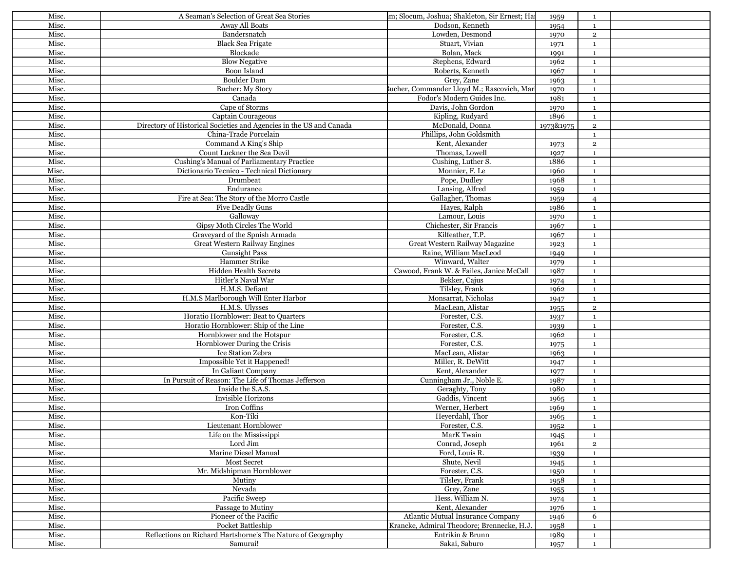| Misc. | A Seaman's Selection of Great Sea Stories                           | m; Slocum, Joshua; Shakleton, Sir Ernest; Ha                                    | 1959         | 1                            |  |
|-------|---------------------------------------------------------------------|---------------------------------------------------------------------------------|--------------|------------------------------|--|
| Misc. | <b>Away All Boats</b>                                               | Dodson, Kenneth                                                                 | 1954         | $\mathbf{1}$                 |  |
| Misc. | Bandersnatch                                                        | Lowden, Desmond                                                                 | 1970         | $\overline{2}$               |  |
| Misc. | <b>Black Sea Frigate</b>                                            | Stuart, Vivian                                                                  | 1971         | $\mathbf{1}$                 |  |
| Misc. | Blockade                                                            | Bolan, Mack                                                                     | 1991         | $\mathbf{1}$                 |  |
| Misc. | <b>Blow Negative</b>                                                | Stephens, Edward                                                                | 1962         | $\mathbf{1}$                 |  |
| Misc. | Boon Island                                                         | Roberts, Kenneth                                                                | 1967         | $\mathbf{1}$                 |  |
| Misc. | <b>Boulder Dam</b>                                                  | Grey, Zane                                                                      | 1963         | $\mathbf{1}$                 |  |
| Misc. | <b>Bucher: My Story</b>                                             | Bucher, Commander Lloyd M.; Rascovich, Mar                                      | 1970         | $\mathbf{1}$                 |  |
| Misc. | Canada                                                              | Fodor's Modern Guides Inc.                                                      | 1981         | $\mathbf{1}$                 |  |
| Misc. | Cape of Storms                                                      | Davis, John Gordon                                                              | 1970         | $\mathbf{1}$                 |  |
| Misc. | Captain Courageous                                                  | Kipling, Rudyard                                                                | 1896         | $\mathbf{1}$                 |  |
| Misc. | Directory of Historical Societies and Agencies in the US and Canada | McDonald, Donna                                                                 | 1973&1975    | $\overline{2}$               |  |
| Misc. | China-Trade Porcelain                                               | Phillips, John Goldsmith                                                        |              |                              |  |
| Misc. |                                                                     |                                                                                 |              | $\mathbf{1}$                 |  |
|       | Command A King's Ship                                               | Kent, Alexander                                                                 | 1973         | $\mathbf 2$                  |  |
| Misc. | Count Luckner the Sea Devil                                         | Thomas, Lowell                                                                  | 1927         | $\mathbf{1}$                 |  |
| Misc. | Cushing's Manual of Parliamentary Practice                          | Cushing, Luther S.                                                              | 1886         | $\mathbf{1}$                 |  |
| Misc. | Dictionario Tecnico - Technical Dictionary                          | Monnier, F. Le                                                                  | 1960         | $\mathbf{1}$                 |  |
| Misc. | Drumbeat                                                            | Pope, Dudley                                                                    | 1968         | $\mathbf{1}$                 |  |
| Misc. | Endurance                                                           | Lansing, Alfred                                                                 | 1959         | $\mathbf{1}$                 |  |
| Misc. | Fire at Sea: The Story of the Morro Castle                          | Gallagher, Thomas                                                               | 1959         | $\overline{4}$               |  |
| Misc. | <b>Five Deadly Guns</b>                                             | Hayes, Ralph                                                                    | 1986         | $\mathbf{1}$                 |  |
| Misc. | Galloway                                                            | Lamour, Louis                                                                   | 1970         | $\mathbf{1}$                 |  |
| Misc. | Gipsy Moth Circles The World                                        | Chichester, Sir Francis                                                         | 1967         | $\mathbf{1}$                 |  |
| Misc. | Graveyard of the Spnish Armada                                      | Kilfeather, T.P.                                                                | 1967         | $\mathbf{1}$                 |  |
| Misc. | Great Western Railway Engines                                       | Great Western Railway Magazine                                                  | 1923         | $\mathbf{1}$                 |  |
| Misc. | <b>Gunsight Pass</b>                                                | Raine, William MacLeod                                                          | 1949         | $\mathbf{1}$                 |  |
| Misc. | Hammer Strike                                                       | Winward, Walter                                                                 | 1979         | $\mathbf{1}$                 |  |
| Misc. | <b>Hidden Health Secrets</b>                                        | Cawood, Frank W. & Failes, Janice McCall                                        | 1987         | $\mathbf{1}$                 |  |
| Misc. | Hitler's Naval War                                                  | Bekker, Cajus                                                                   | 1974         | $\mathbf{1}$                 |  |
| Misc. | H.M.S. Defiant                                                      | Tilsley, Frank                                                                  | 1962         | $\mathbf{1}$                 |  |
| Misc. | H.M.S Marlborough Will Enter Harbor                                 | Monsarrat, Nicholas                                                             | 1947         | $\mathbf{1}$                 |  |
| Misc. | H.M.S. Ulysses                                                      | MacLean, Alistar                                                                | 1955         | $\mathbf 2$                  |  |
| Misc. | Horatio Hornblower: Beat to Quarters                                | Forester, C.S.                                                                  | 1937         | $\mathbf{1}$                 |  |
| Misc. | Horatio Hornblower: Ship of the Line                                | Forester, C.S.                                                                  | 1939         | $\mathbf{1}$                 |  |
| Misc. | Hornblower and the Hotspur                                          | Forester, C.S.                                                                  | 1962         | $\mathbf{1}$                 |  |
| Misc. | Hornblower During the Crisis                                        | Forester, C.S.                                                                  | 1975         | $\mathbf{1}$                 |  |
| Misc. | Ice Station Zebra                                                   | MacLean, Alistar                                                                | 1963         | $\mathbf{1}$                 |  |
| Misc. | Impossible Yet it Happened!                                         | Miller, R. DeWitt                                                               | 1947         | $\mathbf{1}$                 |  |
| Misc. | In Galiant Company                                                  | Kent. Alexander                                                                 | 1977         | $\mathbf{1}$                 |  |
| Misc. | In Pursuit of Reason: The Life of Thomas Jefferson                  | Cunningham Jr., Noble E.                                                        | 1987         | $\mathbf{1}$                 |  |
| Misc. | Inside the S.A.S.                                                   | Geraghty, Tony                                                                  | 1980         | $\mathbf{1}$                 |  |
| Misc. | Invisible Horizons                                                  | Gaddis, Vincent                                                                 | 1965         | $\mathbf{1}$                 |  |
| Misc. | Iron Coffins                                                        | Werner, Herbert                                                                 | 1969         | $\mathbf{1}$                 |  |
| Misc. | Kon-Tiki                                                            | Heyerdahl, Thor                                                                 | 1965         | $\mathbf{1}$                 |  |
| Misc. | Lieutenant Hornblower                                               | Forester, C.S.                                                                  | 1952         | $\mathbf{1}$                 |  |
| Misc. | Life on the Mississippi                                             | MarK Twain                                                                      | 1945         | $\mathbf{1}$                 |  |
| Misc. | Lord Jim                                                            | Conrad, Joseph                                                                  | 1961         | $\overline{2}$               |  |
| Misc. | Marine Diesel Manual                                                | Ford, Louis R.                                                                  | 1939         | $\mathbf{1}$                 |  |
| Misc. | <b>Most Secret</b>                                                  | Shute, Nevil                                                                    | 1945         | $\mathbf{1}$                 |  |
| Misc. | Mr. Midshipman Hornblower                                           | Forester, C.S.                                                                  |              | $\mathbf{1}$                 |  |
| Misc. | Mutiny                                                              | Tilsley, Frank                                                                  | 1950<br>1958 | $\mathbf{1}$                 |  |
| Misc. | Nevada                                                              | Grey, Zane                                                                      |              |                              |  |
| Misc. | Pacific Sweep                                                       | Hess. William N.                                                                | 1955         | $\mathbf{1}$<br>$\mathbf{1}$ |  |
|       | Passage to Mutiny                                                   |                                                                                 | 1974         |                              |  |
| Misc. | Pioneer of the Pacific                                              | Kent, Alexander                                                                 | 1976         | $\mathbf{1}$                 |  |
| Misc. | Pocket Battleship                                                   | Atlantic Mutual Insurance Company<br>Krancke, Admiral Theodore; Brennecke, H.J. | 1946         | 6                            |  |
| Misc. |                                                                     |                                                                                 | 1958         | $\mathbf{1}$                 |  |
| Misc. | Reflections on Richard Hartshorne's The Nature of Geography         | Entrikin & Brunn                                                                | 1989         | $\mathbf{1}$                 |  |
| Misc. | Samurai!                                                            | Sakai, Saburo                                                                   | 1957         | $\mathbf{1}$                 |  |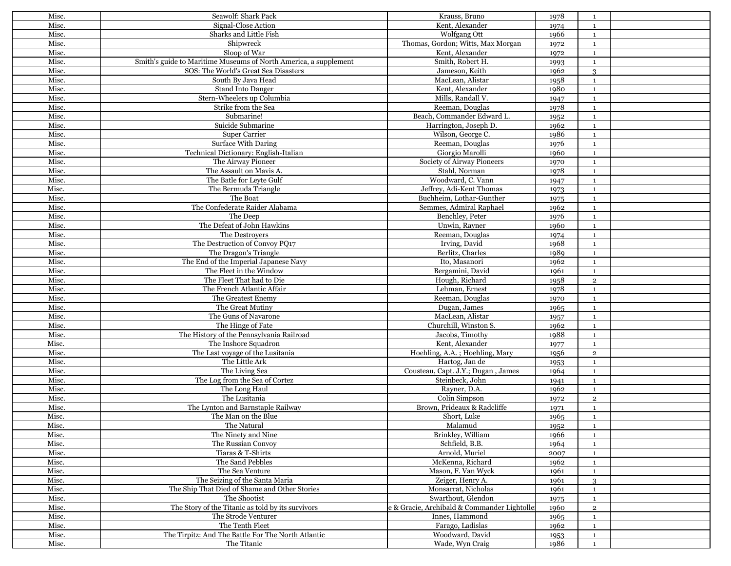| Misc. | Seawolf: Shark Pack                                              | Krauss, Bruno                               | 1978 | 1              |  |
|-------|------------------------------------------------------------------|---------------------------------------------|------|----------------|--|
| Misc. | Signal-Close Action                                              | Kent, Alexander                             | 1974 | <sup>1</sup>   |  |
| Misc. | Sharks and Little Fish                                           | Wolfgang Ott                                | 1966 | $\mathbf{1}$   |  |
| Misc. | Shipwreck                                                        | Thomas, Gordon; Witts, Max Morgan           | 1972 | $\mathbf{1}$   |  |
| Misc. | Sloop of War                                                     | Kent, Alexander                             | 1972 | $\mathbf{1}$   |  |
| Misc. | Smith's guide to Maritime Museums of North America, a supplement | Smith, Robert H.                            | 1993 | $\mathbf{1}$   |  |
| Misc. | SOS: The World's Great Sea Disasters                             | Jameson, Keith                              | 1962 | 3              |  |
| Misc. | South By Java Head                                               | MacLean, Alistar                            | 1958 | $\mathbf{1}$   |  |
| Misc. | Stand Into Danger                                                | Kent, Alexander                             | 1980 | $\mathbf{1}$   |  |
| Misc. | Stern-Wheelers up Columbia                                       | Mills, Randall V.                           | 1947 | $\mathbf{1}$   |  |
| Misc. | Strike from the Sea                                              | Reeman, Douglas                             | 1978 | $\mathbf 1$    |  |
| Misc. | Submarine!                                                       |                                             |      |                |  |
|       | Suicide Submarine                                                | Beach, Commander Edward L.                  | 1952 | $\mathbf{1}$   |  |
| Misc. |                                                                  | Harrington, Joseph D.                       | 1962 | $\mathbf{1}$   |  |
| Misc. | <b>Super Carrier</b>                                             | Wilson, George C.                           | 1986 | $\mathbf{1}$   |  |
| Misc. | <b>Surface With Daring</b>                                       | Reeman, Douglas                             | 1976 | $\mathbf{1}$   |  |
| Misc. | Technical Dictionary: English-Italian                            | Giorgio Marolli                             | 1960 | $\mathbf{1}$   |  |
| Misc. | The Airway Pioneer                                               | Society of Airway Pioneers                  | 1970 | <sup>1</sup>   |  |
| Misc. | The Assault on Mavis A.                                          | Stahl, Norman                               | 1978 | $\mathbf{1}$   |  |
| Misc. | The Batle for Levte Gulf                                         | Woodward, C. Vann                           | 1947 | $\mathbf{1}$   |  |
| Misc. | The Bermuda Triangle                                             | Jeffrey, Adi-Kent Thomas                    | 1973 | $\mathbf{1}$   |  |
| Misc. | The Boat                                                         | Buchheim, Lothar-Gunther                    | 1975 | $\mathbf{1}$   |  |
| Misc. | The Confederate Raider Alabama                                   | Semmes, Admiral Raphael                     | 1962 | $\mathbf{1}$   |  |
| Misc. | The Deep                                                         | Benchley, Peter                             | 1976 | $\mathbf{1}$   |  |
| Misc. | The Defeat of John Hawkins                                       | Unwin, Rayner                               | 1960 | <sup>1</sup>   |  |
| Misc. | The Destrovers                                                   | Reeman, Douglas                             | 1974 | $\mathbf{1}$   |  |
| Misc. | The Destruction of Convoy PO17                                   | Irving, David                               | 1968 | <sup>1</sup>   |  |
| Misc. | The Dragon's Triangle                                            | Berlitz, Charles                            | 1989 | $\mathbf{1}$   |  |
| Misc. | The End of the Imperial Japanese Navy                            | Ito, Masanori                               | 1962 | $\mathbf{1}$   |  |
| Misc. | The Fleet in the Window                                          | Bergamini, David                            | 1961 | $\mathbf{1}$   |  |
| Misc. | The Fleet That had to Die                                        | Hough, Richard                              | 1958 | $\overline{2}$ |  |
| Misc. | The French Atlantic Affair                                       | Lehman, Ernest                              |      |                |  |
|       |                                                                  |                                             | 1978 | <sup>1</sup>   |  |
| Misc. | The Greatest Enemy                                               | Reeman, Douglas                             | 1970 | $\mathbf 1$    |  |
| Misc. | The Great Mutiny                                                 | Dugan, James                                | 1965 | $\mathbf{1}$   |  |
| Misc. | The Guns of Navarone                                             | MacLean, Alistar                            | 1957 | <sup>1</sup>   |  |
| Misc. | The Hinge of Fate                                                | Churchill, Winston S.                       | 1962 | $\mathbf{1}$   |  |
| Misc. | The History of the Pennsylvania Railroad                         | Jacobs, Timothy                             | 1988 | $\mathbf 1$    |  |
| Misc. | The Inshore Squadron                                             | Kent, Alexander                             | 1977 | $\mathbf{1}$   |  |
| Misc. | The Last voyage of the Lusitania                                 | Hoehling, A.A.; Hoehling, Mary              | 1956 | $\overline{2}$ |  |
| Misc. | The Little Ark                                                   | Hartog, Jan de                              | 1953 | $\mathbf 1$    |  |
| Misc. | The Living Sea                                                   | Cousteau, Capt. J.Y.; Dugan, James          | 1964 | $\mathbf{1}$   |  |
| Misc. | The Log from the Sea of Cortez                                   | Steinbeck, John                             | 1941 | $\mathbf{1}$   |  |
| Misc. | The Long Haul                                                    | Rayner, D.A.                                | 1962 | <sup>1</sup>   |  |
| Misc. | The Lusitania                                                    | Colin Simpson                               | 1972 | $\overline{2}$ |  |
| Misc. | The Lynton and Barnstaple Railway                                | Brown, Prideaux & Radcliffe                 | 1971 | $\mathbf{1}$   |  |
| Misc. | The Man on the Blue                                              | Short, Luke                                 | 1965 | $\mathbf{1}$   |  |
| Misc. | The Natural                                                      | Malamud                                     | 1952 | $\mathbf{1}$   |  |
| Misc. | The Ninety and Nine                                              | Brinkley, William                           | 1966 | <sup>1</sup>   |  |
| Misc. | The Russian Convoy                                               | Schfield, B.B.                              | 1964 | <sup>1</sup>   |  |
| Misc. | Tiaras & T-Shirts                                                | Arnold, Muriel                              | 2007 | $\mathbf{1}$   |  |
| Misc. | The Sand Pebbles                                                 | McKenna, Richard                            | 1962 | $\mathbf{1}$   |  |
| Misc. | The Sea Venture                                                  | Mason, F. Van Wyck                          | 1961 | $\mathbf{1}$   |  |
| Misc. | The Seizing of the Santa Maria                                   | Zeiger, Henry A.                            | 1961 | $\mathcal{S}$  |  |
| Misc. | The Ship That Died of Shame and Other Stories                    | Monsarrat, Nicholas                         | 1961 | $\mathbf{1}$   |  |
|       | The Shootist                                                     |                                             |      |                |  |
| Misc. |                                                                  | Swarthout, Glendon                          | 1975 | $\mathbf{1}$   |  |
| Misc. | The Story of the Titanic as told by its survivors                | e & Gracie, Archibald & Commander Lightolle | 1960 | $\overline{2}$ |  |
| Misc. | The Strode Venturer                                              | Innes, Hammond                              | 1965 | $\mathbf{1}$   |  |
| Misc. | The Tenth Fleet                                                  | Farago, Ladislas                            | 1962 | $\mathbf 1$    |  |
| Misc. | The Tirpitz: And The Battle For The North Atlantic               | Woodward, David                             | 1953 | $\mathbf{1}$   |  |
| Misc. | The Titanic                                                      | Wade, Wyn Craig                             | 1986 | $\mathbf{1}$   |  |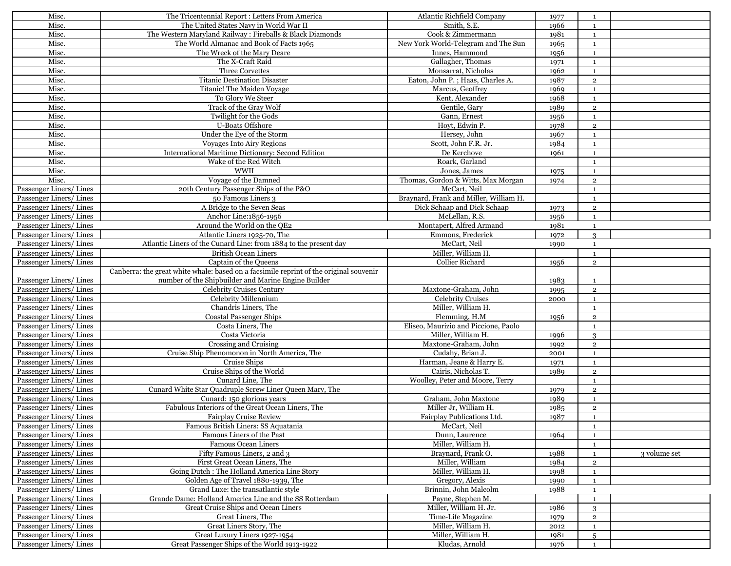| Misc.                   | The Tricentennial Report : Letters From America                                        | Atlantic Richfield Company             | 1977 | 1              |              |
|-------------------------|----------------------------------------------------------------------------------------|----------------------------------------|------|----------------|--------------|
| Misc.                   | The United States Navy in World War II                                                 | Smith, S.E.                            | 1966 | $\mathbf{1}$   |              |
| Misc.                   | The Western Maryland Railway: Fireballs & Black Diamonds                               | Cook & Zimmermann                      | 1981 | 1              |              |
| Misc.                   | The World Almanac and Book of Facts 1965                                               | New York World-Telegram and The Sun    | 1965 | $\mathbf{1}$   |              |
| Misc.                   | The Wreck of the Mary Deare                                                            | Innes, Hammond                         | 1956 | $\mathbf{1}$   |              |
| Misc.                   | The X-Craft Raid                                                                       | Gallagher, Thomas                      | 1971 | 1              |              |
| Misc.                   | Three Corvettes                                                                        | Monsarrat, Nicholas                    | 1962 | $\mathbf{1}$   |              |
| Misc.                   | <b>Titanic Destination Disaster</b>                                                    | Eaton, John P.; Haas, Charles A.       | 1987 | $\overline{2}$ |              |
| Misc.                   | Titanic! The Maiden Voyage                                                             | Marcus, Geoffrey                       | 1969 | 1              |              |
| Misc.                   | To Glory We Steer                                                                      | Kent, Alexander                        | 1968 | $\mathbf{1}$   |              |
| Misc.                   | Track of the Gray Wolf                                                                 | Gentile, Gary                          | 1989 | $\overline{2}$ |              |
| Misc.                   | Twilight for the Gods                                                                  | Gann, Ernest                           | 1956 | $\mathbf{1}$   |              |
| Misc.                   | <b>U-Boats Offshore</b>                                                                | Hovt, Edwin P.                         | 1978 | $\overline{2}$ |              |
| Misc.                   | Under the Eve of the Storm                                                             | Hersey, John                           | 1967 | $\mathbf{1}$   |              |
| Misc.                   | <b>Voyages Into Airy Regions</b>                                                       | Scott, John F.R. Jr.                   | 1984 | $\mathbf{1}$   |              |
| Misc.                   | International Maritime Dictionary: Second Edition                                      | De Kerchove                            | 1961 | $\mathbf{1}$   |              |
| Misc.                   | Wake of the Red Witch                                                                  | Roark, Garland                         |      | 1              |              |
| Misc.                   | WWII                                                                                   |                                        |      |                |              |
|                         |                                                                                        | Jones, James                           | 1975 | $\mathbf{1}$   |              |
| Misc.                   | Voyage of the Damned                                                                   | Thomas, Gordon & Witts, Max Morgan     | 1974 | $\overline{2}$ |              |
| Passenger Liners/Lines  | 20th Century Passenger Ships of the P&O                                                | McCart, Neil                           |      | 1              |              |
| Passenger Liners/Lines  | 50 Famous Liners 3                                                                     | Braynard, Frank and Miller, William H. |      | $\mathbf{1}$   |              |
| Passenger Liners/Lines  | A Bridge to the Seven Seas                                                             | Dick Schaap and Dick Schaap            | 1973 | $\overline{2}$ |              |
| Passenger Liners/Lines  | Anchor Line:1856-1956                                                                  | McLellan, R.S.                         | 1956 | 1              |              |
| Passenger Liners/Lines  | Around the World on the QE2                                                            | Montapert, Alfred Armand               | 1981 | $\mathbf{1}$   |              |
| Passenger Liners/Lines  | Atlantic Liners 1925-70, The                                                           | Emmons, Frederick                      | 1972 | 3              |              |
| Passenger Liners/Lines  | Atlantic Liners of the Cunard Line: from 1884 to the present day                       | McCart, Neil                           | 1990 | $\mathbf{1}$   |              |
| Passenger Liners/Lines  | <b>British Ocean Liners</b>                                                            | Miller, William H.                     |      | $\mathbf{1}$   |              |
| Passenger Liners/Lines  | Captain of the Queens                                                                  | <b>Collier Richard</b>                 | 1956 | $\overline{2}$ |              |
|                         | Canberra: the great white whale: based on a facsimile reprint of the original souvenir |                                        |      |                |              |
| Passenger Liners/Lines  | number of the Shipbuilder and Marine Engine Builder                                    |                                        | 1983 | $\mathbf{1}$   |              |
| Passenger Liners/Lines  | Celebrity Cruises Century                                                              | Maxtone-Graham, John                   | 1995 | $\overline{2}$ |              |
| Passenger Liners/Lines  | Celebrity Millennium                                                                   | <b>Celebrity Cruises</b>               | 2000 | $\mathbf{1}$   |              |
| Passenger Liners/Lines  | Chandris Liners, The                                                                   | Miller, William H.                     |      | $\mathbf{1}$   |              |
| Passenger Liners/Lines  | <b>Coastal Passenger Ships</b>                                                         | Flemming, H.M                          | 1956 | $\overline{2}$ |              |
| Passenger Liners/Lines  | Costa Liners, The                                                                      | Eliseo, Maurizio and Piccione, Paolo   |      | $\mathbf{1}$   |              |
| Passenger Liners/Lines  | Costa Victoria                                                                         | Miller, William H.                     | 1996 | 3              |              |
| Passenger Liners/Lines  | Crossing and Cruising                                                                  | Maxtone-Graham, John                   | 1992 | $\overline{2}$ |              |
| Passenger Liners/Lines  | Cruise Ship Phenomonon in North America, The                                           | Cudahy, Brian J.                       | 2001 | $\mathbf{1}$   |              |
| Passenger Liners/ Lines | Cruise Ships                                                                           | Harman, Jeane & Harry E.               | 1971 | $\mathbf{1}$   |              |
| Passenger Liners/Lines  | Cruise Ships of the World                                                              | Cairis, Nicholas T.                    | 1989 | $\overline{2}$ |              |
| Passenger Liners/Lines  | Cunard Line, The                                                                       | Woolley, Peter and Moore, Terry        |      | $\mathbf{1}$   |              |
| Passenger Liners/Lines  | Cunard White Star Quadruple Screw Liner Queen Mary, The                                |                                        | 1979 | $\overline{2}$ |              |
| Passenger Liners/Lines  | Cunard: 150 glorious years                                                             | Graham, John Maxtone                   | 1989 | $\mathbf{1}$   |              |
| Passenger Liners/Lines  | Fabulous Interiors of the Great Ocean Liners, The                                      | Miller Jr, William H.                  | 1985 | $\overline{2}$ |              |
| Passenger Liners/Lines  | <b>Fairplay Cruise Review</b>                                                          | Fairplay Publications Ltd.             | 1987 | $\mathbf{1}$   |              |
| Passenger Liners/ Lines | Famous British Liners: SS Aquatania                                                    | McCart, Neil                           |      | $\mathbf{1}$   |              |
| Passenger Liners/Lines  | Famous Liners of the Past                                                              | Dunn, Laurence                         | 1964 | $\mathbf{1}$   |              |
| Passenger Liners/Lines  | <b>Famous Ocean Liners</b>                                                             | Miller, William H.                     |      | 1              |              |
| Passenger Liners/Lines  | Fifty Famous Liners, 2 and 3                                                           | Braynard, Frank O.                     | 1988 | $\mathbf{1}$   | 3 volume set |
| Passenger Liners/Lines  | First Great Ocean Liners, The                                                          | Miller, William                        | 1984 | $\overline{2}$ |              |
| Passenger Liners/Lines  | Going Dutch : The Holland America Line Story                                           | Miller, William H.                     | 1998 | $\mathbf{1}$   |              |
| Passenger Liners/Lines  | Golden Age of Travel 1880-1939, The                                                    | Gregory, Alexis                        | 1990 | $\mathbf{1}$   |              |
| Passenger Liners/Lines  | Grand Luxe: the transatlantic style                                                    | Brinnin, John Malcolm                  | 1988 | $\mathbf{1}$   |              |
| Passenger Liners/Lines  | Grande Dame: Holland America Line and the SS Rotterdam                                 | Payne, Stephen M.                      |      | $\mathbf 1$    |              |
| Passenger Liners/Lines  | Great Cruise Ships and Ocean Liners                                                    | Miller, William H. Jr.                 | 1986 | 3              |              |
| Passenger Liners/Lines  | Great Liners, The                                                                      | Time-Life Magazine                     |      | $\overline{2}$ |              |
| Passenger Liners/Lines  | Great Liners Story, The                                                                | Miller, William H.                     | 1979 | $\mathbf{1}$   |              |
| Passenger Liners/Lines  | Great Luxury Liners 1927-1954                                                          | Miller, William H.                     | 2012 |                |              |
|                         |                                                                                        |                                        | 1981 | 5              |              |
| Passenger Liners/Lines  | Great Passenger Ships of the World 1913-1922                                           | Kludas, Arnold                         | 1976 | $\mathbf{1}$   |              |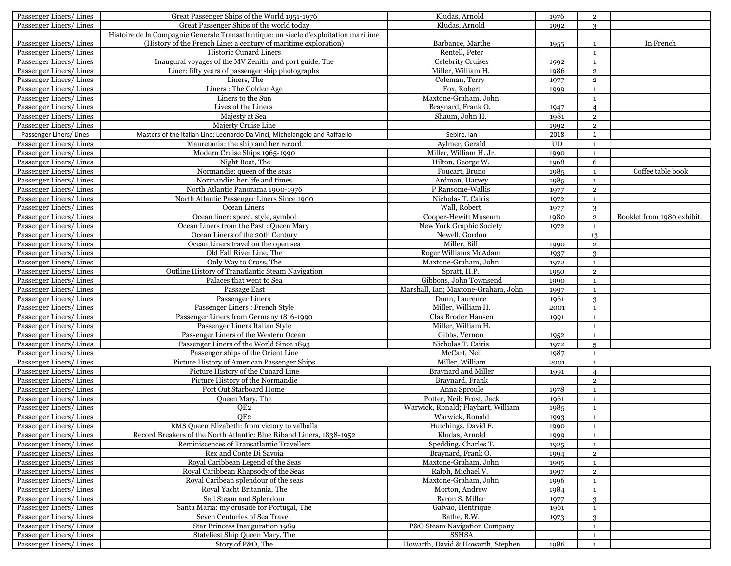| Passenger Liners/Lines  | Great Passenger Ships of the World 1951-1976                                         | Kludas, Arnold                      | 1976                       | $\overline{2}$ |                            |
|-------------------------|--------------------------------------------------------------------------------------|-------------------------------------|----------------------------|----------------|----------------------------|
| Passenger Liners/Lines  | Great Passenger Ships of the world today                                             | Kludas, Arnold                      | 1992                       | 3              |                            |
|                         | Histoire de la Compagnie Generale Transatlantique: un siecle d'exploitation maritime |                                     |                            |                |                            |
| Passenger Liners/Lines  | (History of the French Line: a century of maritime exploration)                      | Barbance, Marthe                    | 1955                       | $\mathbf{1}$   | In French                  |
| Passenger Liners/Lines  | <b>Historic Cunard Liners</b>                                                        | Rentell, Peter                      |                            | $\mathbf{1}$   |                            |
| Passenger Liners/Lines  | Inaugural voyages of the MV Zenith, and port guide, The                              | <b>Celebrity Cruises</b>            | 1992                       | $\mathbf{1}$   |                            |
| Passenger Liners/Lines  | Liner: fifty years of passenger ship photographs                                     | Miller, William H.                  | 1986                       | $\mathbf 2$    |                            |
| Passenger Liners/Lines  | Liners, The                                                                          | Coleman, Terry                      | 1977                       | $\overline{2}$ |                            |
| Passenger Liners/Lines  | Liners: The Golden Age                                                               | Fox, Robert                         | 1999                       | $\mathbf{1}$   |                            |
| Passenger Liners/Lines  | Liners to the Sun                                                                    | Maxtone-Graham, John                |                            | $\mathbf{1}$   |                            |
| Passenger Liners/Lines  | Lives of the Liners                                                                  | Braynard, Frank O.                  | 1947                       | $\overline{4}$ |                            |
| Passenger Liners/Lines  | Majesty at Sea                                                                       | Shaum, John H.                      | 1981                       | $\overline{2}$ |                            |
| Passenger Liners/Lines  | Majesty Cruise Line                                                                  |                                     | 1992                       | $\overline{2}$ |                            |
| Passenger Liners/ Lines | Masters of the Italian Line: Leonardo Da Vinci, Michelangelo and Raffaello           | Sebire, Ian                         | 2018                       | $\mathbf{1}$   |                            |
| Passenger Liners/Lines  | Mauretania: the ship and her record                                                  | Aylmer, Gerald                      | $\ensuremath{\mathrm{UD}}$ | $\mathbf{1}$   |                            |
| Passenger Liners/Lines  | Modern Cruise Ships 1965-1990                                                        | Miller, William H. Jr.              | 1990                       | $\mathbf{1}$   |                            |
| Passenger Liners/Lines  | Night Boat, The                                                                      | Hilton, George W.                   | 1968                       | 6              |                            |
| Passenger Liners/Lines  | Normandie: queen of the seas                                                         | Foucart, Bruno                      | 1985                       | $\mathbf{1}$   | Coffee table book          |
| Passenger Liners/Lines  | Normandie: her life and times                                                        | Ardman, Harvey                      | 1985                       | $\mathbf{1}$   |                            |
| Passenger Liners/Lines  | North Atlantic Panorama 1900-1976                                                    | P Ransome-Wallis                    | 1977                       | $\mathbf 2$    |                            |
| Passenger Liners/Lines  | North Atlantic Passenger Liners Since 1900                                           | Nicholas T. Cairis                  | 1972                       | $\mathbf 1$    |                            |
| Passenger Liners/Lines  | Ocean Liners                                                                         | Wall, Robert                        | 1977                       | 3              |                            |
| Passenger Liners/Lines  | Ocean liner: speed, style, symbol                                                    | Cooper-Hewitt Museum                | 1980                       | $\mathbf 2$    | Booklet from 1980 exhibit. |
| Passenger Liners/Lines  | Ocean Liners from the Past: Queen Mary                                               | New York Graphic Society            | 1972                       | $\mathbf 1$    |                            |
| Passenger Liners/Lines  | Ocean Liners of the 20th Century                                                     | Newell, Gordon                      |                            | 13             |                            |
| Passenger Liners/Lines  | Ocean Liners travel on the open sea                                                  | Miller, Bill                        | 1990                       | $\overline{2}$ |                            |
| Passenger Liners/Lines  | Old Fall River Line, The                                                             | Roger Williams McAdam               | 1937                       | 3              |                            |
| Passenger Liners/Lines  | Only Way to Cross, The                                                               | Maxtone-Graham, John                | 1972                       | $\mathbf{1}$   |                            |
| Passenger Liners/ Lines | Outline History of Tranatlantic Steam Navigation                                     | Spratt, H.P.                        | 1950                       | $\overline{2}$ |                            |
| Passenger Liners/Lines  | Palaces that went to Sea                                                             | Gibbons, John Townsend              | 1990                       | $\mathbf{1}$   |                            |
| Passenger Liners/Lines  | Passage East                                                                         | Marshall, Ian; Maxtone-Graham, John | 1997                       | $\mathbf{1}$   |                            |
| Passenger Liners/Lines  | Passenger Liners                                                                     | Dunn, Laurence                      | 1961                       | 3              |                            |
| Passenger Liners/Lines  | Passenger Liners : French Style                                                      | Miller, William H.                  | 2001                       | $\mathbf{1}$   |                            |
| Passenger Liners/Lines  | Passenger Liners from Germany 1816-1990                                              | Clas Broder Hansen                  | 1991                       | 1              |                            |
| Passenger Liners/Lines  | Passenger Liners Italian Style                                                       | Miller, William H.                  |                            | $\mathbf{1}$   |                            |
| Passenger Liners/Lines  | Passenger Liners of the Western Ocean                                                | Gibbs, Vernon                       | 1952                       | $\mathbf{1}$   |                            |
| Passenger Liners/Lines  | Passenger Liners of the World Since 1893                                             | Nicholas T. Cairis                  | 1972                       | $\overline{5}$ |                            |
| Passenger Liners/Lines  | Passenger ships of the Orient Line                                                   | McCart, Neil                        | 1987                       | $\mathbf{1}$   |                            |
| Passenger Liners/Lines  | Picture History of American Passenger Ships                                          | Miller, William                     | 2001                       | $\mathbf{1}$   |                            |
| Passenger Liners/Lines  | Picture History of the Cunard Line                                                   | <b>Braynard and Miller</b>          | 1991                       | $\overline{4}$ |                            |
| Passenger Liners/Lines  | Picture History of the Normandie                                                     | Braynard, Frank                     |                            | $\mathbf 2$    |                            |
| Passenger Liners/Lines  | Port Out Starboard Home                                                              | Anna Sproule                        | 1978                       | $\mathbf 1$    |                            |
| Passenger Liners/Lines  | Queen Mary, The                                                                      | Potter, Neil: Frost, Jack           | 1961                       | $\mathbf{1}$   |                            |
| Passenger Liners/Lines  | OE <sub>2</sub>                                                                      | Warwick, Ronald; Flayhart, William  | 1985                       | $\mathbf{1}$   |                            |
| Passenger Liners/Lines  | QE <sub>2</sub>                                                                      | Warwick, Ronald                     | 1993                       | $\mathbf{1}$   |                            |
| Passenger Liners/Lines  | RMS Queen Elizabeth: from victory to valhalla                                        | Hutchings, David F.                 | 1990                       | $\mathbf{1}$   |                            |
| Passenger Liners/Lines  | Record Breakers of the North Atlantic: Blue Riband Liners, 1838-1952                 | Kludas, Arnold                      | 1999                       | $\mathbf{1}$   |                            |
| Passenger Liners/Lines  | Reminiscences of Transatlantic Travellers                                            | Spedding, Charles T.                | 1925                       | $\mathbf{1}$   |                            |
| Passenger Liners/Lines  | Rex and Conte Di Savoia                                                              | Braynard, Frank O.                  | 1994                       | $\mathbf{2}$   |                            |
| Passenger Liners/Lines  | Royal Caribbean Legend of the Seas                                                   | Maxtone-Graham, John                | 1995                       | $\mathbf{1}$   |                            |
| Passenger Liners/Lines  | Royal Caribbean Rhapsody of the Seas                                                 | Ralph, Michael V.                   | 1997                       | $\overline{2}$ |                            |
| Passenger Liners/Lines  | Royal Caribean splendour of the seas                                                 | Maxtone-Graham, John                | 1996                       | $\mathbf{1}$   |                            |
| Passenger Liners/Lines  | Royal Yacht Britannia, The                                                           | Morton, Andrew                      | 1984                       | $\mathbf{1}$   |                            |
| Passenger Liners/Lines  | Sail Steam and Splendour                                                             | Byron S. Miller                     | 1977                       | 3              |                            |
| Passenger Liners/Lines  | Santa Maria: my crusade for Portugal, The                                            | Galvao, Hentrique                   | 1961                       | $\mathbf{1}$   |                            |
| Passenger Liners/Lines  | Seven Centuries of Sea Travel                                                        | Bathe, B.W.                         | 1973                       | 3              |                            |
| Passenger Liners/Lines  | Star Princess Inauguration 1989                                                      | P&O Steam Navigation Company        |                            | 1              |                            |
| Passenger Liners/Lines  | Stateliest Ship Queen Mary, The                                                      | <b>SSHSA</b>                        |                            | $\mathbf{1}$   |                            |
| Passenger Liners/Lines  | Story of P&O, The                                                                    | Howarth, David & Howarth, Stephen   | 1986                       | <sup>1</sup>   |                            |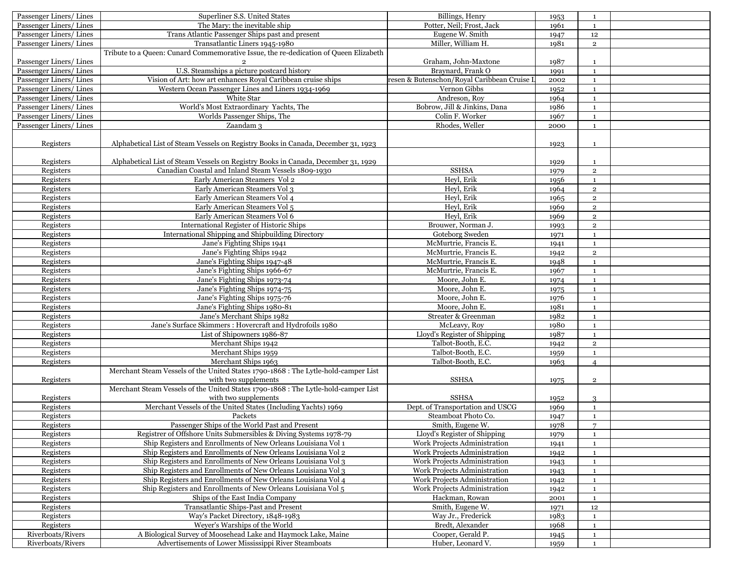| Passenger Liners/Lines<br>The Mary: the inevitable ship<br>Potter, Neil; Frost, Jack<br>1961<br>$\mathbf{1}$<br>Passenger Liners/Lines<br>Trans Atlantic Passenger Ships past and present<br>Eugene W. Smith<br>1947<br>12<br>Miller, William H.<br>Passenger Liners/Lines<br>Transatlantic Liners 1945-1980<br>1981<br>$\overline{2}$<br>Tribute to a Queen: Cunard Commemorative Issue, the re-dedication of Queen Elizabeth<br>Passenger Liners/Lines<br>Graham, John-Maxtone<br>1987<br>$\mathbf{1}$<br>U.S. Steamships a picture postcard history<br>Braynard, Frank O<br>Passenger Liners/Lines<br>1991<br>$\mathbf{1}$<br>Vision of Art: how art enhances Royal Caribbean cruise ships<br>Passenger Liners/Lines<br>resen & Butenschon/Royal Caribbean Cruise I<br>2002<br>$\mathbf{1}$<br>Passenger Liners/Lines<br>Western Ocean Passenger Lines and Liners 1934-1969<br>Vernon Gibbs<br>1952<br>$\mathbf{1}$<br>Andreson, Roy<br>Passenger Liners/Lines<br>White Star<br>1964<br>$\mathbf{1}$<br>World's Most Extraordinary Yachts, The<br>Bobrow, Jill & Jinkins, Dana<br>Passenger Liners/Lines<br>1986<br>$\mathbf{1}$<br>Passenger Liners/Lines<br>Worlds Passenger Ships, The<br>Colin F. Worker<br>1967<br>$\mathbf{1}$<br>Rhodes, Weller<br>Passenger Liners/Lines<br>Zaandam <sub>3</sub><br>2000<br>$\mathbf{1}$<br>Registers<br>Alphabetical List of Steam Vessels on Registry Books in Canada, December 31, 1923<br>1923<br>1<br>Registers<br>Alphabetical List of Steam Vessels on Registry Books in Canada, December 31, 1929<br>1929<br>$\mathbf{1}$<br>Registers<br><b>SSHSA</b><br>Canadian Coastal and Inland Steam Vessels 1809-1930<br>$\mathbf 2$<br>1979<br>Registers<br>Early American Steamers Vol 2<br>Heyl, Erik<br>1956<br>$\mathbf{1}$<br>Heyl, Erik<br>Registers<br>Early American Steamers Vol 3<br>1964<br>$\overline{2}$<br>Registers<br>Early American Steamers Vol 4<br>Heyl, Erik<br>$\overline{2}$<br>1965<br>Heyl, Erik<br>Registers<br>Early American Steamers Vol 5<br>1969<br>$\mathbf 2$<br>Heyl, Erik<br>Registers<br>Early American Steamers Vol 6<br>$\overline{2}$<br>1969<br>Brouwer, Norman J.<br>Registers<br>International Register of Historic Ships<br>$\overline{2}$<br>1993<br>Registers<br>International Shipping and Shipbuilding Directory<br>Goteborg Sweden<br>1971<br>$\mathbf{1}$<br>Jane's Fighting Ships 1941<br>McMurtrie, Francis E.<br>Registers<br>$\mathbf 1$<br>1941<br>Registers<br>Jane's Fighting Ships 1942<br>McMurtrie, Francis E.<br>1942<br>$\overline{2}$<br>Registers<br>Jane's Fighting Ships 1947-48<br>McMurtrie, Francis E.<br>1948<br>$\mathbf{1}$<br>Registers<br>Jane's Fighting Ships 1966-67<br>McMurtrie, Francis E.<br>1967<br>$\mathbf{1}$<br>Registers<br>Jane's Fighting Ships 1973-74<br>Moore, John E.<br>1974<br>$\mathbf{1}$<br>Registers<br>Moore, John E.<br>Jane's Fighting Ships 1974-75<br>1975<br>$\mathbf{1}$<br>Registers<br>Jane's Fighting Ships 1975-76<br>Moore, John E.<br>1976<br>$\mathbf{1}$<br>Registers<br>Jane's Fighting Ships 1980-81<br>Moore, John E.<br>1981<br>$\mathbf{1}$<br>Registers<br>Jane's Merchant Ships 1982<br>Streater & Greenman<br>1982<br>$\mathbf{1}$<br>Registers<br>Jane's Surface Skimmers : Hovercraft and Hydrofoils 1980<br>McLeavy, Roy<br>1980<br>$\mathbf{1}$<br>Registers<br>List of Shipowners 1986-87<br>Lloyd's Register of Shipping<br>1987<br>$\mathbf{1}$<br>Registers<br>Merchant Ships 1942<br>Talbot-Booth, E.C.<br>$\mathbf 2$<br>1942<br>Merchant Ships 1959<br>Talbot-Booth, E.C.<br>Registers<br>1959<br>$\mathbf{1}$<br>Registers<br>Merchant Ships 1963<br>Talbot-Booth, E.C.<br>1963<br>$\overline{4}$<br>Merchant Steam Vessels of the United States 1790-1868 : The Lytle-hold-camper List<br>with two supplements<br>Registers<br><b>SSHSA</b><br>$\,2\,$<br>1975<br>Merchant Steam Vessels of the United States 1790-1868 : The Lytle-hold-camper List<br>with two supplements<br><b>SSHSA</b><br>Registers<br>1952<br>3<br>Merchant Vessels of the United States (Including Yachts) 1969<br>Registers<br>Dept. of Transportation and USCG<br>1969<br>$\mathbf{1}$<br>Steamboat Photo Co.<br>Registers<br>Packets<br>1947<br>$\mathbf{1}$<br>Passenger Ships of the World Past and Present<br>Smith, Eugene W.<br>$\overline{7}$<br>Registers<br>1978<br>Registrer of Offshore Units Submersibles & Diving Systems 1978-79<br>Lloyd's Register of Shipping<br>Registers<br>1979<br>1<br>Registers<br>Ship Registers and Enrollments of New Orleans Louisiana Vol 1<br><b>Work Projects Administration</b><br>1941<br>$\mathbf{1}$<br>Ship Registers and Enrollments of New Orleans Louisiana Vol 2<br>Work Projects Administration<br>Registers<br>1942<br>$\mathbf{1}$<br>Ship Registers and Enrollments of New Orleans Louisiana Vol 3<br>Work Projects Administration<br>Registers<br>1943<br>$\mathbf{1}$<br>Ship Registers and Enrollments of New Orleans Louisiana Vol 3<br>Work Projects Administration<br>Registers<br>$\mathbf{1}$<br>1943<br>Ship Registers and Enrollments of New Orleans Louisiana Vol 4<br>Registers<br>Work Projects Administration<br>1942<br>$\mathbf{1}$<br>Ship Registers and Enrollments of New Orleans Louisiana Vol 5<br>Work Projects Administration<br>Registers<br>1942<br>$\mathbf{1}$<br>Ships of the East India Company<br>Registers<br>Hackman, Rowan<br>2001<br>$\mathbf{1}$<br>Transatlantic Ships-Past and Present<br>Smith, Eugene W.<br>Registers<br>12<br>1971<br>Registers<br>Way Jr., Frederick<br>Way's Packet Directory, 1848-1983<br>1983<br>1<br>Wever's Warships of the World<br>Bredt, Alexander<br>Registers<br>1968<br>$\mathbf{1}$<br>Riverboats/Rivers<br>A Biological Survey of Moosehead Lake and Haymock Lake, Maine<br>Cooper, Gerald P.<br>$\mathbf{1}$<br>1945 | Passenger Liners/Lines | Superliner S.S. United States                        | Billings, Henry   | 1953 | $\mathbf{1}$ |  |
|--------------------------------------------------------------------------------------------------------------------------------------------------------------------------------------------------------------------------------------------------------------------------------------------------------------------------------------------------------------------------------------------------------------------------------------------------------------------------------------------------------------------------------------------------------------------------------------------------------------------------------------------------------------------------------------------------------------------------------------------------------------------------------------------------------------------------------------------------------------------------------------------------------------------------------------------------------------------------------------------------------------------------------------------------------------------------------------------------------------------------------------------------------------------------------------------------------------------------------------------------------------------------------------------------------------------------------------------------------------------------------------------------------------------------------------------------------------------------------------------------------------------------------------------------------------------------------------------------------------------------------------------------------------------------------------------------------------------------------------------------------------------------------------------------------------------------------------------------------------------------------------------------------------------------------------------------------------------------------------------------------------------------------------------------------------------------------------------------------------------------------------------------------------------------------------------------------------------------------------------------------------------------------------------------------------------------------------------------------------------------------------------------------------------------------------------------------------------------------------------------------------------------------------------------------------------------------------------------------------------------------------------------------------------------------------------------------------------------------------------------------------------------------------------------------------------------------------------------------------------------------------------------------------------------------------------------------------------------------------------------------------------------------------------------------------------------------------------------------------------------------------------------------------------------------------------------------------------------------------------------------------------------------------------------------------------------------------------------------------------------------------------------------------------------------------------------------------------------------------------------------------------------------------------------------------------------------------------------------------------------------------------------------------------------------------------------------------------------------------------------------------------------------------------------------------------------------------------------------------------------------------------------------------------------------------------------------------------------------------------------------------------------------------------------------------------------------------------------------------------------------------------------------------------------------------------------------------------------------------------------------------------------------------------------------------------------------------------------------------------------------------------------------------------------------------------------------------------------------------------------------------------------------------------------------------------------------------------------------------------------------------------------------------------------------------------------------------------------------------------------------------------------------------------------------------------------------------------------------------------------------------------------------------------------------------------------------------------------------------------------------------------------------------------------------------------------------------------------------------------------------------------------------------------------------------------------------------------------------------------------------------------------------------------------------------------------------------------------------------------------------------------------------------------------------------------------------------------------------------------------------------------------------------------------------------------------------------------------------------------------------------------------------------------------------------------------------------------------------------------------------------------------------------------------------------------|------------------------|------------------------------------------------------|-------------------|------|--------------|--|
|                                                                                                                                                                                                                                                                                                                                                                                                                                                                                                                                                                                                                                                                                                                                                                                                                                                                                                                                                                                                                                                                                                                                                                                                                                                                                                                                                                                                                                                                                                                                                                                                                                                                                                                                                                                                                                                                                                                                                                                                                                                                                                                                                                                                                                                                                                                                                                                                                                                                                                                                                                                                                                                                                                                                                                                                                                                                                                                                                                                                                                                                                                                                                                                                                                                                                                                                                                                                                                                                                                                                                                                                                                                                                                                                                                                                                                                                                                                                                                                                                                                                                                                                                                                                                                                                                                                                                                                                                                                                                                                                                                                                                                                                                                                                                                                                                                                                                                                                                                                                                                                                                                                                                                                                                                                                                                                                                                                                                                                                                                                                                                                                                                                                                                                                                                                                                    |                        |                                                      |                   |      |              |  |
|                                                                                                                                                                                                                                                                                                                                                                                                                                                                                                                                                                                                                                                                                                                                                                                                                                                                                                                                                                                                                                                                                                                                                                                                                                                                                                                                                                                                                                                                                                                                                                                                                                                                                                                                                                                                                                                                                                                                                                                                                                                                                                                                                                                                                                                                                                                                                                                                                                                                                                                                                                                                                                                                                                                                                                                                                                                                                                                                                                                                                                                                                                                                                                                                                                                                                                                                                                                                                                                                                                                                                                                                                                                                                                                                                                                                                                                                                                                                                                                                                                                                                                                                                                                                                                                                                                                                                                                                                                                                                                                                                                                                                                                                                                                                                                                                                                                                                                                                                                                                                                                                                                                                                                                                                                                                                                                                                                                                                                                                                                                                                                                                                                                                                                                                                                                                                    |                        |                                                      |                   |      |              |  |
|                                                                                                                                                                                                                                                                                                                                                                                                                                                                                                                                                                                                                                                                                                                                                                                                                                                                                                                                                                                                                                                                                                                                                                                                                                                                                                                                                                                                                                                                                                                                                                                                                                                                                                                                                                                                                                                                                                                                                                                                                                                                                                                                                                                                                                                                                                                                                                                                                                                                                                                                                                                                                                                                                                                                                                                                                                                                                                                                                                                                                                                                                                                                                                                                                                                                                                                                                                                                                                                                                                                                                                                                                                                                                                                                                                                                                                                                                                                                                                                                                                                                                                                                                                                                                                                                                                                                                                                                                                                                                                                                                                                                                                                                                                                                                                                                                                                                                                                                                                                                                                                                                                                                                                                                                                                                                                                                                                                                                                                                                                                                                                                                                                                                                                                                                                                                                    |                        |                                                      |                   |      |              |  |
|                                                                                                                                                                                                                                                                                                                                                                                                                                                                                                                                                                                                                                                                                                                                                                                                                                                                                                                                                                                                                                                                                                                                                                                                                                                                                                                                                                                                                                                                                                                                                                                                                                                                                                                                                                                                                                                                                                                                                                                                                                                                                                                                                                                                                                                                                                                                                                                                                                                                                                                                                                                                                                                                                                                                                                                                                                                                                                                                                                                                                                                                                                                                                                                                                                                                                                                                                                                                                                                                                                                                                                                                                                                                                                                                                                                                                                                                                                                                                                                                                                                                                                                                                                                                                                                                                                                                                                                                                                                                                                                                                                                                                                                                                                                                                                                                                                                                                                                                                                                                                                                                                                                                                                                                                                                                                                                                                                                                                                                                                                                                                                                                                                                                                                                                                                                                                    |                        |                                                      |                   |      |              |  |
|                                                                                                                                                                                                                                                                                                                                                                                                                                                                                                                                                                                                                                                                                                                                                                                                                                                                                                                                                                                                                                                                                                                                                                                                                                                                                                                                                                                                                                                                                                                                                                                                                                                                                                                                                                                                                                                                                                                                                                                                                                                                                                                                                                                                                                                                                                                                                                                                                                                                                                                                                                                                                                                                                                                                                                                                                                                                                                                                                                                                                                                                                                                                                                                                                                                                                                                                                                                                                                                                                                                                                                                                                                                                                                                                                                                                                                                                                                                                                                                                                                                                                                                                                                                                                                                                                                                                                                                                                                                                                                                                                                                                                                                                                                                                                                                                                                                                                                                                                                                                                                                                                                                                                                                                                                                                                                                                                                                                                                                                                                                                                                                                                                                                                                                                                                                                                    |                        |                                                      |                   |      |              |  |
|                                                                                                                                                                                                                                                                                                                                                                                                                                                                                                                                                                                                                                                                                                                                                                                                                                                                                                                                                                                                                                                                                                                                                                                                                                                                                                                                                                                                                                                                                                                                                                                                                                                                                                                                                                                                                                                                                                                                                                                                                                                                                                                                                                                                                                                                                                                                                                                                                                                                                                                                                                                                                                                                                                                                                                                                                                                                                                                                                                                                                                                                                                                                                                                                                                                                                                                                                                                                                                                                                                                                                                                                                                                                                                                                                                                                                                                                                                                                                                                                                                                                                                                                                                                                                                                                                                                                                                                                                                                                                                                                                                                                                                                                                                                                                                                                                                                                                                                                                                                                                                                                                                                                                                                                                                                                                                                                                                                                                                                                                                                                                                                                                                                                                                                                                                                                                    |                        |                                                      |                   |      |              |  |
|                                                                                                                                                                                                                                                                                                                                                                                                                                                                                                                                                                                                                                                                                                                                                                                                                                                                                                                                                                                                                                                                                                                                                                                                                                                                                                                                                                                                                                                                                                                                                                                                                                                                                                                                                                                                                                                                                                                                                                                                                                                                                                                                                                                                                                                                                                                                                                                                                                                                                                                                                                                                                                                                                                                                                                                                                                                                                                                                                                                                                                                                                                                                                                                                                                                                                                                                                                                                                                                                                                                                                                                                                                                                                                                                                                                                                                                                                                                                                                                                                                                                                                                                                                                                                                                                                                                                                                                                                                                                                                                                                                                                                                                                                                                                                                                                                                                                                                                                                                                                                                                                                                                                                                                                                                                                                                                                                                                                                                                                                                                                                                                                                                                                                                                                                                                                                    |                        |                                                      |                   |      |              |  |
|                                                                                                                                                                                                                                                                                                                                                                                                                                                                                                                                                                                                                                                                                                                                                                                                                                                                                                                                                                                                                                                                                                                                                                                                                                                                                                                                                                                                                                                                                                                                                                                                                                                                                                                                                                                                                                                                                                                                                                                                                                                                                                                                                                                                                                                                                                                                                                                                                                                                                                                                                                                                                                                                                                                                                                                                                                                                                                                                                                                                                                                                                                                                                                                                                                                                                                                                                                                                                                                                                                                                                                                                                                                                                                                                                                                                                                                                                                                                                                                                                                                                                                                                                                                                                                                                                                                                                                                                                                                                                                                                                                                                                                                                                                                                                                                                                                                                                                                                                                                                                                                                                                                                                                                                                                                                                                                                                                                                                                                                                                                                                                                                                                                                                                                                                                                                                    |                        |                                                      |                   |      |              |  |
|                                                                                                                                                                                                                                                                                                                                                                                                                                                                                                                                                                                                                                                                                                                                                                                                                                                                                                                                                                                                                                                                                                                                                                                                                                                                                                                                                                                                                                                                                                                                                                                                                                                                                                                                                                                                                                                                                                                                                                                                                                                                                                                                                                                                                                                                                                                                                                                                                                                                                                                                                                                                                                                                                                                                                                                                                                                                                                                                                                                                                                                                                                                                                                                                                                                                                                                                                                                                                                                                                                                                                                                                                                                                                                                                                                                                                                                                                                                                                                                                                                                                                                                                                                                                                                                                                                                                                                                                                                                                                                                                                                                                                                                                                                                                                                                                                                                                                                                                                                                                                                                                                                                                                                                                                                                                                                                                                                                                                                                                                                                                                                                                                                                                                                                                                                                                                    |                        |                                                      |                   |      |              |  |
|                                                                                                                                                                                                                                                                                                                                                                                                                                                                                                                                                                                                                                                                                                                                                                                                                                                                                                                                                                                                                                                                                                                                                                                                                                                                                                                                                                                                                                                                                                                                                                                                                                                                                                                                                                                                                                                                                                                                                                                                                                                                                                                                                                                                                                                                                                                                                                                                                                                                                                                                                                                                                                                                                                                                                                                                                                                                                                                                                                                                                                                                                                                                                                                                                                                                                                                                                                                                                                                                                                                                                                                                                                                                                                                                                                                                                                                                                                                                                                                                                                                                                                                                                                                                                                                                                                                                                                                                                                                                                                                                                                                                                                                                                                                                                                                                                                                                                                                                                                                                                                                                                                                                                                                                                                                                                                                                                                                                                                                                                                                                                                                                                                                                                                                                                                                                                    |                        |                                                      |                   |      |              |  |
|                                                                                                                                                                                                                                                                                                                                                                                                                                                                                                                                                                                                                                                                                                                                                                                                                                                                                                                                                                                                                                                                                                                                                                                                                                                                                                                                                                                                                                                                                                                                                                                                                                                                                                                                                                                                                                                                                                                                                                                                                                                                                                                                                                                                                                                                                                                                                                                                                                                                                                                                                                                                                                                                                                                                                                                                                                                                                                                                                                                                                                                                                                                                                                                                                                                                                                                                                                                                                                                                                                                                                                                                                                                                                                                                                                                                                                                                                                                                                                                                                                                                                                                                                                                                                                                                                                                                                                                                                                                                                                                                                                                                                                                                                                                                                                                                                                                                                                                                                                                                                                                                                                                                                                                                                                                                                                                                                                                                                                                                                                                                                                                                                                                                                                                                                                                                                    |                        |                                                      |                   |      |              |  |
|                                                                                                                                                                                                                                                                                                                                                                                                                                                                                                                                                                                                                                                                                                                                                                                                                                                                                                                                                                                                                                                                                                                                                                                                                                                                                                                                                                                                                                                                                                                                                                                                                                                                                                                                                                                                                                                                                                                                                                                                                                                                                                                                                                                                                                                                                                                                                                                                                                                                                                                                                                                                                                                                                                                                                                                                                                                                                                                                                                                                                                                                                                                                                                                                                                                                                                                                                                                                                                                                                                                                                                                                                                                                                                                                                                                                                                                                                                                                                                                                                                                                                                                                                                                                                                                                                                                                                                                                                                                                                                                                                                                                                                                                                                                                                                                                                                                                                                                                                                                                                                                                                                                                                                                                                                                                                                                                                                                                                                                                                                                                                                                                                                                                                                                                                                                                                    |                        |                                                      |                   |      |              |  |
|                                                                                                                                                                                                                                                                                                                                                                                                                                                                                                                                                                                                                                                                                                                                                                                                                                                                                                                                                                                                                                                                                                                                                                                                                                                                                                                                                                                                                                                                                                                                                                                                                                                                                                                                                                                                                                                                                                                                                                                                                                                                                                                                                                                                                                                                                                                                                                                                                                                                                                                                                                                                                                                                                                                                                                                                                                                                                                                                                                                                                                                                                                                                                                                                                                                                                                                                                                                                                                                                                                                                                                                                                                                                                                                                                                                                                                                                                                                                                                                                                                                                                                                                                                                                                                                                                                                                                                                                                                                                                                                                                                                                                                                                                                                                                                                                                                                                                                                                                                                                                                                                                                                                                                                                                                                                                                                                                                                                                                                                                                                                                                                                                                                                                                                                                                                                                    |                        |                                                      |                   |      |              |  |
|                                                                                                                                                                                                                                                                                                                                                                                                                                                                                                                                                                                                                                                                                                                                                                                                                                                                                                                                                                                                                                                                                                                                                                                                                                                                                                                                                                                                                                                                                                                                                                                                                                                                                                                                                                                                                                                                                                                                                                                                                                                                                                                                                                                                                                                                                                                                                                                                                                                                                                                                                                                                                                                                                                                                                                                                                                                                                                                                                                                                                                                                                                                                                                                                                                                                                                                                                                                                                                                                                                                                                                                                                                                                                                                                                                                                                                                                                                                                                                                                                                                                                                                                                                                                                                                                                                                                                                                                                                                                                                                                                                                                                                                                                                                                                                                                                                                                                                                                                                                                                                                                                                                                                                                                                                                                                                                                                                                                                                                                                                                                                                                                                                                                                                                                                                                                                    |                        |                                                      |                   |      |              |  |
|                                                                                                                                                                                                                                                                                                                                                                                                                                                                                                                                                                                                                                                                                                                                                                                                                                                                                                                                                                                                                                                                                                                                                                                                                                                                                                                                                                                                                                                                                                                                                                                                                                                                                                                                                                                                                                                                                                                                                                                                                                                                                                                                                                                                                                                                                                                                                                                                                                                                                                                                                                                                                                                                                                                                                                                                                                                                                                                                                                                                                                                                                                                                                                                                                                                                                                                                                                                                                                                                                                                                                                                                                                                                                                                                                                                                                                                                                                                                                                                                                                                                                                                                                                                                                                                                                                                                                                                                                                                                                                                                                                                                                                                                                                                                                                                                                                                                                                                                                                                                                                                                                                                                                                                                                                                                                                                                                                                                                                                                                                                                                                                                                                                                                                                                                                                                                    |                        |                                                      |                   |      |              |  |
|                                                                                                                                                                                                                                                                                                                                                                                                                                                                                                                                                                                                                                                                                                                                                                                                                                                                                                                                                                                                                                                                                                                                                                                                                                                                                                                                                                                                                                                                                                                                                                                                                                                                                                                                                                                                                                                                                                                                                                                                                                                                                                                                                                                                                                                                                                                                                                                                                                                                                                                                                                                                                                                                                                                                                                                                                                                                                                                                                                                                                                                                                                                                                                                                                                                                                                                                                                                                                                                                                                                                                                                                                                                                                                                                                                                                                                                                                                                                                                                                                                                                                                                                                                                                                                                                                                                                                                                                                                                                                                                                                                                                                                                                                                                                                                                                                                                                                                                                                                                                                                                                                                                                                                                                                                                                                                                                                                                                                                                                                                                                                                                                                                                                                                                                                                                                                    |                        |                                                      |                   |      |              |  |
|                                                                                                                                                                                                                                                                                                                                                                                                                                                                                                                                                                                                                                                                                                                                                                                                                                                                                                                                                                                                                                                                                                                                                                                                                                                                                                                                                                                                                                                                                                                                                                                                                                                                                                                                                                                                                                                                                                                                                                                                                                                                                                                                                                                                                                                                                                                                                                                                                                                                                                                                                                                                                                                                                                                                                                                                                                                                                                                                                                                                                                                                                                                                                                                                                                                                                                                                                                                                                                                                                                                                                                                                                                                                                                                                                                                                                                                                                                                                                                                                                                                                                                                                                                                                                                                                                                                                                                                                                                                                                                                                                                                                                                                                                                                                                                                                                                                                                                                                                                                                                                                                                                                                                                                                                                                                                                                                                                                                                                                                                                                                                                                                                                                                                                                                                                                                                    |                        |                                                      |                   |      |              |  |
|                                                                                                                                                                                                                                                                                                                                                                                                                                                                                                                                                                                                                                                                                                                                                                                                                                                                                                                                                                                                                                                                                                                                                                                                                                                                                                                                                                                                                                                                                                                                                                                                                                                                                                                                                                                                                                                                                                                                                                                                                                                                                                                                                                                                                                                                                                                                                                                                                                                                                                                                                                                                                                                                                                                                                                                                                                                                                                                                                                                                                                                                                                                                                                                                                                                                                                                                                                                                                                                                                                                                                                                                                                                                                                                                                                                                                                                                                                                                                                                                                                                                                                                                                                                                                                                                                                                                                                                                                                                                                                                                                                                                                                                                                                                                                                                                                                                                                                                                                                                                                                                                                                                                                                                                                                                                                                                                                                                                                                                                                                                                                                                                                                                                                                                                                                                                                    |                        |                                                      |                   |      |              |  |
|                                                                                                                                                                                                                                                                                                                                                                                                                                                                                                                                                                                                                                                                                                                                                                                                                                                                                                                                                                                                                                                                                                                                                                                                                                                                                                                                                                                                                                                                                                                                                                                                                                                                                                                                                                                                                                                                                                                                                                                                                                                                                                                                                                                                                                                                                                                                                                                                                                                                                                                                                                                                                                                                                                                                                                                                                                                                                                                                                                                                                                                                                                                                                                                                                                                                                                                                                                                                                                                                                                                                                                                                                                                                                                                                                                                                                                                                                                                                                                                                                                                                                                                                                                                                                                                                                                                                                                                                                                                                                                                                                                                                                                                                                                                                                                                                                                                                                                                                                                                                                                                                                                                                                                                                                                                                                                                                                                                                                                                                                                                                                                                                                                                                                                                                                                                                                    |                        |                                                      |                   |      |              |  |
|                                                                                                                                                                                                                                                                                                                                                                                                                                                                                                                                                                                                                                                                                                                                                                                                                                                                                                                                                                                                                                                                                                                                                                                                                                                                                                                                                                                                                                                                                                                                                                                                                                                                                                                                                                                                                                                                                                                                                                                                                                                                                                                                                                                                                                                                                                                                                                                                                                                                                                                                                                                                                                                                                                                                                                                                                                                                                                                                                                                                                                                                                                                                                                                                                                                                                                                                                                                                                                                                                                                                                                                                                                                                                                                                                                                                                                                                                                                                                                                                                                                                                                                                                                                                                                                                                                                                                                                                                                                                                                                                                                                                                                                                                                                                                                                                                                                                                                                                                                                                                                                                                                                                                                                                                                                                                                                                                                                                                                                                                                                                                                                                                                                                                                                                                                                                                    |                        |                                                      |                   |      |              |  |
|                                                                                                                                                                                                                                                                                                                                                                                                                                                                                                                                                                                                                                                                                                                                                                                                                                                                                                                                                                                                                                                                                                                                                                                                                                                                                                                                                                                                                                                                                                                                                                                                                                                                                                                                                                                                                                                                                                                                                                                                                                                                                                                                                                                                                                                                                                                                                                                                                                                                                                                                                                                                                                                                                                                                                                                                                                                                                                                                                                                                                                                                                                                                                                                                                                                                                                                                                                                                                                                                                                                                                                                                                                                                                                                                                                                                                                                                                                                                                                                                                                                                                                                                                                                                                                                                                                                                                                                                                                                                                                                                                                                                                                                                                                                                                                                                                                                                                                                                                                                                                                                                                                                                                                                                                                                                                                                                                                                                                                                                                                                                                                                                                                                                                                                                                                                                                    |                        |                                                      |                   |      |              |  |
|                                                                                                                                                                                                                                                                                                                                                                                                                                                                                                                                                                                                                                                                                                                                                                                                                                                                                                                                                                                                                                                                                                                                                                                                                                                                                                                                                                                                                                                                                                                                                                                                                                                                                                                                                                                                                                                                                                                                                                                                                                                                                                                                                                                                                                                                                                                                                                                                                                                                                                                                                                                                                                                                                                                                                                                                                                                                                                                                                                                                                                                                                                                                                                                                                                                                                                                                                                                                                                                                                                                                                                                                                                                                                                                                                                                                                                                                                                                                                                                                                                                                                                                                                                                                                                                                                                                                                                                                                                                                                                                                                                                                                                                                                                                                                                                                                                                                                                                                                                                                                                                                                                                                                                                                                                                                                                                                                                                                                                                                                                                                                                                                                                                                                                                                                                                                                    |                        |                                                      |                   |      |              |  |
|                                                                                                                                                                                                                                                                                                                                                                                                                                                                                                                                                                                                                                                                                                                                                                                                                                                                                                                                                                                                                                                                                                                                                                                                                                                                                                                                                                                                                                                                                                                                                                                                                                                                                                                                                                                                                                                                                                                                                                                                                                                                                                                                                                                                                                                                                                                                                                                                                                                                                                                                                                                                                                                                                                                                                                                                                                                                                                                                                                                                                                                                                                                                                                                                                                                                                                                                                                                                                                                                                                                                                                                                                                                                                                                                                                                                                                                                                                                                                                                                                                                                                                                                                                                                                                                                                                                                                                                                                                                                                                                                                                                                                                                                                                                                                                                                                                                                                                                                                                                                                                                                                                                                                                                                                                                                                                                                                                                                                                                                                                                                                                                                                                                                                                                                                                                                                    |                        |                                                      |                   |      |              |  |
|                                                                                                                                                                                                                                                                                                                                                                                                                                                                                                                                                                                                                                                                                                                                                                                                                                                                                                                                                                                                                                                                                                                                                                                                                                                                                                                                                                                                                                                                                                                                                                                                                                                                                                                                                                                                                                                                                                                                                                                                                                                                                                                                                                                                                                                                                                                                                                                                                                                                                                                                                                                                                                                                                                                                                                                                                                                                                                                                                                                                                                                                                                                                                                                                                                                                                                                                                                                                                                                                                                                                                                                                                                                                                                                                                                                                                                                                                                                                                                                                                                                                                                                                                                                                                                                                                                                                                                                                                                                                                                                                                                                                                                                                                                                                                                                                                                                                                                                                                                                                                                                                                                                                                                                                                                                                                                                                                                                                                                                                                                                                                                                                                                                                                                                                                                                                                    |                        |                                                      |                   |      |              |  |
|                                                                                                                                                                                                                                                                                                                                                                                                                                                                                                                                                                                                                                                                                                                                                                                                                                                                                                                                                                                                                                                                                                                                                                                                                                                                                                                                                                                                                                                                                                                                                                                                                                                                                                                                                                                                                                                                                                                                                                                                                                                                                                                                                                                                                                                                                                                                                                                                                                                                                                                                                                                                                                                                                                                                                                                                                                                                                                                                                                                                                                                                                                                                                                                                                                                                                                                                                                                                                                                                                                                                                                                                                                                                                                                                                                                                                                                                                                                                                                                                                                                                                                                                                                                                                                                                                                                                                                                                                                                                                                                                                                                                                                                                                                                                                                                                                                                                                                                                                                                                                                                                                                                                                                                                                                                                                                                                                                                                                                                                                                                                                                                                                                                                                                                                                                                                                    |                        |                                                      |                   |      |              |  |
|                                                                                                                                                                                                                                                                                                                                                                                                                                                                                                                                                                                                                                                                                                                                                                                                                                                                                                                                                                                                                                                                                                                                                                                                                                                                                                                                                                                                                                                                                                                                                                                                                                                                                                                                                                                                                                                                                                                                                                                                                                                                                                                                                                                                                                                                                                                                                                                                                                                                                                                                                                                                                                                                                                                                                                                                                                                                                                                                                                                                                                                                                                                                                                                                                                                                                                                                                                                                                                                                                                                                                                                                                                                                                                                                                                                                                                                                                                                                                                                                                                                                                                                                                                                                                                                                                                                                                                                                                                                                                                                                                                                                                                                                                                                                                                                                                                                                                                                                                                                                                                                                                                                                                                                                                                                                                                                                                                                                                                                                                                                                                                                                                                                                                                                                                                                                                    |                        |                                                      |                   |      |              |  |
|                                                                                                                                                                                                                                                                                                                                                                                                                                                                                                                                                                                                                                                                                                                                                                                                                                                                                                                                                                                                                                                                                                                                                                                                                                                                                                                                                                                                                                                                                                                                                                                                                                                                                                                                                                                                                                                                                                                                                                                                                                                                                                                                                                                                                                                                                                                                                                                                                                                                                                                                                                                                                                                                                                                                                                                                                                                                                                                                                                                                                                                                                                                                                                                                                                                                                                                                                                                                                                                                                                                                                                                                                                                                                                                                                                                                                                                                                                                                                                                                                                                                                                                                                                                                                                                                                                                                                                                                                                                                                                                                                                                                                                                                                                                                                                                                                                                                                                                                                                                                                                                                                                                                                                                                                                                                                                                                                                                                                                                                                                                                                                                                                                                                                                                                                                                                                    |                        |                                                      |                   |      |              |  |
|                                                                                                                                                                                                                                                                                                                                                                                                                                                                                                                                                                                                                                                                                                                                                                                                                                                                                                                                                                                                                                                                                                                                                                                                                                                                                                                                                                                                                                                                                                                                                                                                                                                                                                                                                                                                                                                                                                                                                                                                                                                                                                                                                                                                                                                                                                                                                                                                                                                                                                                                                                                                                                                                                                                                                                                                                                                                                                                                                                                                                                                                                                                                                                                                                                                                                                                                                                                                                                                                                                                                                                                                                                                                                                                                                                                                                                                                                                                                                                                                                                                                                                                                                                                                                                                                                                                                                                                                                                                                                                                                                                                                                                                                                                                                                                                                                                                                                                                                                                                                                                                                                                                                                                                                                                                                                                                                                                                                                                                                                                                                                                                                                                                                                                                                                                                                                    |                        |                                                      |                   |      |              |  |
|                                                                                                                                                                                                                                                                                                                                                                                                                                                                                                                                                                                                                                                                                                                                                                                                                                                                                                                                                                                                                                                                                                                                                                                                                                                                                                                                                                                                                                                                                                                                                                                                                                                                                                                                                                                                                                                                                                                                                                                                                                                                                                                                                                                                                                                                                                                                                                                                                                                                                                                                                                                                                                                                                                                                                                                                                                                                                                                                                                                                                                                                                                                                                                                                                                                                                                                                                                                                                                                                                                                                                                                                                                                                                                                                                                                                                                                                                                                                                                                                                                                                                                                                                                                                                                                                                                                                                                                                                                                                                                                                                                                                                                                                                                                                                                                                                                                                                                                                                                                                                                                                                                                                                                                                                                                                                                                                                                                                                                                                                                                                                                                                                                                                                                                                                                                                                    |                        |                                                      |                   |      |              |  |
|                                                                                                                                                                                                                                                                                                                                                                                                                                                                                                                                                                                                                                                                                                                                                                                                                                                                                                                                                                                                                                                                                                                                                                                                                                                                                                                                                                                                                                                                                                                                                                                                                                                                                                                                                                                                                                                                                                                                                                                                                                                                                                                                                                                                                                                                                                                                                                                                                                                                                                                                                                                                                                                                                                                                                                                                                                                                                                                                                                                                                                                                                                                                                                                                                                                                                                                                                                                                                                                                                                                                                                                                                                                                                                                                                                                                                                                                                                                                                                                                                                                                                                                                                                                                                                                                                                                                                                                                                                                                                                                                                                                                                                                                                                                                                                                                                                                                                                                                                                                                                                                                                                                                                                                                                                                                                                                                                                                                                                                                                                                                                                                                                                                                                                                                                                                                                    |                        |                                                      |                   |      |              |  |
|                                                                                                                                                                                                                                                                                                                                                                                                                                                                                                                                                                                                                                                                                                                                                                                                                                                                                                                                                                                                                                                                                                                                                                                                                                                                                                                                                                                                                                                                                                                                                                                                                                                                                                                                                                                                                                                                                                                                                                                                                                                                                                                                                                                                                                                                                                                                                                                                                                                                                                                                                                                                                                                                                                                                                                                                                                                                                                                                                                                                                                                                                                                                                                                                                                                                                                                                                                                                                                                                                                                                                                                                                                                                                                                                                                                                                                                                                                                                                                                                                                                                                                                                                                                                                                                                                                                                                                                                                                                                                                                                                                                                                                                                                                                                                                                                                                                                                                                                                                                                                                                                                                                                                                                                                                                                                                                                                                                                                                                                                                                                                                                                                                                                                                                                                                                                                    |                        |                                                      |                   |      |              |  |
|                                                                                                                                                                                                                                                                                                                                                                                                                                                                                                                                                                                                                                                                                                                                                                                                                                                                                                                                                                                                                                                                                                                                                                                                                                                                                                                                                                                                                                                                                                                                                                                                                                                                                                                                                                                                                                                                                                                                                                                                                                                                                                                                                                                                                                                                                                                                                                                                                                                                                                                                                                                                                                                                                                                                                                                                                                                                                                                                                                                                                                                                                                                                                                                                                                                                                                                                                                                                                                                                                                                                                                                                                                                                                                                                                                                                                                                                                                                                                                                                                                                                                                                                                                                                                                                                                                                                                                                                                                                                                                                                                                                                                                                                                                                                                                                                                                                                                                                                                                                                                                                                                                                                                                                                                                                                                                                                                                                                                                                                                                                                                                                                                                                                                                                                                                                                                    |                        |                                                      |                   |      |              |  |
|                                                                                                                                                                                                                                                                                                                                                                                                                                                                                                                                                                                                                                                                                                                                                                                                                                                                                                                                                                                                                                                                                                                                                                                                                                                                                                                                                                                                                                                                                                                                                                                                                                                                                                                                                                                                                                                                                                                                                                                                                                                                                                                                                                                                                                                                                                                                                                                                                                                                                                                                                                                                                                                                                                                                                                                                                                                                                                                                                                                                                                                                                                                                                                                                                                                                                                                                                                                                                                                                                                                                                                                                                                                                                                                                                                                                                                                                                                                                                                                                                                                                                                                                                                                                                                                                                                                                                                                                                                                                                                                                                                                                                                                                                                                                                                                                                                                                                                                                                                                                                                                                                                                                                                                                                                                                                                                                                                                                                                                                                                                                                                                                                                                                                                                                                                                                                    |                        |                                                      |                   |      |              |  |
|                                                                                                                                                                                                                                                                                                                                                                                                                                                                                                                                                                                                                                                                                                                                                                                                                                                                                                                                                                                                                                                                                                                                                                                                                                                                                                                                                                                                                                                                                                                                                                                                                                                                                                                                                                                                                                                                                                                                                                                                                                                                                                                                                                                                                                                                                                                                                                                                                                                                                                                                                                                                                                                                                                                                                                                                                                                                                                                                                                                                                                                                                                                                                                                                                                                                                                                                                                                                                                                                                                                                                                                                                                                                                                                                                                                                                                                                                                                                                                                                                                                                                                                                                                                                                                                                                                                                                                                                                                                                                                                                                                                                                                                                                                                                                                                                                                                                                                                                                                                                                                                                                                                                                                                                                                                                                                                                                                                                                                                                                                                                                                                                                                                                                                                                                                                                                    |                        |                                                      |                   |      |              |  |
|                                                                                                                                                                                                                                                                                                                                                                                                                                                                                                                                                                                                                                                                                                                                                                                                                                                                                                                                                                                                                                                                                                                                                                                                                                                                                                                                                                                                                                                                                                                                                                                                                                                                                                                                                                                                                                                                                                                                                                                                                                                                                                                                                                                                                                                                                                                                                                                                                                                                                                                                                                                                                                                                                                                                                                                                                                                                                                                                                                                                                                                                                                                                                                                                                                                                                                                                                                                                                                                                                                                                                                                                                                                                                                                                                                                                                                                                                                                                                                                                                                                                                                                                                                                                                                                                                                                                                                                                                                                                                                                                                                                                                                                                                                                                                                                                                                                                                                                                                                                                                                                                                                                                                                                                                                                                                                                                                                                                                                                                                                                                                                                                                                                                                                                                                                                                                    |                        |                                                      |                   |      |              |  |
|                                                                                                                                                                                                                                                                                                                                                                                                                                                                                                                                                                                                                                                                                                                                                                                                                                                                                                                                                                                                                                                                                                                                                                                                                                                                                                                                                                                                                                                                                                                                                                                                                                                                                                                                                                                                                                                                                                                                                                                                                                                                                                                                                                                                                                                                                                                                                                                                                                                                                                                                                                                                                                                                                                                                                                                                                                                                                                                                                                                                                                                                                                                                                                                                                                                                                                                                                                                                                                                                                                                                                                                                                                                                                                                                                                                                                                                                                                                                                                                                                                                                                                                                                                                                                                                                                                                                                                                                                                                                                                                                                                                                                                                                                                                                                                                                                                                                                                                                                                                                                                                                                                                                                                                                                                                                                                                                                                                                                                                                                                                                                                                                                                                                                                                                                                                                                    |                        |                                                      |                   |      |              |  |
|                                                                                                                                                                                                                                                                                                                                                                                                                                                                                                                                                                                                                                                                                                                                                                                                                                                                                                                                                                                                                                                                                                                                                                                                                                                                                                                                                                                                                                                                                                                                                                                                                                                                                                                                                                                                                                                                                                                                                                                                                                                                                                                                                                                                                                                                                                                                                                                                                                                                                                                                                                                                                                                                                                                                                                                                                                                                                                                                                                                                                                                                                                                                                                                                                                                                                                                                                                                                                                                                                                                                                                                                                                                                                                                                                                                                                                                                                                                                                                                                                                                                                                                                                                                                                                                                                                                                                                                                                                                                                                                                                                                                                                                                                                                                                                                                                                                                                                                                                                                                                                                                                                                                                                                                                                                                                                                                                                                                                                                                                                                                                                                                                                                                                                                                                                                                                    |                        |                                                      |                   |      |              |  |
|                                                                                                                                                                                                                                                                                                                                                                                                                                                                                                                                                                                                                                                                                                                                                                                                                                                                                                                                                                                                                                                                                                                                                                                                                                                                                                                                                                                                                                                                                                                                                                                                                                                                                                                                                                                                                                                                                                                                                                                                                                                                                                                                                                                                                                                                                                                                                                                                                                                                                                                                                                                                                                                                                                                                                                                                                                                                                                                                                                                                                                                                                                                                                                                                                                                                                                                                                                                                                                                                                                                                                                                                                                                                                                                                                                                                                                                                                                                                                                                                                                                                                                                                                                                                                                                                                                                                                                                                                                                                                                                                                                                                                                                                                                                                                                                                                                                                                                                                                                                                                                                                                                                                                                                                                                                                                                                                                                                                                                                                                                                                                                                                                                                                                                                                                                                                                    |                        |                                                      |                   |      |              |  |
|                                                                                                                                                                                                                                                                                                                                                                                                                                                                                                                                                                                                                                                                                                                                                                                                                                                                                                                                                                                                                                                                                                                                                                                                                                                                                                                                                                                                                                                                                                                                                                                                                                                                                                                                                                                                                                                                                                                                                                                                                                                                                                                                                                                                                                                                                                                                                                                                                                                                                                                                                                                                                                                                                                                                                                                                                                                                                                                                                                                                                                                                                                                                                                                                                                                                                                                                                                                                                                                                                                                                                                                                                                                                                                                                                                                                                                                                                                                                                                                                                                                                                                                                                                                                                                                                                                                                                                                                                                                                                                                                                                                                                                                                                                                                                                                                                                                                                                                                                                                                                                                                                                                                                                                                                                                                                                                                                                                                                                                                                                                                                                                                                                                                                                                                                                                                                    |                        |                                                      |                   |      |              |  |
|                                                                                                                                                                                                                                                                                                                                                                                                                                                                                                                                                                                                                                                                                                                                                                                                                                                                                                                                                                                                                                                                                                                                                                                                                                                                                                                                                                                                                                                                                                                                                                                                                                                                                                                                                                                                                                                                                                                                                                                                                                                                                                                                                                                                                                                                                                                                                                                                                                                                                                                                                                                                                                                                                                                                                                                                                                                                                                                                                                                                                                                                                                                                                                                                                                                                                                                                                                                                                                                                                                                                                                                                                                                                                                                                                                                                                                                                                                                                                                                                                                                                                                                                                                                                                                                                                                                                                                                                                                                                                                                                                                                                                                                                                                                                                                                                                                                                                                                                                                                                                                                                                                                                                                                                                                                                                                                                                                                                                                                                                                                                                                                                                                                                                                                                                                                                                    |                        |                                                      |                   |      |              |  |
|                                                                                                                                                                                                                                                                                                                                                                                                                                                                                                                                                                                                                                                                                                                                                                                                                                                                                                                                                                                                                                                                                                                                                                                                                                                                                                                                                                                                                                                                                                                                                                                                                                                                                                                                                                                                                                                                                                                                                                                                                                                                                                                                                                                                                                                                                                                                                                                                                                                                                                                                                                                                                                                                                                                                                                                                                                                                                                                                                                                                                                                                                                                                                                                                                                                                                                                                                                                                                                                                                                                                                                                                                                                                                                                                                                                                                                                                                                                                                                                                                                                                                                                                                                                                                                                                                                                                                                                                                                                                                                                                                                                                                                                                                                                                                                                                                                                                                                                                                                                                                                                                                                                                                                                                                                                                                                                                                                                                                                                                                                                                                                                                                                                                                                                                                                                                                    |                        |                                                      |                   |      |              |  |
|                                                                                                                                                                                                                                                                                                                                                                                                                                                                                                                                                                                                                                                                                                                                                                                                                                                                                                                                                                                                                                                                                                                                                                                                                                                                                                                                                                                                                                                                                                                                                                                                                                                                                                                                                                                                                                                                                                                                                                                                                                                                                                                                                                                                                                                                                                                                                                                                                                                                                                                                                                                                                                                                                                                                                                                                                                                                                                                                                                                                                                                                                                                                                                                                                                                                                                                                                                                                                                                                                                                                                                                                                                                                                                                                                                                                                                                                                                                                                                                                                                                                                                                                                                                                                                                                                                                                                                                                                                                                                                                                                                                                                                                                                                                                                                                                                                                                                                                                                                                                                                                                                                                                                                                                                                                                                                                                                                                                                                                                                                                                                                                                                                                                                                                                                                                                                    |                        |                                                      |                   |      |              |  |
|                                                                                                                                                                                                                                                                                                                                                                                                                                                                                                                                                                                                                                                                                                                                                                                                                                                                                                                                                                                                                                                                                                                                                                                                                                                                                                                                                                                                                                                                                                                                                                                                                                                                                                                                                                                                                                                                                                                                                                                                                                                                                                                                                                                                                                                                                                                                                                                                                                                                                                                                                                                                                                                                                                                                                                                                                                                                                                                                                                                                                                                                                                                                                                                                                                                                                                                                                                                                                                                                                                                                                                                                                                                                                                                                                                                                                                                                                                                                                                                                                                                                                                                                                                                                                                                                                                                                                                                                                                                                                                                                                                                                                                                                                                                                                                                                                                                                                                                                                                                                                                                                                                                                                                                                                                                                                                                                                                                                                                                                                                                                                                                                                                                                                                                                                                                                                    |                        |                                                      |                   |      |              |  |
|                                                                                                                                                                                                                                                                                                                                                                                                                                                                                                                                                                                                                                                                                                                                                                                                                                                                                                                                                                                                                                                                                                                                                                                                                                                                                                                                                                                                                                                                                                                                                                                                                                                                                                                                                                                                                                                                                                                                                                                                                                                                                                                                                                                                                                                                                                                                                                                                                                                                                                                                                                                                                                                                                                                                                                                                                                                                                                                                                                                                                                                                                                                                                                                                                                                                                                                                                                                                                                                                                                                                                                                                                                                                                                                                                                                                                                                                                                                                                                                                                                                                                                                                                                                                                                                                                                                                                                                                                                                                                                                                                                                                                                                                                                                                                                                                                                                                                                                                                                                                                                                                                                                                                                                                                                                                                                                                                                                                                                                                                                                                                                                                                                                                                                                                                                                                                    |                        |                                                      |                   |      |              |  |
|                                                                                                                                                                                                                                                                                                                                                                                                                                                                                                                                                                                                                                                                                                                                                                                                                                                                                                                                                                                                                                                                                                                                                                                                                                                                                                                                                                                                                                                                                                                                                                                                                                                                                                                                                                                                                                                                                                                                                                                                                                                                                                                                                                                                                                                                                                                                                                                                                                                                                                                                                                                                                                                                                                                                                                                                                                                                                                                                                                                                                                                                                                                                                                                                                                                                                                                                                                                                                                                                                                                                                                                                                                                                                                                                                                                                                                                                                                                                                                                                                                                                                                                                                                                                                                                                                                                                                                                                                                                                                                                                                                                                                                                                                                                                                                                                                                                                                                                                                                                                                                                                                                                                                                                                                                                                                                                                                                                                                                                                                                                                                                                                                                                                                                                                                                                                                    |                        |                                                      |                   |      |              |  |
|                                                                                                                                                                                                                                                                                                                                                                                                                                                                                                                                                                                                                                                                                                                                                                                                                                                                                                                                                                                                                                                                                                                                                                                                                                                                                                                                                                                                                                                                                                                                                                                                                                                                                                                                                                                                                                                                                                                                                                                                                                                                                                                                                                                                                                                                                                                                                                                                                                                                                                                                                                                                                                                                                                                                                                                                                                                                                                                                                                                                                                                                                                                                                                                                                                                                                                                                                                                                                                                                                                                                                                                                                                                                                                                                                                                                                                                                                                                                                                                                                                                                                                                                                                                                                                                                                                                                                                                                                                                                                                                                                                                                                                                                                                                                                                                                                                                                                                                                                                                                                                                                                                                                                                                                                                                                                                                                                                                                                                                                                                                                                                                                                                                                                                                                                                                                                    |                        |                                                      |                   |      |              |  |
|                                                                                                                                                                                                                                                                                                                                                                                                                                                                                                                                                                                                                                                                                                                                                                                                                                                                                                                                                                                                                                                                                                                                                                                                                                                                                                                                                                                                                                                                                                                                                                                                                                                                                                                                                                                                                                                                                                                                                                                                                                                                                                                                                                                                                                                                                                                                                                                                                                                                                                                                                                                                                                                                                                                                                                                                                                                                                                                                                                                                                                                                                                                                                                                                                                                                                                                                                                                                                                                                                                                                                                                                                                                                                                                                                                                                                                                                                                                                                                                                                                                                                                                                                                                                                                                                                                                                                                                                                                                                                                                                                                                                                                                                                                                                                                                                                                                                                                                                                                                                                                                                                                                                                                                                                                                                                                                                                                                                                                                                                                                                                                                                                                                                                                                                                                                                                    |                        |                                                      |                   |      |              |  |
|                                                                                                                                                                                                                                                                                                                                                                                                                                                                                                                                                                                                                                                                                                                                                                                                                                                                                                                                                                                                                                                                                                                                                                                                                                                                                                                                                                                                                                                                                                                                                                                                                                                                                                                                                                                                                                                                                                                                                                                                                                                                                                                                                                                                                                                                                                                                                                                                                                                                                                                                                                                                                                                                                                                                                                                                                                                                                                                                                                                                                                                                                                                                                                                                                                                                                                                                                                                                                                                                                                                                                                                                                                                                                                                                                                                                                                                                                                                                                                                                                                                                                                                                                                                                                                                                                                                                                                                                                                                                                                                                                                                                                                                                                                                                                                                                                                                                                                                                                                                                                                                                                                                                                                                                                                                                                                                                                                                                                                                                                                                                                                                                                                                                                                                                                                                                                    |                        |                                                      |                   |      |              |  |
|                                                                                                                                                                                                                                                                                                                                                                                                                                                                                                                                                                                                                                                                                                                                                                                                                                                                                                                                                                                                                                                                                                                                                                                                                                                                                                                                                                                                                                                                                                                                                                                                                                                                                                                                                                                                                                                                                                                                                                                                                                                                                                                                                                                                                                                                                                                                                                                                                                                                                                                                                                                                                                                                                                                                                                                                                                                                                                                                                                                                                                                                                                                                                                                                                                                                                                                                                                                                                                                                                                                                                                                                                                                                                                                                                                                                                                                                                                                                                                                                                                                                                                                                                                                                                                                                                                                                                                                                                                                                                                                                                                                                                                                                                                                                                                                                                                                                                                                                                                                                                                                                                                                                                                                                                                                                                                                                                                                                                                                                                                                                                                                                                                                                                                                                                                                                                    |                        |                                                      |                   |      |              |  |
|                                                                                                                                                                                                                                                                                                                                                                                                                                                                                                                                                                                                                                                                                                                                                                                                                                                                                                                                                                                                                                                                                                                                                                                                                                                                                                                                                                                                                                                                                                                                                                                                                                                                                                                                                                                                                                                                                                                                                                                                                                                                                                                                                                                                                                                                                                                                                                                                                                                                                                                                                                                                                                                                                                                                                                                                                                                                                                                                                                                                                                                                                                                                                                                                                                                                                                                                                                                                                                                                                                                                                                                                                                                                                                                                                                                                                                                                                                                                                                                                                                                                                                                                                                                                                                                                                                                                                                                                                                                                                                                                                                                                                                                                                                                                                                                                                                                                                                                                                                                                                                                                                                                                                                                                                                                                                                                                                                                                                                                                                                                                                                                                                                                                                                                                                                                                                    |                        |                                                      |                   |      |              |  |
|                                                                                                                                                                                                                                                                                                                                                                                                                                                                                                                                                                                                                                                                                                                                                                                                                                                                                                                                                                                                                                                                                                                                                                                                                                                                                                                                                                                                                                                                                                                                                                                                                                                                                                                                                                                                                                                                                                                                                                                                                                                                                                                                                                                                                                                                                                                                                                                                                                                                                                                                                                                                                                                                                                                                                                                                                                                                                                                                                                                                                                                                                                                                                                                                                                                                                                                                                                                                                                                                                                                                                                                                                                                                                                                                                                                                                                                                                                                                                                                                                                                                                                                                                                                                                                                                                                                                                                                                                                                                                                                                                                                                                                                                                                                                                                                                                                                                                                                                                                                                                                                                                                                                                                                                                                                                                                                                                                                                                                                                                                                                                                                                                                                                                                                                                                                                                    |                        |                                                      |                   |      |              |  |
|                                                                                                                                                                                                                                                                                                                                                                                                                                                                                                                                                                                                                                                                                                                                                                                                                                                                                                                                                                                                                                                                                                                                                                                                                                                                                                                                                                                                                                                                                                                                                                                                                                                                                                                                                                                                                                                                                                                                                                                                                                                                                                                                                                                                                                                                                                                                                                                                                                                                                                                                                                                                                                                                                                                                                                                                                                                                                                                                                                                                                                                                                                                                                                                                                                                                                                                                                                                                                                                                                                                                                                                                                                                                                                                                                                                                                                                                                                                                                                                                                                                                                                                                                                                                                                                                                                                                                                                                                                                                                                                                                                                                                                                                                                                                                                                                                                                                                                                                                                                                                                                                                                                                                                                                                                                                                                                                                                                                                                                                                                                                                                                                                                                                                                                                                                                                                    |                        |                                                      |                   |      |              |  |
|                                                                                                                                                                                                                                                                                                                                                                                                                                                                                                                                                                                                                                                                                                                                                                                                                                                                                                                                                                                                                                                                                                                                                                                                                                                                                                                                                                                                                                                                                                                                                                                                                                                                                                                                                                                                                                                                                                                                                                                                                                                                                                                                                                                                                                                                                                                                                                                                                                                                                                                                                                                                                                                                                                                                                                                                                                                                                                                                                                                                                                                                                                                                                                                                                                                                                                                                                                                                                                                                                                                                                                                                                                                                                                                                                                                                                                                                                                                                                                                                                                                                                                                                                                                                                                                                                                                                                                                                                                                                                                                                                                                                                                                                                                                                                                                                                                                                                                                                                                                                                                                                                                                                                                                                                                                                                                                                                                                                                                                                                                                                                                                                                                                                                                                                                                                                                    |                        |                                                      |                   |      |              |  |
|                                                                                                                                                                                                                                                                                                                                                                                                                                                                                                                                                                                                                                                                                                                                                                                                                                                                                                                                                                                                                                                                                                                                                                                                                                                                                                                                                                                                                                                                                                                                                                                                                                                                                                                                                                                                                                                                                                                                                                                                                                                                                                                                                                                                                                                                                                                                                                                                                                                                                                                                                                                                                                                                                                                                                                                                                                                                                                                                                                                                                                                                                                                                                                                                                                                                                                                                                                                                                                                                                                                                                                                                                                                                                                                                                                                                                                                                                                                                                                                                                                                                                                                                                                                                                                                                                                                                                                                                                                                                                                                                                                                                                                                                                                                                                                                                                                                                                                                                                                                                                                                                                                                                                                                                                                                                                                                                                                                                                                                                                                                                                                                                                                                                                                                                                                                                                    |                        |                                                      |                   |      |              |  |
|                                                                                                                                                                                                                                                                                                                                                                                                                                                                                                                                                                                                                                                                                                                                                                                                                                                                                                                                                                                                                                                                                                                                                                                                                                                                                                                                                                                                                                                                                                                                                                                                                                                                                                                                                                                                                                                                                                                                                                                                                                                                                                                                                                                                                                                                                                                                                                                                                                                                                                                                                                                                                                                                                                                                                                                                                                                                                                                                                                                                                                                                                                                                                                                                                                                                                                                                                                                                                                                                                                                                                                                                                                                                                                                                                                                                                                                                                                                                                                                                                                                                                                                                                                                                                                                                                                                                                                                                                                                                                                                                                                                                                                                                                                                                                                                                                                                                                                                                                                                                                                                                                                                                                                                                                                                                                                                                                                                                                                                                                                                                                                                                                                                                                                                                                                                                                    |                        |                                                      |                   |      |              |  |
|                                                                                                                                                                                                                                                                                                                                                                                                                                                                                                                                                                                                                                                                                                                                                                                                                                                                                                                                                                                                                                                                                                                                                                                                                                                                                                                                                                                                                                                                                                                                                                                                                                                                                                                                                                                                                                                                                                                                                                                                                                                                                                                                                                                                                                                                                                                                                                                                                                                                                                                                                                                                                                                                                                                                                                                                                                                                                                                                                                                                                                                                                                                                                                                                                                                                                                                                                                                                                                                                                                                                                                                                                                                                                                                                                                                                                                                                                                                                                                                                                                                                                                                                                                                                                                                                                                                                                                                                                                                                                                                                                                                                                                                                                                                                                                                                                                                                                                                                                                                                                                                                                                                                                                                                                                                                                                                                                                                                                                                                                                                                                                                                                                                                                                                                                                                                                    |                        |                                                      |                   |      |              |  |
|                                                                                                                                                                                                                                                                                                                                                                                                                                                                                                                                                                                                                                                                                                                                                                                                                                                                                                                                                                                                                                                                                                                                                                                                                                                                                                                                                                                                                                                                                                                                                                                                                                                                                                                                                                                                                                                                                                                                                                                                                                                                                                                                                                                                                                                                                                                                                                                                                                                                                                                                                                                                                                                                                                                                                                                                                                                                                                                                                                                                                                                                                                                                                                                                                                                                                                                                                                                                                                                                                                                                                                                                                                                                                                                                                                                                                                                                                                                                                                                                                                                                                                                                                                                                                                                                                                                                                                                                                                                                                                                                                                                                                                                                                                                                                                                                                                                                                                                                                                                                                                                                                                                                                                                                                                                                                                                                                                                                                                                                                                                                                                                                                                                                                                                                                                                                                    |                        |                                                      |                   |      |              |  |
|                                                                                                                                                                                                                                                                                                                                                                                                                                                                                                                                                                                                                                                                                                                                                                                                                                                                                                                                                                                                                                                                                                                                                                                                                                                                                                                                                                                                                                                                                                                                                                                                                                                                                                                                                                                                                                                                                                                                                                                                                                                                                                                                                                                                                                                                                                                                                                                                                                                                                                                                                                                                                                                                                                                                                                                                                                                                                                                                                                                                                                                                                                                                                                                                                                                                                                                                                                                                                                                                                                                                                                                                                                                                                                                                                                                                                                                                                                                                                                                                                                                                                                                                                                                                                                                                                                                                                                                                                                                                                                                                                                                                                                                                                                                                                                                                                                                                                                                                                                                                                                                                                                                                                                                                                                                                                                                                                                                                                                                                                                                                                                                                                                                                                                                                                                                                                    |                        |                                                      |                   |      |              |  |
|                                                                                                                                                                                                                                                                                                                                                                                                                                                                                                                                                                                                                                                                                                                                                                                                                                                                                                                                                                                                                                                                                                                                                                                                                                                                                                                                                                                                                                                                                                                                                                                                                                                                                                                                                                                                                                                                                                                                                                                                                                                                                                                                                                                                                                                                                                                                                                                                                                                                                                                                                                                                                                                                                                                                                                                                                                                                                                                                                                                                                                                                                                                                                                                                                                                                                                                                                                                                                                                                                                                                                                                                                                                                                                                                                                                                                                                                                                                                                                                                                                                                                                                                                                                                                                                                                                                                                                                                                                                                                                                                                                                                                                                                                                                                                                                                                                                                                                                                                                                                                                                                                                                                                                                                                                                                                                                                                                                                                                                                                                                                                                                                                                                                                                                                                                                                                    |                        |                                                      |                   |      |              |  |
|                                                                                                                                                                                                                                                                                                                                                                                                                                                                                                                                                                                                                                                                                                                                                                                                                                                                                                                                                                                                                                                                                                                                                                                                                                                                                                                                                                                                                                                                                                                                                                                                                                                                                                                                                                                                                                                                                                                                                                                                                                                                                                                                                                                                                                                                                                                                                                                                                                                                                                                                                                                                                                                                                                                                                                                                                                                                                                                                                                                                                                                                                                                                                                                                                                                                                                                                                                                                                                                                                                                                                                                                                                                                                                                                                                                                                                                                                                                                                                                                                                                                                                                                                                                                                                                                                                                                                                                                                                                                                                                                                                                                                                                                                                                                                                                                                                                                                                                                                                                                                                                                                                                                                                                                                                                                                                                                                                                                                                                                                                                                                                                                                                                                                                                                                                                                                    |                        |                                                      |                   |      |              |  |
|                                                                                                                                                                                                                                                                                                                                                                                                                                                                                                                                                                                                                                                                                                                                                                                                                                                                                                                                                                                                                                                                                                                                                                                                                                                                                                                                                                                                                                                                                                                                                                                                                                                                                                                                                                                                                                                                                                                                                                                                                                                                                                                                                                                                                                                                                                                                                                                                                                                                                                                                                                                                                                                                                                                                                                                                                                                                                                                                                                                                                                                                                                                                                                                                                                                                                                                                                                                                                                                                                                                                                                                                                                                                                                                                                                                                                                                                                                                                                                                                                                                                                                                                                                                                                                                                                                                                                                                                                                                                                                                                                                                                                                                                                                                                                                                                                                                                                                                                                                                                                                                                                                                                                                                                                                                                                                                                                                                                                                                                                                                                                                                                                                                                                                                                                                                                                    | Riverboats/Rivers      | Advertisements of Lower Mississippi River Steamboats | Huber, Leonard V. | 1959 | 1            |  |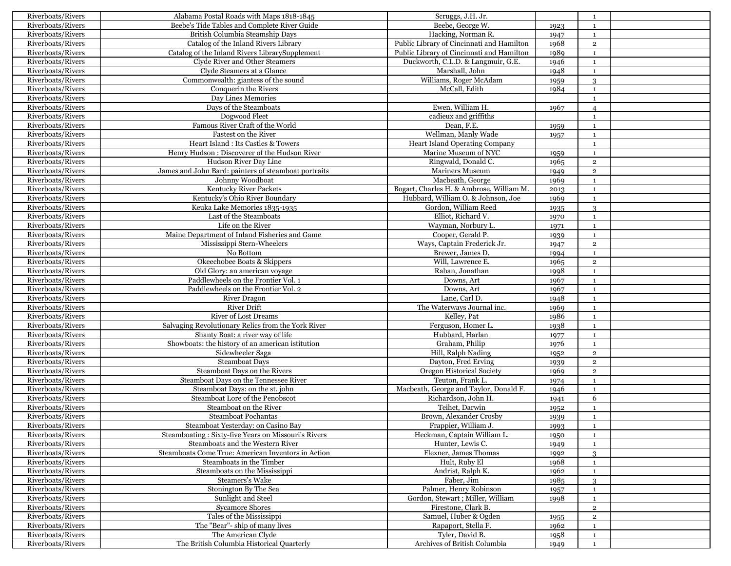| Riverboats/Rivers | Alabama Postal Roads with Maps 1818-1845             | Scruggs, J.H. Jr.                         |      | 1              |  |
|-------------------|------------------------------------------------------|-------------------------------------------|------|----------------|--|
| Riverboats/Rivers | Beebe's Tide Tables and Complete River Guide         | Beebe, George W.                          | 1923 | $\mathbf{1}$   |  |
| Riverboats/Rivers | British Columbia Steamship Days                      | Hacking, Norman R.                        | 1947 | $\mathbf{1}$   |  |
| Riverboats/Rivers | Catalog of the Inland Rivers Library                 | Public Library of Cincinnati and Hamilton | 1968 | $\mathbf{2}$   |  |
| Riverboats/Rivers | Catalog of the Inland Rivers LibrarySupplement       | Public Library of Cincinnati and Hamilton | 1989 | $\mathbf{1}$   |  |
| Riverboats/Rivers | Clyde River and Other Steamers                       | Duckworth, C.L.D. & Langmuir, G.E.        | 1946 | $\mathbf{1}$   |  |
| Riverboats/Rivers | Clyde Steamers at a Glance                           | Marshall, John                            | 1948 | $\mathbf{1}$   |  |
| Riverboats/Rivers | Commonwealth: giantess of the sound                  | Williams, Roger McAdam                    | 1959 | 3              |  |
| Riverboats/Rivers | Conquerin the Rivers                                 | McCall, Edith                             | 1984 | $\mathbf{1}$   |  |
| Riverboats/Rivers | Day Lines Memories                                   |                                           |      | $\mathbf{1}$   |  |
| Riverboats/Rivers | Days of the Steamboats                               | Ewen, William H.                          | 1967 | $\overline{4}$ |  |
| Riverboats/Rivers | Dogwood Fleet                                        | cadieux and griffiths                     |      | 1              |  |
| Riverboats/Rivers | Famous River Craft of the World                      | Dean, F.E.                                |      | $\mathbf{1}$   |  |
| Riverboats/Rivers | Fastest on the River                                 | Wellman, Manly Wade                       | 1959 |                |  |
|                   | Heart Island: Its Castles & Towers                   |                                           | 1957 | $\mathbf{1}$   |  |
| Riverboats/Rivers |                                                      | <b>Heart Island Operating Company</b>     |      | $\mathbf{1}$   |  |
| Riverboats/Rivers | Henry Hudson: Discoverer of the Hudson River         | Marine Museum of NYC                      | 1959 | $\mathbf{1}$   |  |
| Riverboats/Rivers | Hudson River Day Line                                | Ringwald, Donald C.                       | 1965 | $\overline{2}$ |  |
| Riverboats/Rivers | James and John Bard: painters of steamboat portraits | <b>Mariners Museum</b>                    | 1949 | $\mathbf{2}$   |  |
| Riverboats/Rivers | Johnny Woodboat                                      | Macbeath, George                          | 1969 | $\mathbf{1}$   |  |
| Riverboats/Rivers | Kentucky River Packets                               | Bogart, Charles H. & Ambrose, William M.  | 2013 | $\mathbf{1}$   |  |
| Riverboats/Rivers | Kentucky's Ohio River Boundary                       | Hubbard, William O. & Johnson, Joe        | 1969 | $\mathbf{1}$   |  |
| Riverboats/Rivers | Keuka Lake Memories 1835-1935                        | Gordon, William Reed                      | 1935 | 3              |  |
| Riverboats/Rivers | Last of the Steamboats                               | Elliot, Richard V.                        | 1970 | $\mathbf{1}$   |  |
| Riverboats/Rivers | Life on the River                                    | Wayman, Norbury L.                        | 1971 | $\mathbf{1}$   |  |
| Riverboats/Rivers | Maine Department of Inland Fisheries and Game        | Cooper, Gerald P.                         | 1939 | $\mathbf{1}$   |  |
| Riverboats/Rivers | Mississippi Stern-Wheelers                           | Ways, Captain Frederick Jr.               | 1947 | $\overline{2}$ |  |
| Riverboats/Rivers | No Bottom                                            | Brewer, James D.                          | 1994 | $\mathbf{1}$   |  |
| Riverboats/Rivers | Okeechobee Boats & Skippers                          | Will, Lawrence E.                         | 1965 | $\mathbf{2}$   |  |
| Riverboats/Rivers | Old Glory: an american voyage                        | Raban, Jonathan                           | 1998 | $\mathbf{1}$   |  |
| Riverboats/Rivers | Paddlewheels on the Frontier Vol. 1                  | Downs, Art                                | 1967 | $\mathbf{1}$   |  |
| Riverboats/Rivers | Paddlewheels on the Frontier Vol. 2                  | Downs, Art                                | 1967 | $\mathbf{1}$   |  |
| Riverboats/Rivers | <b>River Dragon</b>                                  | Lane, Carl D.                             | 1948 | $\mathbf{1}$   |  |
| Riverboats/Rivers | <b>River Drift</b>                                   | The Waterways Journal inc.                | 1969 | $\mathbf{1}$   |  |
| Riverboats/Rivers | <b>River of Lost Dreams</b>                          | Kelley, Pat                               | 1986 | $\mathbf{1}$   |  |
| Riverboats/Rivers | Salvaging Revolutionary Relics from the York River   | Ferguson, Homer L                         | 1938 | $\mathbf{1}$   |  |
| Riverboats/Rivers | Shanty Boat: a river way of life                     | Hubbard, Harlan                           | 1977 | $\mathbf{1}$   |  |
| Riverboats/Rivers | Showboats: the history of an american istitution     | Graham, Philip                            | 1976 | $\mathbf{1}$   |  |
| Riverboats/Rivers | Sidewheeler Saga                                     | Hill, Ralph Nading                        | 1952 | $\mathbf 2$    |  |
| Riverboats/Rivers | <b>Steamboat Days</b>                                | Dayton, Fred Erving                       | 1939 | $\mathbf 2$    |  |
| Riverboats/Rivers | Steamboat Days on the Rivers                         | Oregon Historical Society                 | 1969 | $\overline{2}$ |  |
| Riverboats/Rivers | Steamboat Days on the Tennessee River                | Teuton, Frank L.                          | 1974 | $\mathbf{1}$   |  |
| Riverboats/Rivers | Steamboat Days: on the st. john                      | Macbeath, George and Taylor, Donald F.    | 1946 | $\mathbf{1}$   |  |
| Riverboats/Rivers | Steamboat Lore of the Penobscot                      | Richardson, John H.                       | 1941 | 6              |  |
| Riverboats/Rivers | Steamboat on the River                               | Teihet, Darwin                            | 1952 | $\mathbf{1}$   |  |
| Riverboats/Rivers | <b>Steamboat Pochantas</b>                           | Brown, Alexander Crosby                   | 1939 | $\mathbf{1}$   |  |
| Riverboats/Rivers | Steamboat Yesterday: on Casino Bay                   | Frappier, William J.                      | 1993 | $\mathbf{1}$   |  |
| Riverboats/Rivers | Steamboating: Sixty-five Years on Missouri's Rivers  | Heckman, Captain William L.               | 1950 | 1              |  |
| Riverboats/Rivers | Steamboats and the Western River                     | Hunter, Lewis C.                          | 1949 | 1              |  |
| Riverboats/Rivers | Steamboats Come True: American Inventors in Action   | Flexner, James Thomas                     | 1992 | 3              |  |
| Riverboats/Rivers | Steamboats in the Timber                             | Hult, Ruby El                             | 1968 | $\mathbf{1}$   |  |
| Riverboats/Rivers | Steamboats on the Mississippi                        | Andrist, Ralph K.                         | 1962 | $\mathbf{1}$   |  |
| Riverboats/Rivers | Steamers's Wake                                      | Faber, Jim                                | 1985 | 3              |  |
| Riverboats/Rivers | Stonington By The Sea                                | Palmer, Henry Robinson                    | 1957 | $\mathbf{1}$   |  |
| Riverboats/Rivers | Sunlight and Steel                                   | Gordon, Stewart; Miller, William          | 1998 | $\mathbf{1}$   |  |
| Riverboats/Rivers | <b>Sycamore Shores</b>                               | Firestone, Clark B.                       |      | $\overline{2}$ |  |
| Riverboats/Rivers | Tales of the Mississippi                             | Samuel, Huber & Ogden                     | 1955 | $\overline{2}$ |  |
| Riverboats/Rivers | The "Bear"- ship of many lives                       | Rapaport, Stella F.                       | 1962 | $\mathbf{1}$   |  |
| Riverboats/Rivers | The American Clyde                                   | Tyler, David B.                           | 1958 | $\mathbf{1}$   |  |
| Riverboats/Rivers | The British Columbia Historical Quarterly            | Archives of British Columbia              | 1949 | 1              |  |
|                   |                                                      |                                           |      |                |  |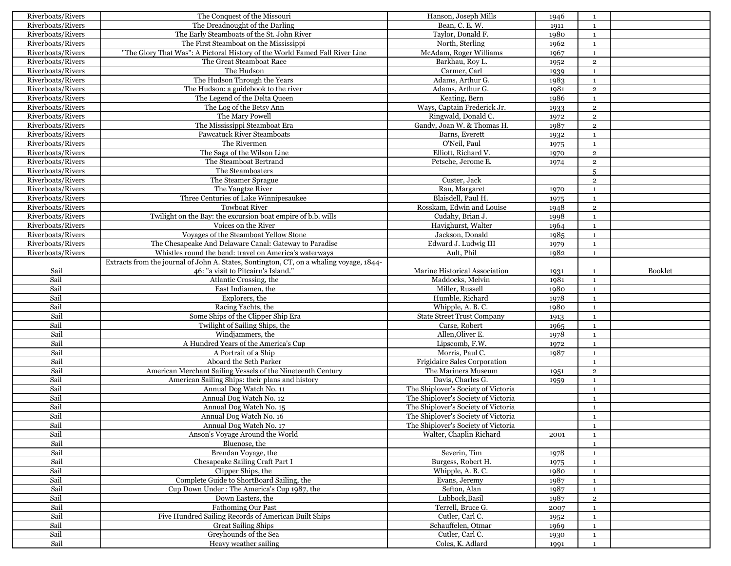| Riverboats/Rivers | The Conquest of the Missouri                                                            | Hanson, Joseph Mills                               | 1946         | $\mathbf{1}$                 |                |
|-------------------|-----------------------------------------------------------------------------------------|----------------------------------------------------|--------------|------------------------------|----------------|
| Riverboats/Rivers | The Dreadnought of the Darling                                                          | Bean, C. E. W.                                     | 1911         | $\mathbf{1}$                 |                |
| Riverboats/Rivers | The Early Steamboats of the St. John River                                              | Taylor, Donald F.                                  | 1980         | $\mathbf{1}$                 |                |
| Riverboats/Rivers | The First Steamboat on the Mississippi                                                  | North, Sterling                                    | 1962         | $\mathbf{1}$                 |                |
| Riverboats/Rivers | "The Glory That Was": A Pictoral History of the World Famed Fall River Line             | McAdam, Roger Williams                             | 1967         | $\mathbf{1}$                 |                |
| Riverboats/Rivers | The Great Steamboat Race                                                                | Barkhau, Roy L.                                    | 1952         | $\mathbf 2$                  |                |
| Riverboats/Rivers | The Hudson                                                                              | Carmer, Carl                                       | 1939         | $\mathbf{1}$                 |                |
| Riverboats/Rivers | The Hudson Through the Years                                                            | Adams, Arthur G.                                   | 1983         | $\mathbf{1}$                 |                |
| Riverboats/Rivers | The Hudson: a guidebook to the river                                                    | Adams, Arthur G.                                   | 1981         | $\overline{2}$               |                |
| Riverboats/Rivers | The Legend of the Delta Queen                                                           | Keating, Bern                                      | 1986         | $\mathbf{1}$                 |                |
| Riverboats/Rivers | The Log of the Betsy Ann                                                                | Ways, Captain Frederick Jr.                        | 1933         | $\mathbf 2$                  |                |
| Riverboats/Rivers | The Mary Powell                                                                         | Ringwald, Donald C.                                | 1972         | $\overline{2}$               |                |
| Riverboats/Rivers | The Mississippi Steamboat Era                                                           | Gandy, Joan W. & Thomas H.                         | 1987         | $\overline{2}$               |                |
| Riverboats/Rivers | <b>Pawcatuck River Steamboats</b>                                                       | Barns, Everett                                     |              |                              |                |
|                   |                                                                                         |                                                    | 1932         | $\mathbf{1}$                 |                |
| Riverboats/Rivers | The Rivermen                                                                            | O'Neil, Paul                                       | 1975         | $\mathbf{1}$                 |                |
| Riverboats/Rivers | The Saga of the Wilson Line                                                             | Elliott, Richard V.                                | 1970         | $\overline{2}$               |                |
| Riverboats/Rivers | The Steamboat Bertrand                                                                  | Petsche, Jerome E.                                 | 1974         | $\mathbf 2$                  |                |
| Riverboats/Rivers | The Steamboaters                                                                        |                                                    |              | 5                            |                |
| Riverboats/Rivers | The Steamer Sprague                                                                     | Custer, Jack                                       |              | $\overline{2}$               |                |
| Riverboats/Rivers | The Yangtze River                                                                       | Rau, Margaret                                      | 1970         | $\mathbf{1}$                 |                |
| Riverboats/Rivers | Three Centuries of Lake Winnipesaukee                                                   | Blaisdell, Paul H.                                 | 1975         | $\mathbf{1}$                 |                |
| Riverboats/Rivers | <b>Towboat River</b>                                                                    | Rosskam, Edwin and Louise                          | 1948         | $\mathbf{2}$                 |                |
| Riverboats/Rivers | Twilight on the Bay: the excursion boat empire of b.b. wills                            | Cudahy, Brian J.                                   | 1998         | $\mathbf{1}$                 |                |
| Riverboats/Rivers | Voices on the River                                                                     | Havighurst, Walter                                 | 1964         | $\mathbf{1}$                 |                |
| Riverboats/Rivers | Voyages of the Steamboat Yellow Stone                                                   | Jackson, Donald                                    | 1985         | $\mathbf{1}$                 |                |
| Riverboats/Rivers | The Chesapeake And Delaware Canal: Gateway to Paradise                                  | Edward J. Ludwig III                               | 1979         | $\mathbf{1}$                 |                |
| Riverboats/Rivers | Whistles round the bend: travel on America's waterways                                  | Ault, Phil                                         | 1982         | $\mathbf{1}$                 |                |
|                   | Extracts from the journal of John A. States, Sontington, CT, on a whaling voyage, 1844- |                                                    |              |                              |                |
| Sail              | 46: "a visit to Pitcairn's Island."                                                     | Marine Historical Association                      | 1931         | $\mathbf{1}$                 | <b>Booklet</b> |
| Sail              | Atlantic Crossing, the                                                                  | Maddocks, Melvin                                   | 1981         | $\mathbf{1}$                 |                |
| Sail              | East Indiamen, the                                                                      | Miller, Russell                                    | 1980         | $\mathbf{1}$                 |                |
| Sail              | Explorers, the                                                                          | Humble, Richard                                    |              | $\mathbf{1}$                 |                |
|                   |                                                                                         |                                                    | 1978         |                              |                |
| Sail              | Racing Yachts, the                                                                      | Whipple, A. B. C.                                  | 1980         | $\mathbf{1}$                 |                |
|                   |                                                                                         |                                                    | 1913         | $\mathbf{1}$                 |                |
| Sail<br>Sail      | Some Ships of the Clipper Ship Era                                                      | <b>State Street Trust Company</b><br>Carse, Robert |              | $\mathbf{1}$                 |                |
|                   | Twilight of Sailing Ships, the<br>Windjammers, the                                      | Allen, Oliver E.                                   | 1965         | $\mathbf{1}$                 |                |
| Sail              |                                                                                         |                                                    | 1978         | $\mathbf{1}$                 |                |
| Sail              | A Hundred Years of the America's Cup                                                    | Lipscomb, F.W.                                     | 1972         |                              |                |
| Sail              | A Portrait of a Ship                                                                    | Morris, Paul C.                                    | 1987         | $\mathbf{1}$                 |                |
| Sail              | Aboard the Seth Parker                                                                  | Frigidaire Sales Corporation                       |              | $\mathbf{1}$                 |                |
| Sail              | American Merchant Sailing Vessels of the Nineteenth Century                             | The Mariners Museum<br>Davis, Charles G.           | 1951         | $\mathbf 2$<br>$\mathbf{1}$  |                |
| Sail              | American Sailing Ships: their plans and history                                         |                                                    | 1959         | $\mathbf{1}$                 |                |
| Sail              | Annual Dog Watch No. 11                                                                 | The Shiplover's Society of Victoria                |              | $\mathbf{1}$                 |                |
| Sail              | Annual Dog Watch No. 12                                                                 | The Shiplover's Society of Victoria                |              |                              |                |
| Sail              | Annual Dog Watch No. 15                                                                 | The Shiplover's Society of Victoria                |              | $\mathbf{1}$                 |                |
| Sail              | Annual Dog Watch No. 16                                                                 | The Shiplover's Society of Victoria                |              | $\mathbf{1}$                 |                |
| Sail              | Annual Dog Watch No. 17                                                                 | The Shiplover's Society of Victoria                |              | $\mathbf{1}$                 |                |
| Sail              | Anson's Voyage Around the World                                                         | Walter, Chaplin Richard                            | 2001         | $\mathbf{1}$                 |                |
| Sail              | Bluenose, the                                                                           |                                                    |              | $\mathbf{1}$                 |                |
| Sail              | Brendan Voyage, the                                                                     | Severin, Tim                                       | 1978         | $\mathbf{1}$                 |                |
| Sail              | Chesapeake Sailing Craft Part I                                                         | Burgess, Robert H.                                 | 1975         | $\mathbf{1}$                 |                |
| Sail              | Clipper Ships, the                                                                      | Whipple, A. B. C.                                  | 1980         | $\mathbf{1}$                 |                |
| Sail              | Complete Guide to ShortBoard Sailing, the                                               | Evans, Jeremy                                      | 1987         | $\mathbf{1}$                 |                |
| Sail              | Cup Down Under: The America's Cup 1987, the                                             | Sefton, Alan                                       | 1987         | $\mathbf{1}$                 |                |
| Sail              | Down Easters, the                                                                       | Lubbock, Basil                                     | 1987         | $\mathbf 2$                  |                |
| Sail              | Fathoming Our Past                                                                      | Terrell, Bruce G.                                  | 2007         | $\mathbf{1}$                 |                |
| Sail              | Five Hundred Sailing Records of American Built Ships                                    | Cutler, Carl C.                                    | 1952         | $\mathbf{1}$                 |                |
| Sail              | <b>Great Sailing Ships</b>                                                              | Schauffelen, Otmar                                 | 1969         | $\mathbf{1}$                 |                |
| Sail<br>Sail      | Greyhounds of the Sea<br>Heavy weather sailing                                          | Cutler, Carl C.<br>Coles, K. Adlard                | 1930<br>1991 | $\mathbf{1}$<br><sup>1</sup> |                |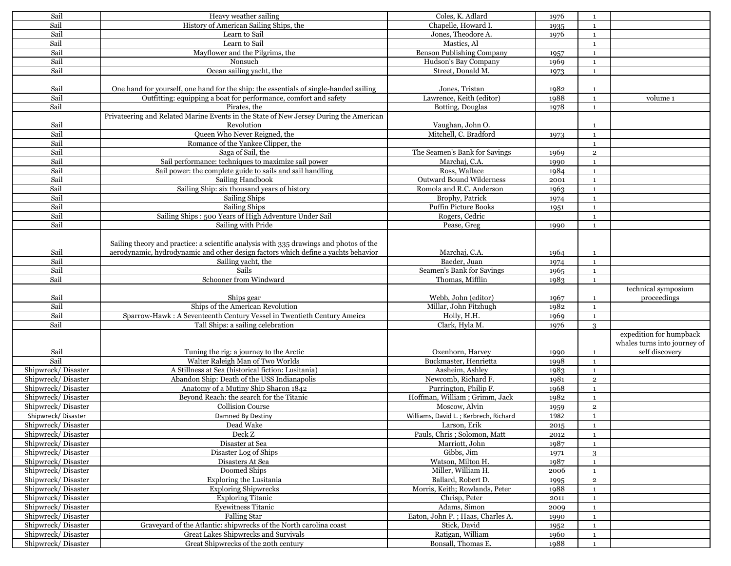| Sail               | Heavy weather sailing                                                                  | Coles, K. Adlard                      | 1976 | <sup>1</sup> |                              |
|--------------------|----------------------------------------------------------------------------------------|---------------------------------------|------|--------------|------------------------------|
| Sail               | History of American Sailing Ships, the                                                 | Chapelle, Howard I.                   | 1935 | $\mathbf{1}$ |                              |
| Sail               | Learn to Sail                                                                          | Jones, Theodore A.                    | 1976 | $\mathbf{1}$ |                              |
| Sail               | Learn to Sail                                                                          | Mastics, Al                           |      | $\mathbf{1}$ |                              |
| Sail               | Mayflower and the Pilgrims, the                                                        | Benson Publishing Company             | 1957 | $\mathbf{1}$ |                              |
| Sail               | Nonsuch                                                                                | Hudson's Bay Company                  | 1969 | $\mathbf{1}$ |                              |
| Sail               | Ocean sailing yacht, the                                                               | Street, Donald M.                     | 1973 | $\mathbf{1}$ |                              |
|                    |                                                                                        |                                       |      |              |                              |
| Sail               | One hand for yourself, one hand for the ship: the essentials of single-handed sailing  | Jones, Tristan                        | 1982 | $\mathbf{1}$ |                              |
| Sail               | Outfitting: equipping a boat for performance, comfort and safety                       | Lawrence, Keith (editor)              | 1988 | $\mathbf{1}$ | volume 1                     |
| Sail               | Pirates, the                                                                           | Botting, Douglas                      | 1978 | $\mathbf{1}$ |                              |
|                    | Privateering and Related Marine Events in the State of New Jersey During the American  |                                       |      |              |                              |
| Sail               | Revolution                                                                             | Vaughan, John O.                      |      |              |                              |
| Sail               | Oueen Who Never Reigned, the                                                           | Mitchell, C. Bradford                 |      | <sup>1</sup> |                              |
|                    |                                                                                        |                                       | 1973 | $\mathbf{1}$ |                              |
| Sail               | Romance of the Yankee Clipper, the                                                     |                                       |      | $\mathbf{1}$ |                              |
| Sail               | Saga of Sail, the                                                                      | The Seamen's Bank for Savings         | 1969 | $\mathbf 2$  |                              |
| Sail               | Sail performance: techniques to maximize sail power                                    | Marchaj, C.A.                         | 1990 | $\mathbf{1}$ |                              |
| Sail               | Sail power: the complete guide to sails and sail handling                              | Ross, Wallace                         | 1984 | $\mathbf{1}$ |                              |
| Sail               | Sailing Handbook                                                                       | <b>Outward Bound Wilderness</b>       | 2001 | $\mathbf{1}$ |                              |
| Sail               | Sailing Ship: six thousand years of history                                            | Romola and R.C. Anderson              | 1963 | $\mathbf{1}$ |                              |
| Sail               | Sailing Ships                                                                          | Brophy, Patrick                       | 1974 | $\mathbf{1}$ |                              |
| Sail               | Sailing Ships                                                                          | <b>Puffin Picture Books</b>           | 1951 | $\mathbf{1}$ |                              |
| Sail               | Sailing Ships: 500 Years of High Adventure Under Sail                                  | Rogers, Cedric                        |      | $\mathbf{1}$ |                              |
| Sail               | Sailing with Pride                                                                     | Pease, Greg                           | 1990 | $\,1\,$      |                              |
|                    |                                                                                        |                                       |      |              |                              |
|                    | Sailing theory and practice: a scientific analysis with 335 drawings and photos of the |                                       |      |              |                              |
| Sail               | aerodynamic, hydrodynamic and other design factors which define a yachts behavior      | Marchaj, C.A.                         | 1964 | $\mathbf{1}$ |                              |
| Sail               | Sailing yacht, the                                                                     | Baeder, Juan                          | 1974 | $\mathbf{1}$ |                              |
| Sail               | Sails                                                                                  | Seamen's Bank for Savings             | 1965 | $\mathbf{1}$ |                              |
| Sail               | Schooner from Windward                                                                 | Thomas, Mifflin                       | 1983 | $\mathbf{1}$ |                              |
|                    |                                                                                        |                                       |      |              | technical symposium          |
| Sail               | Ships gear                                                                             | Webb, John (editor)                   | 1967 | $\mathbf{1}$ | proceedings                  |
| Sail               | Ships of the American Revolution                                                       | Millar, John Fitzhugh                 | 1982 | $\mathbf{1}$ |                              |
| Sail               | Sparrow-Hawk: A Seventeenth Century Vessel in Twentieth Century Ameica                 | Holly, H.H.                           | 1969 | $\mathbf{1}$ |                              |
| Sail               | Tall Ships: a sailing celebration                                                      | Clark, Hyla M.                        | 1976 | 3            |                              |
|                    |                                                                                        |                                       |      |              | expedition for humpback      |
|                    |                                                                                        |                                       |      |              | whales turns into journey of |
| Sail               | Tuning the rig: a journey to the Arctic                                                | Oxenhorn, Harvey                      |      |              | self discovery               |
| Sail               | Walter Raleigh Man of Two Worlds                                                       | Buckmaster, Henrietta                 | 1990 | $\mathbf{1}$ |                              |
|                    | A Stillness at Sea (historical fiction: Lusitania)                                     |                                       | 1998 | $\mathbf{1}$ |                              |
| Shipwreck/Disaster |                                                                                        | Aasheim, Ashley                       | 1983 | $\mathbf{1}$ |                              |
| Shipwreck/Disaster | Abandon Ship: Death of the USS Indianapolis                                            | Newcomb, Richard F.                   | 1981 | $\mathbf 2$  |                              |
| Shipwreck/Disaster | Anatomy of a Mutiny Ship Sharon 1842                                                   | Purrington, Philip F.                 | 1968 | $\mathbf{1}$ |                              |
| Shipwreck/Disaster | Beyond Reach: the search for the Titanic                                               | Hoffman, William ; Grimm, Jack        | 1982 | $\mathbf{1}$ |                              |
| Shipwreck/Disaster | <b>Collision Course</b>                                                                | Moscow, Alvin                         | 1959 | $\,2\,$      |                              |
| Shipwreck/Disaster | Damned By Destiny                                                                      | Williams, David L.; Kerbrech, Richard | 1982 | $\mathbf{1}$ |                              |
| Shipwreck/Disaster | Dead Wake                                                                              | Larson, Erik                          | 2015 | $\mathbf{1}$ |                              |
| Shipwreck/Disaster | Deck Z                                                                                 | Pauls, Chris; Solomon, Matt           | 2012 | 1            |                              |
| Shipwreck/Disaster | Disaster at Sea                                                                        | Marriott, John                        | 1987 | 1            |                              |
| Shipwreck/Disaster | Disaster Log of Ships                                                                  | Gibbs, Jim                            | 1971 | 3            |                              |
| Shipwreck/Disaster | Disasters At Sea                                                                       | Watson, Milton H.                     | 1987 | <sup>1</sup> |                              |
| Shipwreck/Disaster | Doomed Ships                                                                           | Miller, William H.                    | 2006 | $\mathbf{1}$ |                              |
| Shipwreck/Disaster | <b>Exploring the Lusitania</b>                                                         | Ballard, Robert D.                    | 1995 | $\,2\,$      |                              |
| Shipwreck/Disaster | <b>Exploring Shipwrecks</b>                                                            | Morris, Keith; Rowlands, Peter        | 1988 | <sup>1</sup> |                              |
| Shipwreck/Disaster | <b>Exploring Titanic</b>                                                               | Chrisp, Peter                         | 2011 | $\mathbf{1}$ |                              |
| Shipwreck/Disaster | <b>Eyewitness Titanic</b>                                                              | Adams, Simon                          | 2009 | $\mathbf{1}$ |                              |
| Shipwreck/Disaster | <b>Falling Star</b>                                                                    | Eaton, John P.; Haas, Charles A.      | 1990 | <sup>1</sup> |                              |
| Shipwreck/Disaster | Graveyard of the Atlantic: shipwrecks of the North carolina coast                      | Stick, David                          | 1952 | $\mathbf{1}$ |                              |
| Shipwreck/Disaster | Great Lakes Shipwrecks and Survivals                                                   | Ratigan, William                      | 1960 | $\mathbf{1}$ |                              |
| Shipwreck/Disaster | Great Shipwrecks of the 20th century                                                   | Bonsall, Thomas E.                    | 1988 | 1            |                              |
|                    |                                                                                        |                                       |      |              |                              |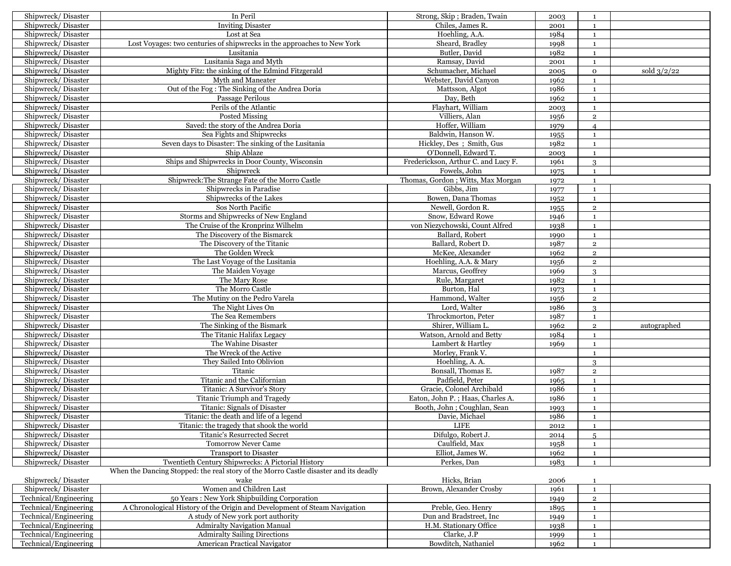| Shipwreck/Disaster    | In Peril                                                                             | Strong, Skip; Braden, Twain         | 2003 | $\mathbf{1}$             |               |
|-----------------------|--------------------------------------------------------------------------------------|-------------------------------------|------|--------------------------|---------------|
| Shipwreck/Disaster    | <b>Inviting Disaster</b>                                                             | Chiles, James R.                    | 2001 | $\mathbf{1}$             |               |
| Shipwreck/Disaster    | Lost at Sea                                                                          | Hoehling, A.A.                      | 1984 | <sup>1</sup>             |               |
| Shipwreck/Disaster    | Lost Voyages: two centuries of shipwrecks in the approaches to New York              | Sheard, Bradley                     | 1998 | $\mathbf{1}$             |               |
| Shipwreck/Disaster    | Lusitania                                                                            | Butler, David                       | 1982 | $\mathbf{1}$             |               |
| Shipwreck/Disaster    | Lusitania Saga and Myth                                                              | Ramsay, David                       | 2001 | $\mathbf{1}$             |               |
| Shipwreck/Disaster    | Mighty Fitz: the sinking of the Edmind Fitzgerald                                    | Schumacher, Michael                 | 2005 | $\mathbf{O}$             | sold $3/2/22$ |
| Shipwreck/Disaster    | Myth and Maneater                                                                    | Webster, David Canvon               | 1962 | $\mathbf{1}$             |               |
| Shipwreck/Disaster    | Out of the Fog: The Sinking of the Andrea Doria                                      | Mattsson, Algot                     | 1986 | $\mathbf{1}$             |               |
| Shipwreck/Disaster    | Passage Perilous                                                                     | Day, Beth                           | 1962 | $\mathbf{1}$             |               |
| Shipwreck/Disaster    | Perils of the Atlantic                                                               | Flayhart, William                   | 2003 | <sup>1</sup>             |               |
| Shipwreck/Disaster    | Posted Missing                                                                       | Villiers, Alan                      | 1956 | $\overline{2}$           |               |
| Shipwreck/Disaster    | Saved: the story of the Andrea Doria                                                 | Hoffer, William                     | 1979 | $\overline{\mathcal{A}}$ |               |
| Shipwreck/Disaster    | Sea Fights and Shipwrecks                                                            | Baldwin, Hanson W.                  | 1955 | $\mathbf{1}$             |               |
| Shipwreck/Disaster    | Seven days to Disaster: The sinking of the Lusitania                                 | Hickley, Des; Smith, Gus            | 1982 | $\mathbf{1}$             |               |
| Shipwreck/Disaster    | Ship Ablaze                                                                          | O'Donnell, Edward T.                | 2003 | $\mathbf{1}$             |               |
| Shipwreck/Disaster    | Ships and Shipwrecks in Door County, Wisconsin                                       | Frederickson, Arthur C. and Lucy F. | 1961 | 3                        |               |
| Shipwreck/Disaster    | Shipwreck                                                                            | Fowels, John                        | 1975 | $\mathbf{1}$             |               |
| Shipwreck/Disaster    | Shipwreck: The Strange Fate of the Morro Castle                                      | Thomas, Gordon; Witts, Max Morgan   | 1972 | $\mathbf{1}$             |               |
| Shipwreck/Disaster    | Shipwrecks in Paradise                                                               | Gibbs, Jim                          | 1977 | $\mathbf{1}$             |               |
| Shipwreck/Disaster    | Shipwrecks of the Lakes                                                              | Bowen, Dana Thomas                  | 1952 | $\mathbf{1}$             |               |
| Shipwreck/Disaster    | Sos North Pacific                                                                    | Newell, Gordon R.                   | 1955 | $\overline{2}$           |               |
| Shipwreck/Disaster    | Storms and Shipwrecks of New England                                                 | Snow, Edward Rowe                   | 1946 | $\mathbf{1}$             |               |
| Shipwreck/Disaster    | The Cruise of the Kronprinz Wilhelm                                                  | von Niezychowski, Count Alfred      | 1938 | $\mathbf{1}$             |               |
| Shipwreck/Disaster    | The Discovery of the Bismarck                                                        | Ballard, Robert                     | 1990 | $\mathbf{1}$             |               |
| Shipwreck/Disaster    | The Discovery of the Titanic                                                         | Ballard, Robert D.                  | 1987 | $\overline{2}$           |               |
| Shipwreck/Disaster    | The Golden Wreck                                                                     | McKee, Alexander                    | 1962 | $\overline{2}$           |               |
| Shipwreck/Disaster    | The Last Voyage of the Lusitania                                                     | Hoehling, A.A. & Mary               | 1956 | $\overline{2}$           |               |
| Shipwreck/Disaster    | The Maiden Voyage                                                                    | Marcus, Geoffrey                    | 1969 | 3                        |               |
| Shipwreck/Disaster    | The Mary Rose                                                                        | Rule, Margaret                      | 1982 | $\mathbf{1}$             |               |
| Shipwreck/Disaster    | The Morro Castle                                                                     | Burton, Hal                         | 1973 | $\mathbf{1}$             |               |
| Shipwreck/Disaster    | The Mutiny on the Pedro Varela                                                       | Hammond, Walter                     | 1956 | $\overline{2}$           |               |
| Shipwreck/Disaster    | The Night Lives On                                                                   | Lord, Walter                        | 1986 | 3                        |               |
| Shipwreck/Disaster    | The Sea Remembers                                                                    | Throckmorton, Peter                 | 1987 | $\mathbf{1}$             |               |
| Shipwreck/Disaster    | The Sinking of the Bismark                                                           | Shirer, William L.                  | 1962 | $\overline{2}$           | autographed   |
| Shipwreck/Disaster    | The Titanic Halifax Legacy                                                           | Watson, Arnold and Betty            | 1984 | $\mathbf{1}$             |               |
| Shipwreck/Disaster    | The Wahine Disaster                                                                  | Lambert & Hartley                   | 1969 | $\mathbf{1}$             |               |
| Shipwreck/Disaster    | The Wreck of the Active                                                              | Morley, Frank V.                    |      | $\mathbf{1}$             |               |
| Shipwreck/Disaster    | They Sailed Into Oblivion                                                            | Hoehling, A. A.                     |      | $\mathcal{R}$            |               |
| Shipwreck/Disaster    | Titanic                                                                              | Bonsall, Thomas E.                  | 1987 | $\overline{2}$           |               |
| Shipwreck/Disaster    | Titanic and the Californian                                                          | Padfield, Peter                     | 1965 | $\mathbf{1}$             |               |
| Shipwreck/Disaster    | Titanic: A Survivor's Story                                                          | Gracie, Colonel Archibald           | 1986 | $\mathbf{1}$             |               |
| Shipwreck/Disaster    | Titanic Triumph and Tragedy                                                          | Eaton, John P.; Haas, Charles A.    | 1986 | $\mathbf{1}$             |               |
| Shipwreck/Disaster    | Titanic: Signals of Disaster                                                         | Booth, John; Coughlan, Sean         | 1993 | $\mathbf{1}$             |               |
| Shipwreck/Disaster    | Titanic: the death and life of a legend                                              | Davie, Michael                      | 1986 | $\mathbf{1}$             |               |
| Shipwreck/Disaster    | Titanic: the tragedy that shook the world                                            | <b>LIFE</b>                         | 2012 | $\mathbf{1}$             |               |
| Shipwreck/Disaster    | Titanic's Resurrected Secret                                                         | Difulgo, Robert J.                  | 2014 | 5                        |               |
| Shipwreck/Disaster    | <b>Tomorrow Never Came</b>                                                           | Caulfield, Max                      | 1958 | $\mathbf{1}$             |               |
| Shipwreck/Disaster    | <b>Transport to Disaster</b>                                                         | Elliot, James W.                    | 1962 | $\mathbf{1}$             |               |
| Shipwreck/Disaster    | Twentieth Century Shipwrecks: A Pictorial History                                    | Perkes, Dan                         | 1983 | 1                        |               |
|                       | When the Dancing Stopped: the real story of the Morro Castle disaster and its deadly |                                     |      |                          |               |
| Shipwreck/Disaster    | wake                                                                                 | Hicks, Brian                        | 2006 | -1                       |               |
| Shipwreck/Disaster    | Women and Children Last                                                              | Brown, Alexander Crosby             | 1961 | 1                        |               |
| Technical/Engineering | 50 Years: New York Shipbuilding Corporation                                          |                                     | 1949 | $\overline{2}$           |               |
| Technical/Engineering | A Chronological History of the Origin and Development of Steam Navigation            | Preble, Geo. Henry                  | 1895 | $\mathbf{1}$             |               |
| Technical/Engineering | A study of New york port authority                                                   | Dun and Bradstreet, Inc.            | 1949 | $\mathbf{1}$             |               |
| Technical/Engineering | <b>Admiralty Navigation Manual</b>                                                   | H.M. Stationary Office              | 1938 | $\mathbf{1}$             |               |
| Technical/Engineering | <b>Admiralty Sailing Directions</b>                                                  | Clarke, J.P                         | 1999 | $\mathbf{1}$             |               |
| Technical/Engineering | American Practical Navigator                                                         | Bowditch, Nathaniel                 | 1962 | $\mathbf{1}$             |               |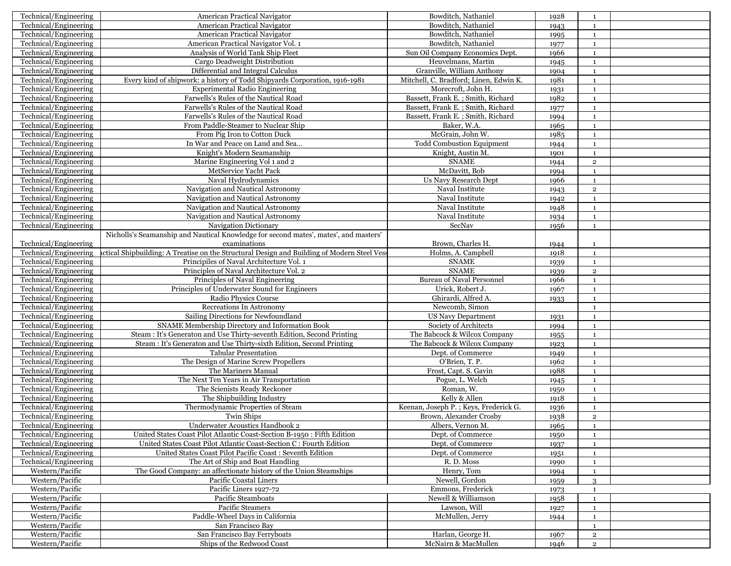| Technical/Engineering | American Practical Navigator                                                                | Bowditch, Nathaniel                                  | 1928 | 1              |  |
|-----------------------|---------------------------------------------------------------------------------------------|------------------------------------------------------|------|----------------|--|
| Technical/Engineering | American Practical Navigator                                                                | Bowditch, Nathaniel                                  | 1943 | $\mathbf{1}$   |  |
| Technical/Engineering | American Practical Navigator                                                                | Bowditch, Nathaniel                                  | 1995 | $\mathbf{1}$   |  |
| Technical/Engineering | American Practical Navigator Vol. 1                                                         | Bowditch, Nathaniel                                  | 1977 | $\mathbf{1}$   |  |
| Technical/Engineering | Analysis of World Tank Ship Fleet                                                           | Sun Oil Company Economics Dept.                      | 1966 | <sup>1</sup>   |  |
| Technical/Engineering | Cargo Deadweight Distribution                                                               | Heuvelmans, Martin                                   | 1945 | 1              |  |
| Technical/Engineering | Differential and Integral Calculus                                                          | Granville, William Anthony                           | 1904 | $\mathbf{1}$   |  |
| Technical/Engineering | Every kind of shipwork: a history of Todd Shipyards Corporation, 1916-1981                  | Mitchell, C. Bradford; Linen, Edwin K.               | 1981 | $\mathbf{1}$   |  |
| Technical/Engineering | Experimental Radio Engineering                                                              | Morecroft, John H.                                   | 1931 | 1              |  |
| Technical/Engineering | Farwells's Rules of the Nautical Road                                                       | Bassett, Frank E.; Smith, Richard                    | 1982 | $\mathbf{1}$   |  |
| Technical/Engineering | Farwells's Rules of the Nautical Road                                                       | Bassett, Frank E.; Smith, Richard                    | 1977 | $\mathbf{1}$   |  |
| Technical/Engineering | Farwells's Rules of the Nautical Road                                                       | Bassett, Frank E.; Smith, Richard                    | 1994 | $\mathbf{1}$   |  |
| Technical/Engineering | From Paddle-Steamer to Nuclear Ship                                                         | Baker, W.A.                                          | 1965 | $\mathbf{1}$   |  |
|                       |                                                                                             |                                                      |      |                |  |
| Technical/Engineering | From Pig Iron to Cotton Duck                                                                | McGrain, John W.<br><b>Todd Combustion Equipment</b> | 1985 | $\mathbf{1}$   |  |
| Technical/Engineering | In War and Peace on Land and Sea                                                            |                                                      | 1944 | $\mathbf{1}$   |  |
| Technical/Engineering | Knight's Modern Seamanship                                                                  | Knight, Austin M.                                    | 1901 | $\mathbf{1}$   |  |
| Technical/Engineering | Marine Engineering Vol 1 and 2                                                              | <b>SNAME</b>                                         | 1944 | $\overline{2}$ |  |
| Technical/Engineering | MetService Yacht Pack                                                                       | McDavitt, Bob                                        | 1994 | $\mathbf{1}$   |  |
| Technical/Engineering | Naval Hydrodynamics                                                                         | Us Navy Research Dept                                | 1966 | $\mathbf{1}$   |  |
| Technical/Engineering | Navigation and Nautical Astronomy                                                           | Naval Institute                                      | 1943 | $\overline{2}$ |  |
| Technical/Engineering | Navigation and Nautical Astronomy                                                           | Naval Institute                                      | 1942 | $\mathbf{1}$   |  |
| Technical/Engineering | Navigation and Nautical Astronomy                                                           | Naval Institute                                      | 1948 | $\mathbf{1}$   |  |
| Technical/Engineering | Navigation and Nautical Astronomy                                                           | Naval Institute                                      | 1934 | 1              |  |
| Technical/Engineering | Navigation Dictionary                                                                       | SecNav                                               | 1956 | $\mathbf{1}$   |  |
|                       | Nicholls's Seamanship and Nautical Knowledge for second mates', mates', and masters'        |                                                      |      |                |  |
| Technical/Engineering | examinations                                                                                | Brown, Charles H.                                    | 1944 | $\mathbf{1}$   |  |
| Technical/Engineering | actical Shipbuilding: A Treatise on the Structural Design and Building of Modern Steel Vess | Holms, A. Campbell                                   | 1918 | $\mathbf{1}$   |  |
| Technical/Engineering | Principiles of Naval Architecture Vol. 1                                                    | <b>SNAME</b>                                         | 1939 | $\mathbf{1}$   |  |
| Technical/Engineering | Principles of Naval Architecture Vol. 2                                                     | <b>SNAME</b>                                         | 1939 | $\mathbf 2$    |  |
| Technical/Engineering | Principles of Naval Engineering                                                             | <b>Bureau of Naval Personnel</b>                     | 1966 | $\mathbf{1}$   |  |
| Technical/Engineering | Principles of Underwater Sound for Engineers                                                | Urick, Robert J.                                     | 1967 | 1              |  |
| Technical/Engineering | Radio Physics Course                                                                        | Ghirardi, Alfred A.                                  | 1933 | $\mathbf{1}$   |  |
| Technical/Engineering | Recreations In Astronomy                                                                    | Newcomb, Simon                                       |      | $\mathbf{1}$   |  |
| Technical/Engineering | Sailing Directions for Newfoundland                                                         | <b>US Navy Department</b>                            | 1931 | 1              |  |
| Technical/Engineering | SNAME Membership Directory and Information Book                                             | Society of Architects                                | 1994 | $\mathbf{1}$   |  |
| Technical/Engineering | Steam : It's Generaton and Use Thirty-seventh Edition, Second Printing                      | The Babcock & Wilcox Company                         | 1955 | $\mathbf{1}$   |  |
| Technical/Engineering | Steam : It's Generaton and Use Thirty-sixth Edition, Second Printing                        | The Babcock & Wilcox Company                         | 1923 | $\mathbf{1}$   |  |
| Technical/Engineering | <b>Tabular Presentation</b>                                                                 | Dept. of Commerce                                    | 1949 | $\mathbf{1}$   |  |
| Technical/Engineering | The Design of Marine Screw Propellers                                                       | O'Brien, T. P.                                       | 1962 | $\mathbf{1}$   |  |
| Technical/Engineering | The Mariners Manual                                                                         | Frost, Capt. S. Gavin                                | 1988 | $\mathbf{1}$   |  |
| Technical/Engineering | The Next Ten Years in Air Transportation                                                    | Pogue, L. Welch                                      | 1945 | $\mathbf{1}$   |  |
| Technical/Engineering | The Scienists Ready Reckoner                                                                | Roman, W.                                            | 1950 | $\mathbf{1}$   |  |
| Technical/Engineering | The Shipbuilding Industry                                                                   | Kelly & Allen                                        | 1918 | $\mathbf{1}$   |  |
| Technical/Engineering | Thermodynamic Properties of Steam                                                           | Keenan, Joseph P.; Keys, Frederick G.                | 1936 | $\mathbf{1}$   |  |
| Technical/Engineering | Twin Ships                                                                                  | Brown, Alexander Crosby                              | 1938 | $\overline{2}$ |  |
| Technical/Engineering | Underwater Acoustics Handbook 2                                                             | Albers, Vernon M.                                    | 1965 |                |  |
| Technical/Engineering |                                                                                             |                                                      |      | $\mathbf{1}$   |  |
|                       | United States Coast Pilot Atlantic Coast-Section B-1950 : Fifth Edition                     | Dept. of Commerce<br>Dept. of Commerce               | 1950 | $\mathbf{1}$   |  |
| Technical/Engineering | United States Coast Pilot Atlantic Coast-Section C : Fourth Edition                         |                                                      | 1937 | 1              |  |
| Technical/Engineering | United States Coast Pilot Pacific Coast : Seventh Edition                                   | Dept. of Commerce                                    | 1951 | $\mathbf{1}$   |  |
| Technical/Engineering | The Art of Ship and Boat Handling                                                           | R.D. Moss                                            | 1990 | $\mathbf{1}$   |  |
| Western/Pacific       | The Good Company: an affectionate history of the Union Steamships                           | Henry, Tom                                           | 1994 | -1             |  |
| Western/Pacific       | Pacific Coastal Liners                                                                      | Newell, Gordon                                       | 1959 | 3              |  |
| Western/Pacific       | Pacific Liners 1927-72                                                                      | Emmons, Frederick                                    | 1973 | $\mathbf{1}$   |  |
| Western/Pacific       | Pacific Steamboats                                                                          | Newell & Williamson                                  | 1958 | $\mathbf{1}$   |  |
| Western/Pacific       | Pacific Steamers                                                                            | Lawson, Will                                         | 1927 | $\mathbf{1}$   |  |
| Western/Pacific       | Paddle-Wheel Days in California                                                             | McMullen, Jerry                                      | 1944 | $\mathbf{1}$   |  |
| Western/Pacific       | San Francisco Bay                                                                           |                                                      |      | $\mathbf{1}$   |  |
| Western/Pacific       | San Francisco Bay Ferryboats                                                                | Harlan, George H.                                    | 1967 | $\overline{2}$ |  |
| Western/Pacific       | Ships of the Redwood Coast                                                                  | McNairn & MacMullen                                  | 1946 | $\overline{2}$ |  |